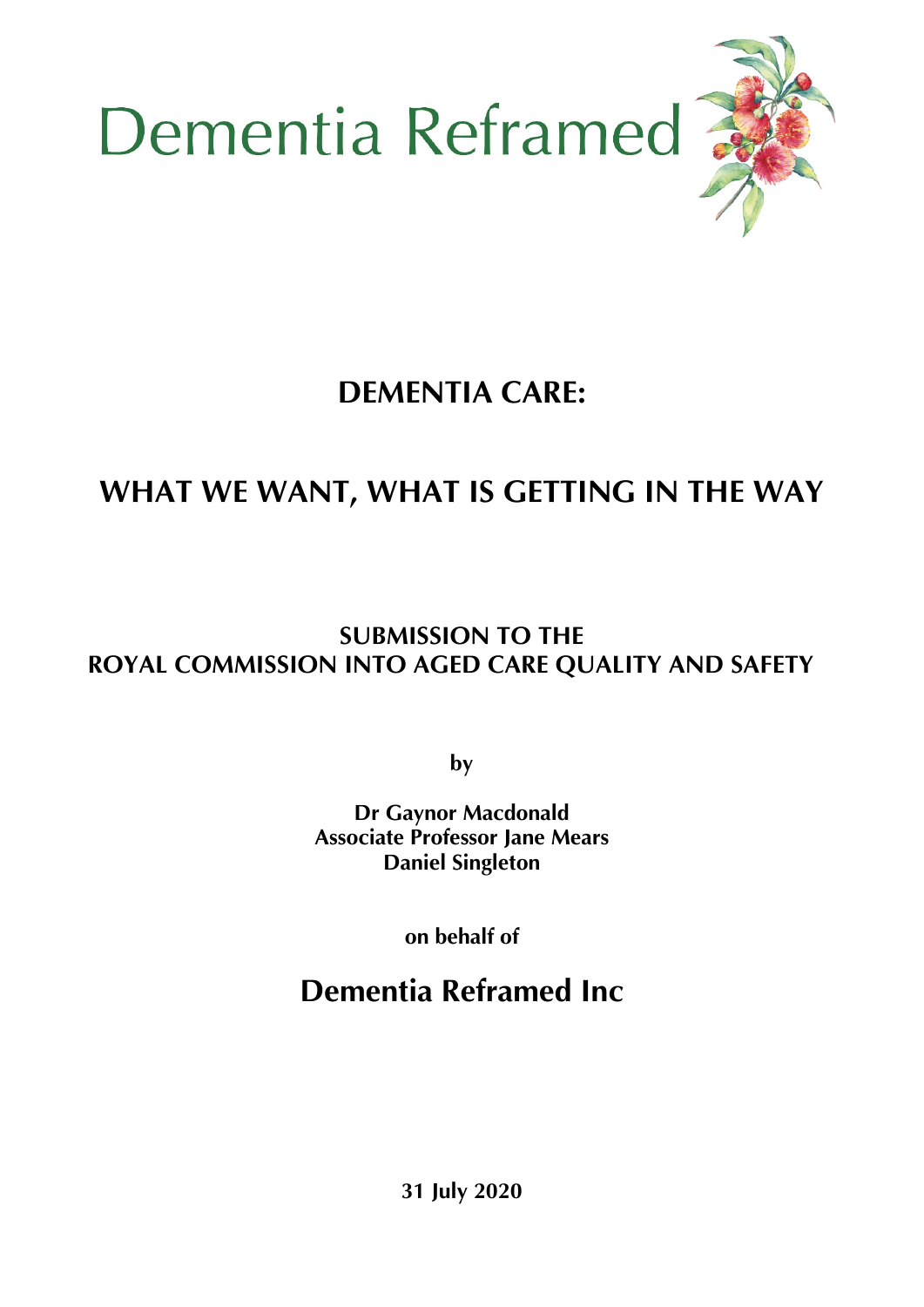



# **DEMENTIA CARE:**

# **WHAT WE WANT, WHAT IS GETTING IN THE WAY**

# **SUBMISSION TO THE ROYAL COMMISSION INTO AGED CARE QUALITY AND SAFETY**

**by**

**Dr Gaynor Macdonald Associate Professor Jane Mears Daniel Singleton**

**on behalf of**

# **Dementia Reframed Inc**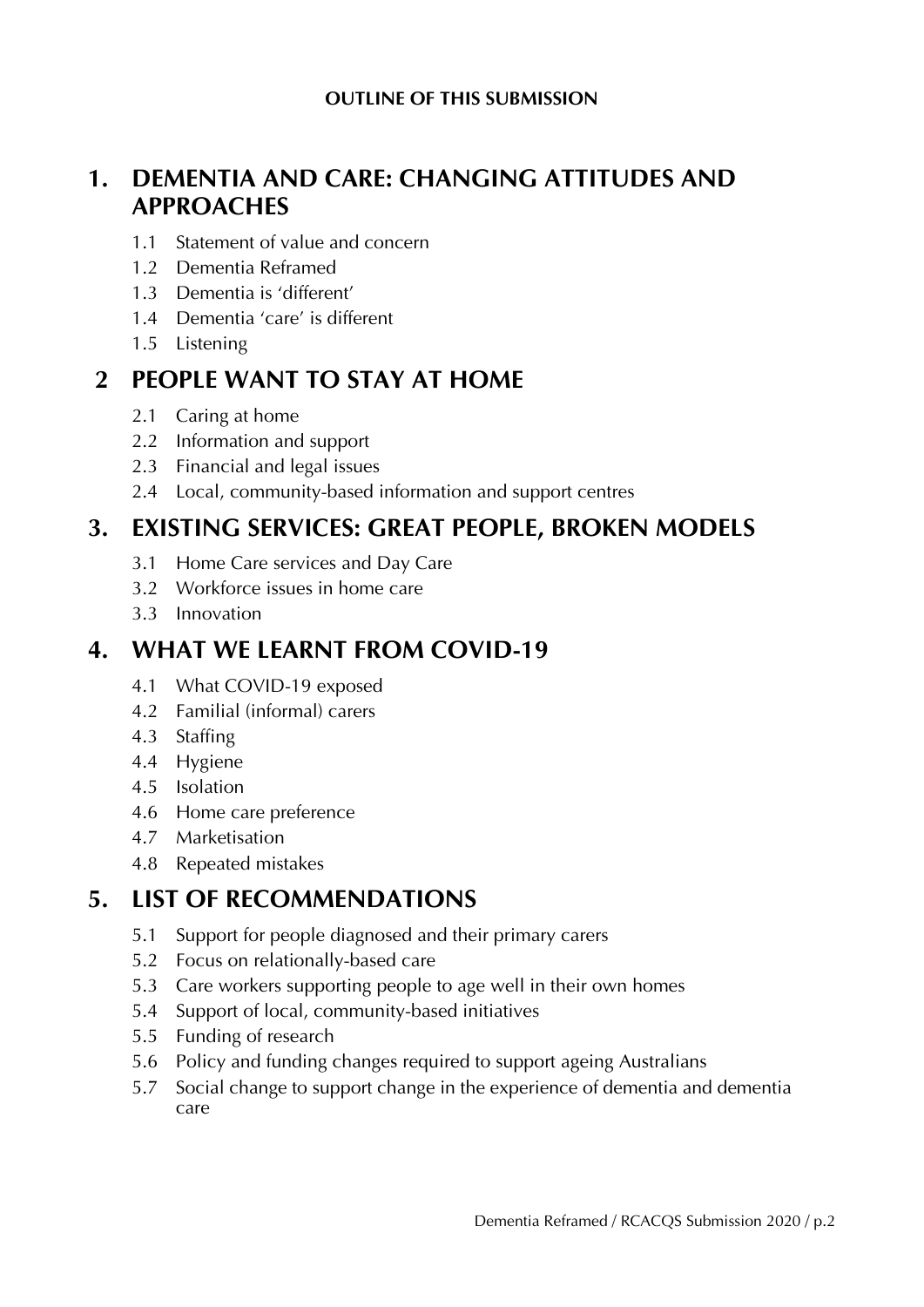## **1. DEMENTIA AND CARE: CHANGING ATTITUDES AND APPROACHES**

- 1.1 Statement of value and concern
- 1.2 Dementia Reframed
- 1.3 Dementia is 'different'
- 1.4 Dementia 'care' is different
- 1.5 Listening

### **2 PEOPLE WANT TO STAY AT HOME**

- 2.1 Caring at home
- 2.2 Information and support
- 2.3 Financial and legal issues
- 2.4 Local, community-based information and support centres

### **3. EXISTING SERVICES: GREAT PEOPLE, BROKEN MODELS**

- 3.1 Home Care services and Day Care
- 3.2 Workforce issues in home care
- 3.3 Innovation

### **4. WHAT WE LEARNT FROM COVID-19**

- 4.1 What COVID-19 exposed
- 4.2 Familial (informal) carers
- 4.3 Staffing
- 4.4 Hygiene
- 4.5 Isolation
- 4.6 Home care preference
- 4.7 Marketisation
- 4.8 Repeated mistakes

### **5. LIST OF RECOMMENDATIONS**

- 5.1 Support for people diagnosed and their primary carers
- 5.2 Focus on relationally-based care
- 5.3 Care workers supporting people to age well in their own homes
- 5.4 Support of local, community-based initiatives
- 5.5 Funding of research
- 5.6 Policy and funding changes required to support ageing Australians
- 5.7 Social change to support change in the experience of dementia and dementia care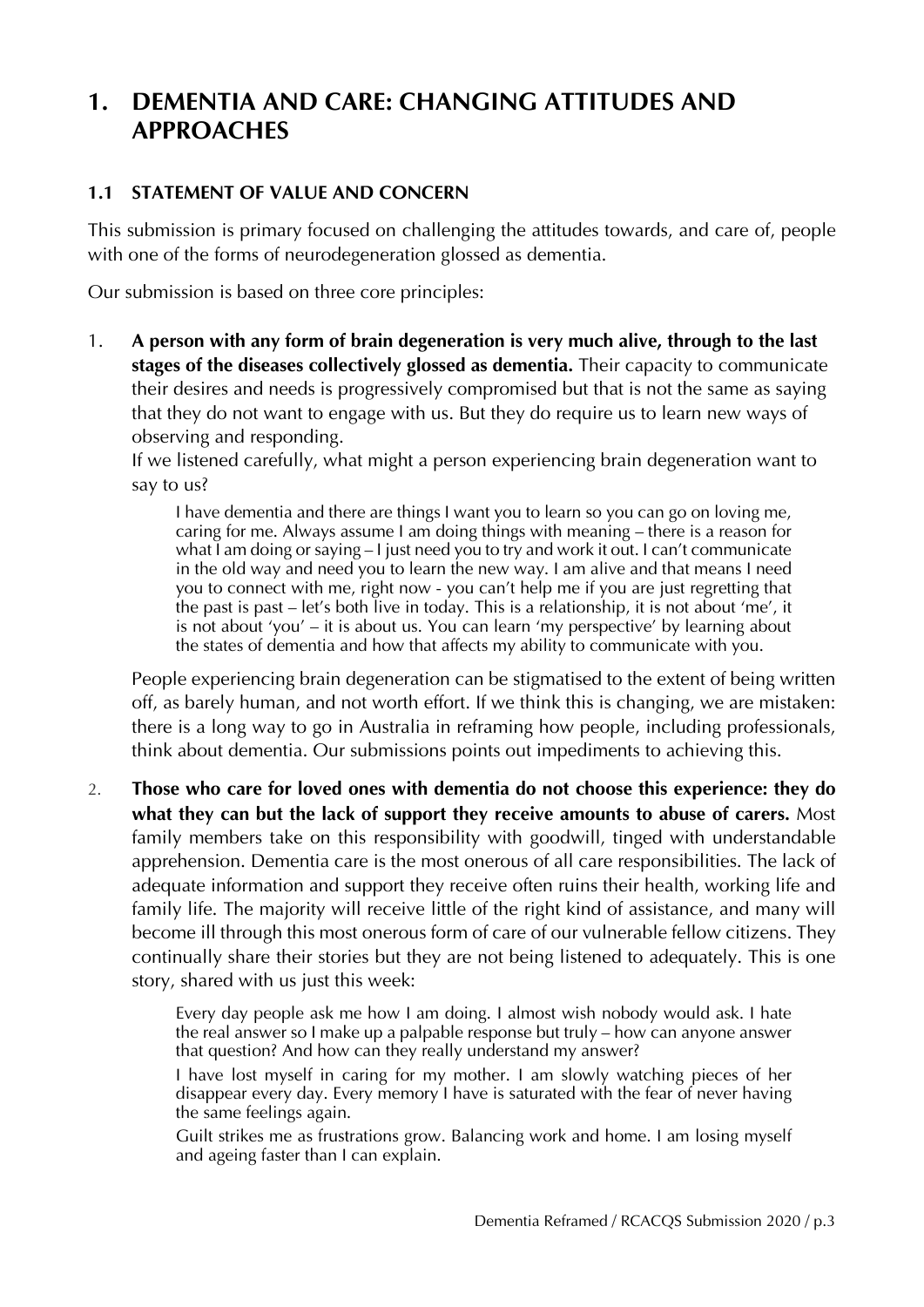## **1. DEMENTIA AND CARE: CHANGING ATTITUDES AND APPROACHES**

#### **1.1 STATEMENT OF VALUE AND CONCERN**

This submission is primary focused on challenging the attitudes towards, and care of, people with one of the forms of neurodegeneration glossed as dementia.

Our submission is based on three core principles:

1. **A person with any form of brain degeneration is very much alive, through to the last stages of the diseases collectively glossed as dementia.** Their capacity to communicate their desires and needs is progressively compromised but that is not the same as saying that they do not want to engage with us. But they do require us to learn new ways of observing and responding.

If we listened carefully, what might a person experiencing brain degeneration want to say to us?

I have dementia and there are things I want you to learn so you can go on loving me, caring for me. Always assume I am doing things with meaning – there is a reason for what I am doing or saying – I just need you to try and work it out. I can't communicate in the old way and need you to learn the new way. I am alive and that means I need you to connect with me, right now - you can't help me if you are just regretting that the past is past – let's both live in today. This is a relationship, it is not about 'me', it is not about 'you' – it is about us. You can learn 'my perspective' by learning about the states of dementia and how that affects my ability to communicate with you.

People experiencing brain degeneration can be stigmatised to the extent of being written off, as barely human, and not worth effort. If we think this is changing, we are mistaken: there is a long way to go in Australia in reframing how people, including professionals, think about dementia. Our submissions points out impediments to achieving this.

2. **Those who care for loved ones with dementia do not choose this experience: they do what they can but the lack of support they receive amounts to abuse of carers.** Most family members take on this responsibility with goodwill, tinged with understandable apprehension. Dementia care is the most onerous of all care responsibilities. The lack of adequate information and support they receive often ruins their health, working life and family life. The majority will receive little of the right kind of assistance, and many will become ill through this most onerous form of care of our vulnerable fellow citizens. They continually share their stories but they are not being listened to adequately. This is one story, shared with us just this week:

> Every day people ask me how I am doing. I almost wish nobody would ask. I hate the real answer so I make up a palpable response but truly – how can anyone answer that question? And how can they really understand my answer?

> I have lost myself in caring for my mother. I am slowly watching pieces of her disappear every day. Every memory I have is saturated with the fear of never having the same feelings again.

> Guilt strikes me as frustrations grow. Balancing work and home. I am losing myself and ageing faster than I can explain.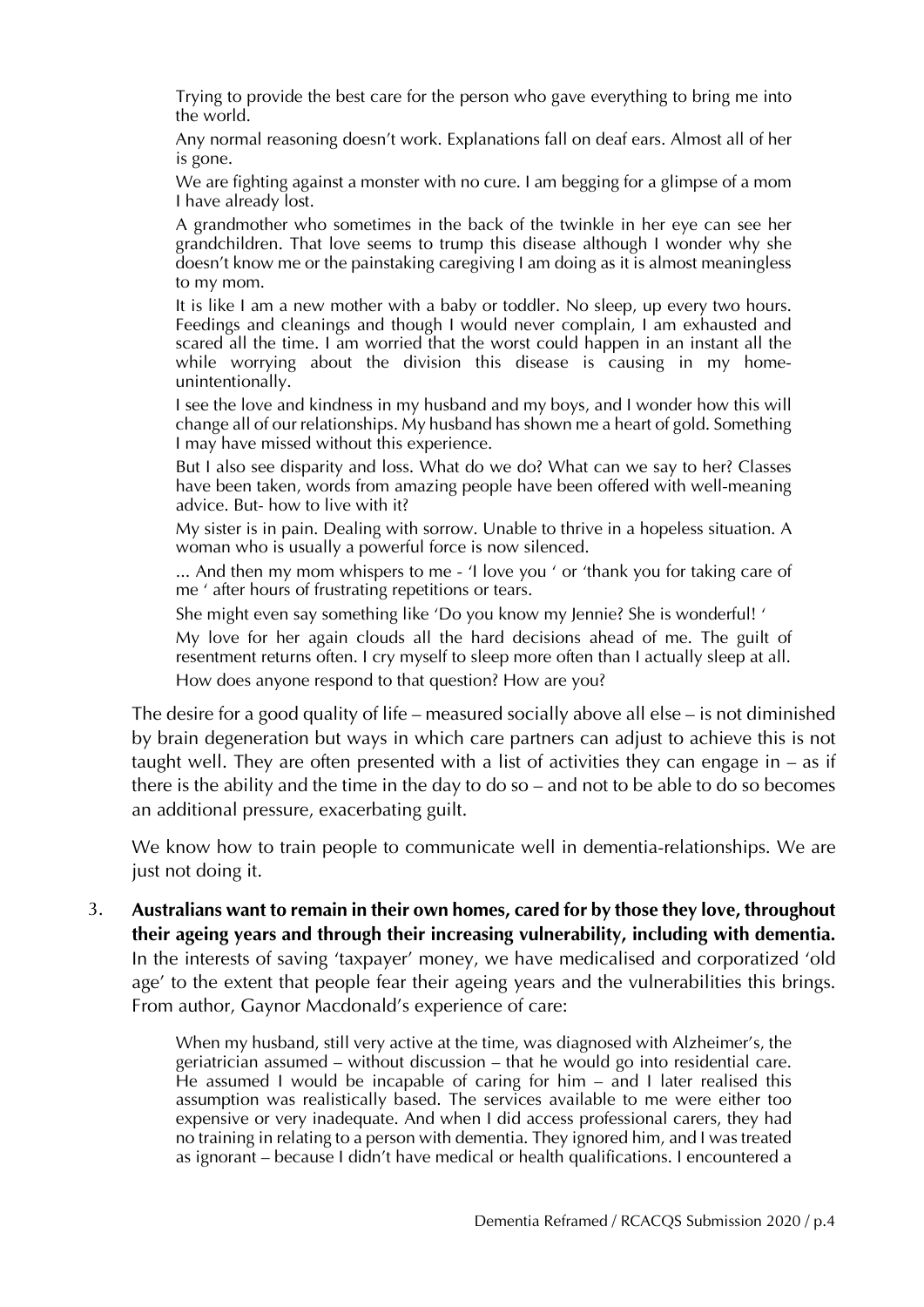Trying to provide the best care for the person who gave everything to bring me into the world.

Any normal reasoning doesn't work. Explanations fall on deaf ears. Almost all of her is gone.

We are fighting against a monster with no cure. I am begging for a glimpse of a mom I have already lost.

A grandmother who sometimes in the back of the twinkle in her eye can see her grandchildren. That love seems to trump this disease although I wonder why she doesn't know me or the painstaking caregiving I am doing as it is almost meaningless to my mom.

It is like I am a new mother with a baby or toddler. No sleep, up every two hours. Feedings and cleanings and though I would never complain, I am exhausted and scared all the time. I am worried that the worst could happen in an instant all the while worrying about the division this disease is causing in my homeunintentionally.

I see the love and kindness in my husband and my boys, and I wonder how this will change all of our relationships. My husband has shown me a heart of gold. Something I may have missed without this experience.

But I also see disparity and loss. What do we do? What can we say to her? Classes have been taken, words from amazing people have been offered with well-meaning advice. But- how to live with it?

My sister is in pain. Dealing with sorrow. Unable to thrive in a hopeless situation. A woman who is usually a powerful force is now silenced.

... And then my mom whispers to me - 'I love you ' or 'thank you for taking care of me ' after hours of frustrating repetitions or tears.

She might even say something like 'Do you know my Jennie? She is wonderful! '

My love for her again clouds all the hard decisions ahead of me. The guilt of resentment returns often. I cry myself to sleep more often than I actually sleep at all. How does anyone respond to that question? How are you?

The desire for a good quality of life – measured socially above all else – is not diminished by brain degeneration but ways in which care partners can adjust to achieve this is not taught well. They are often presented with a list of activities they can engage in – as if there is the ability and the time in the day to do so – and not to be able to do so becomes an additional pressure, exacerbating guilt.

We know how to train people to communicate well in dementia-relationships. We are just not doing it.

3. **Australians want to remain in their own homes, cared for by those they love, throughout their ageing years and through their increasing vulnerability, including with dementia.** In the interests of saving 'taxpayer' money, we have medicalised and corporatized 'old age' to the extent that people fear their ageing years and the vulnerabilities this brings. From author, Gaynor Macdonald's experience of care:

> When my husband, still very active at the time, was diagnosed with Alzheimer's, the geriatrician assumed – without discussion – that he would go into residential care. He assumed I would be incapable of caring for him – and I later realised this assumption was realistically based. The services available to me were either too expensive or very inadequate. And when I did access professional carers, they had no training in relating to a person with dementia. They ignored him, and I was treated as ignorant – because I didn't have medical or health qualifications. I encountered a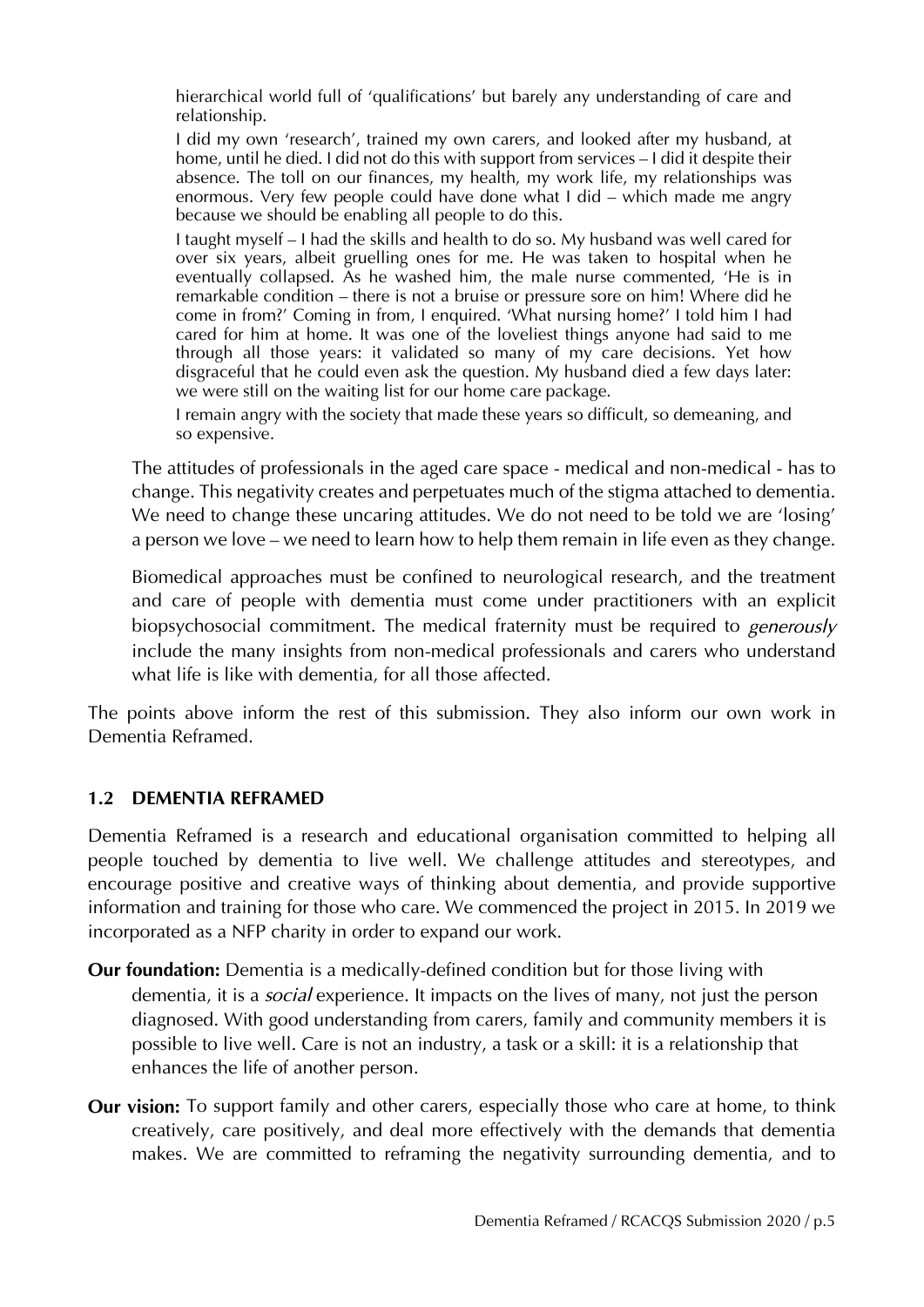hierarchical world full of 'qualifications' but barely any understanding of care and relationship.

I did my own 'research', trained my own carers, and looked after my husband, at home, until he died. I did not do this with support from services – I did it despite their absence. The toll on our finances, my health, my work life, my relationships was enormous. Very few people could have done what I did – which made me angry because we should be enabling all people to do this.

I taught myself – I had the skills and health to do so. My husband was well cared for over six years, albeit gruelling ones for me. He was taken to hospital when he eventually collapsed. As he washed him, the male nurse commented, 'He is in remarkable condition – there is not a bruise or pressure sore on him! Where did he come in from?' Coming in from, I enquired. 'What nursing home?' I told him I had cared for him at home. It was one of the loveliest things anyone had said to me through all those years: it validated so many of my care decisions. Yet how disgraceful that he could even ask the question. My husband died a few days later: we were still on the waiting list for our home care package.

I remain angry with the society that made these years so difficult, so demeaning, and so expensive.

The attitudes of professionals in the aged care space - medical and non-medical - has to change. This negativity creates and perpetuates much of the stigma attached to dementia. We need to change these uncaring attitudes. We do not need to be told we are 'losing' a person we love – we need to learn how to help them remain in life even as they change.

Biomedical approaches must be confined to neurological research, and the treatment and care of people with dementia must come under practitioners with an explicit biopsychosocial commitment. The medical fraternity must be required to *generously* include the many insights from non-medical professionals and carers who understand what life is like with dementia, for all those affected.

The points above inform the rest of this submission. They also inform our own work in Dementia Reframed.

#### **1.2 DEMENTIA REFRAMED**

Dementia Reframed is a research and educational organisation committed to helping all people touched by dementia to live well. We challenge attitudes and stereotypes, and encourage positive and creative ways of thinking about dementia, and provide supportive information and training for those who care. We commenced the project in 2015. In 2019 we incorporated as a NFP charity in order to expand our work.

- **Our foundation:** Dementia is a medically-defined condition but for those living with dementia, it is a *social* experience. It impacts on the lives of many, not just the person diagnosed. With good understanding from carers, family and community members it is possible to live well. Care is not an industry, a task or a skill: it is a relationship that enhances the life of another person.
- **Our vision:** To support family and other carers, especially those who care at home, to think creatively, care positively, and deal more effectively with the demands that dementia makes. We are committed to reframing the negativity surrounding dementia, and to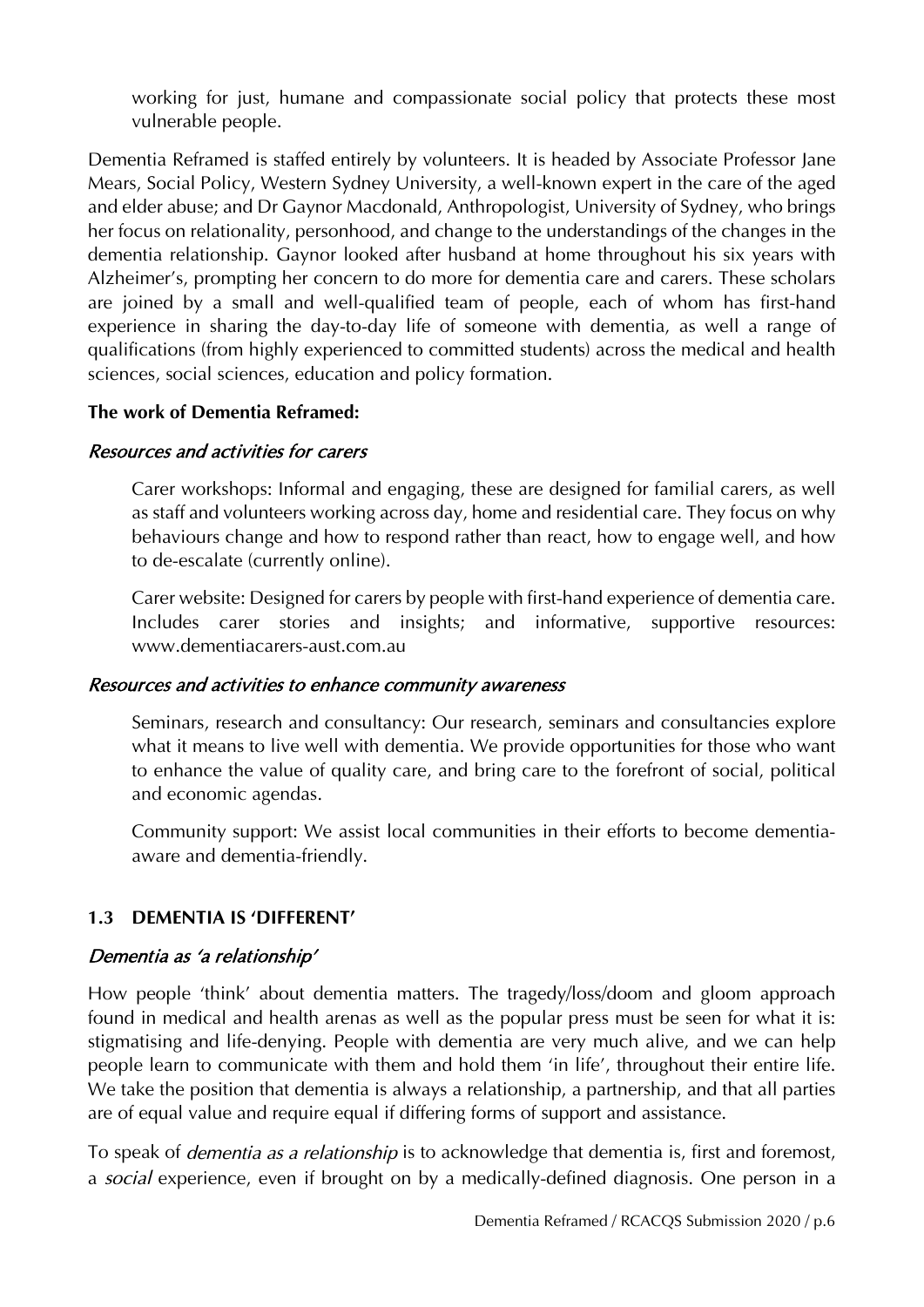working for just, humane and compassionate social policy that protects these most vulnerable people.

Dementia Reframed is staffed entirely by volunteers. It is headed by Associate Professor Jane Mears, Social Policy, Western Sydney University, a well-known expert in the care of the aged and elder abuse; and Dr Gaynor Macdonald, Anthropologist, University of Sydney, who brings her focus on relationality, personhood, and change to the understandings of the changes in the dementia relationship. Gaynor looked after husband at home throughout his six years with Alzheimer's, prompting her concern to do more for dementia care and carers. These scholars are joined by a small and well-qualified team of people, each of whom has first-hand experience in sharing the day-to-day life of someone with dementia, as well a range of qualifications (from highly experienced to committed students) across the medical and health sciences, social sciences, education and policy formation.

#### **The work of Dementia Reframed:**

#### Resources and activities for carers

Carer workshops: Informal and engaging, these are designed for familial carers, as well as staff and volunteers working across day, home and residential care. They focus on why behaviours change and how to respond rather than react, how to engage well, and how to de-escalate (currently online).

Carer website: Designed for carers by people with first-hand experience of dementia care. Includes carer stories and insights; and informative, supportive resources: [www.dementiacarers-aust.com.au](http://www.dementiacarers-aust.com.au/)

#### Resources and activities to enhance community awareness

Seminars, research and consultancy: Our research, seminars and consultancies explore what it means to live well with dementia. We provide opportunities for those who want to enhance the value of quality care, and bring care to the forefront of social, political and economic agendas.

Community support: We assist local communities in their efforts to become dementiaaware and dementia-friendly.

#### **1.3 DEMENTIA IS 'DIFFERENT'**

#### Dementia as 'a relationship'

How people 'think' about dementia matters. The tragedy/loss/doom and gloom approach found in medical and health arenas as well as the popular press must be seen for what it is: stigmatising and life-denying. People with dementia are very much alive, and we can help people learn to communicate with them and hold them 'in life', throughout their entire life. We take the position that dementia is always a relationship, a partnership, and that all parties are of equal value and require equal if differing forms of support and assistance.

To speak of *dementia as a relationship* is to acknowledge that dementia is, first and foremost, a *social* experience, even if brought on by a medically-defined diagnosis. One person in a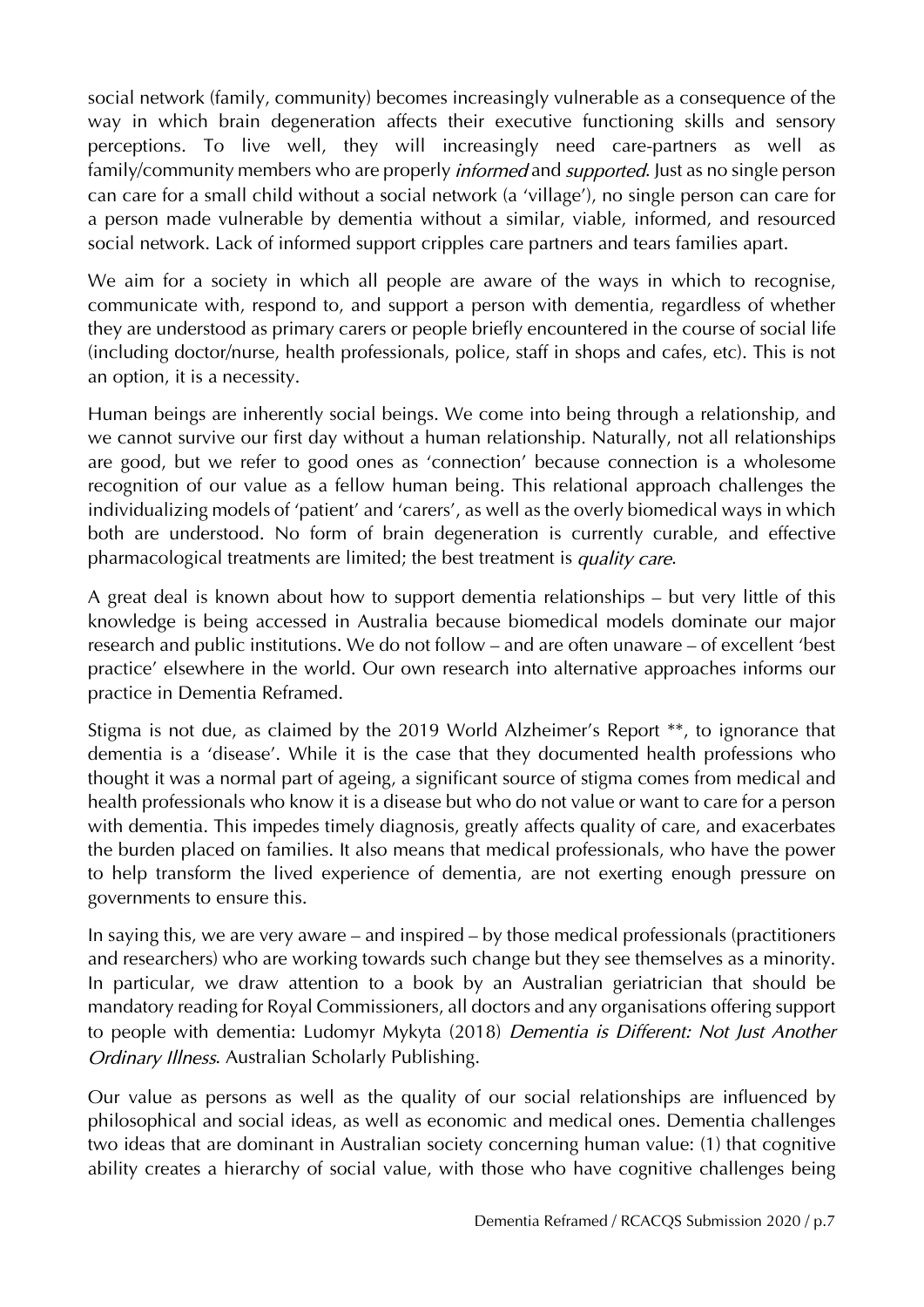social network (family, community) becomes increasingly vulnerable as a consequence of the way in which brain degeneration affects their executive functioning skills and sensory perceptions. To live well, they will increasingly need care-partners as well as family/community members who are properly *informed* and *supported*. Just as no single person can care for a small child without a social network (a 'village'), no single person can care for a person made vulnerable by dementia without a similar, viable, informed, and resourced social network. Lack of informed support cripples care partners and tears families apart.

We aim for a society in which all people are aware of the ways in which to recognise, communicate with, respond to, and support a person with dementia, regardless of whether they are understood as primary carers or people briefly encountered in the course of social life (including doctor/nurse, health professionals, police, staff in shops and cafes, etc). This is not an option, it is a necessity.

Human beings are inherently social beings. We come into being through a relationship, and we cannot survive our first day without a human relationship. Naturally, not all relationships are good, but we refer to good ones as 'connection' because connection is a wholesome recognition of our value as a fellow human being. This relational approach challenges the individualizing models of 'patient' and 'carers', as well as the overly biomedical ways in which both are understood. No form of brain degeneration is currently curable, and effective pharmacological treatments are limited; the best treatment is *quality care*.

A great deal is known about how to support dementia relationships – but very little of this knowledge is being accessed in Australia because biomedical models dominate our major research and public institutions. We do not follow – and are often unaware – of excellent 'best practice' elsewhere in the world. Our own research into alternative approaches informs our practice in Dementia Reframed.

Stigma is not due, as claimed by the 2019 World Alzheimer's Report \*\*, to ignorance that dementia is a 'disease'. While it is the case that they documented health professions who thought it was a normal part of ageing, a significant source of stigma comes from medical and health professionals who know it is a disease but who do not value or want to care for a person with dementia. This impedes timely diagnosis, greatly affects quality of care, and exacerbates the burden placed on families. It also means that medical professionals, who have the power to help transform the lived experience of dementia, are not exerting enough pressure on governments to ensure this.

In saying this, we are very aware – and inspired – by those medical professionals (practitioners and researchers) who are working towards such change but they see themselves as a minority. In particular, we draw attention to a book by an Australian geriatrician that should be mandatory reading for Royal Commissioners, all doctors and any organisations offering support to people with dementia: Ludomyr Mykyta (2018) *Dementia is Different: Not Just Another Ordinary Illness*. Australian Scholarly Publishing.

Our value as persons as well as the quality of our social relationships are influenced by philosophical and social ideas, as well as economic and medical ones. Dementia challenges two ideas that are dominant in Australian society concerning human value: (1) that cognitive ability creates a hierarchy of social value, with those who have cognitive challenges being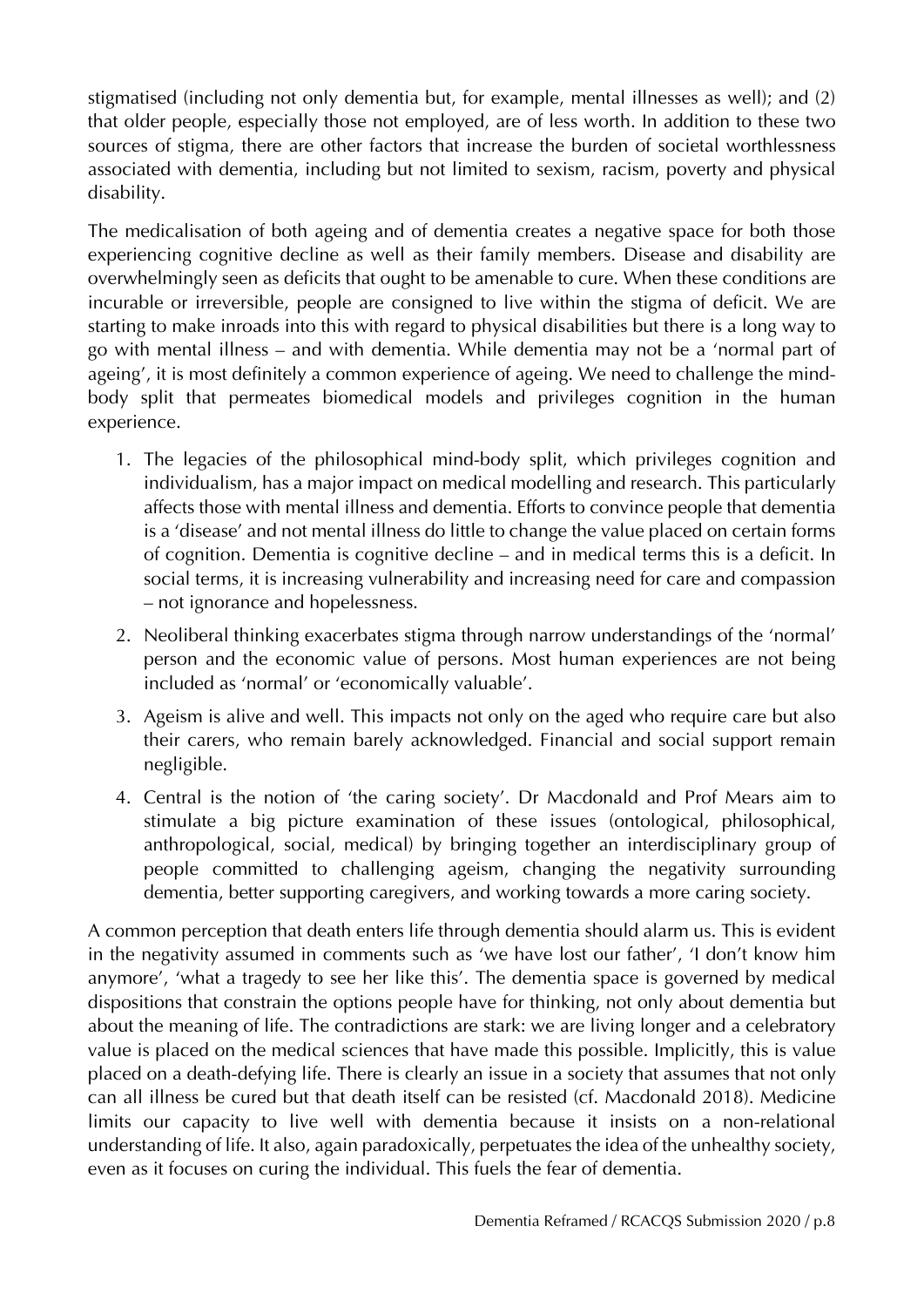stigmatised (including not only dementia but, for example, mental illnesses as well); and (2) that older people, especially those not employed, are of less worth. In addition to these two sources of stigma, there are other factors that increase the burden of societal worthlessness associated with dementia, including but not limited to sexism, racism, poverty and physical disability.

The medicalisation of both ageing and of dementia creates a negative space for both those experiencing cognitive decline as well as their family members. Disease and disability are overwhelmingly seen as deficits that ought to be amenable to cure. When these conditions are incurable or irreversible, people are consigned to live within the stigma of deficit. We are starting to make inroads into this with regard to physical disabilities but there is a long way to go with mental illness – and with dementia. While dementia may not be a 'normal part of ageing', it is most definitely a common experience of ageing. We need to challenge the mindbody split that permeates biomedical models and privileges cognition in the human experience.

- 1. The legacies of the philosophical mind-body split, which privileges cognition and individualism, has a major impact on medical modelling and research. This particularly affects those with mental illness and dementia. Efforts to convince people that dementia is a 'disease' and not mental illness do little to change the value placed on certain forms of cognition. Dementia is cognitive decline – and in medical terms this is a deficit. In social terms, it is increasing vulnerability and increasing need for care and compassion – not ignorance and hopelessness.
- 2. Neoliberal thinking exacerbates stigma through narrow understandings of the 'normal' person and the economic value of persons. Most human experiences are not being included as 'normal' or 'economically valuable'.
- 3. Ageism is alive and well. This impacts not only on the aged who require care but also their carers, who remain barely acknowledged. Financial and social support remain negligible.
- 4. Central is the notion of 'the caring society'. Dr Macdonald and Prof Mears aim to stimulate a big picture examination of these issues (ontological, philosophical, anthropological, social, medical) by bringing together an interdisciplinary group of people committed to challenging ageism, changing the negativity surrounding dementia, better supporting caregivers, and working towards a more caring society.

A common perception that death enters life through dementia should alarm us. This is evident in the negativity assumed in comments such as 'we have lost our father', 'I don't know him anymore', 'what a tragedy to see her like this'. The dementia space is governed by medical dispositions that constrain the options people have for thinking, not only about dementia but about the meaning of life. The contradictions are stark: we are living longer and a celebratory value is placed on the medical sciences that have made this possible. Implicitly, this is value placed on a death-defying life. There is clearly an issue in a society that assumes that not only can all illness be cured but that death itself can be resisted (cf. Macdonald 2018). Medicine limits our capacity to live well with dementia because it insists on a non-relational understanding of life. It also, again paradoxically, perpetuates the idea of the unhealthy society, even as it focuses on curing the individual. This fuels the fear of dementia.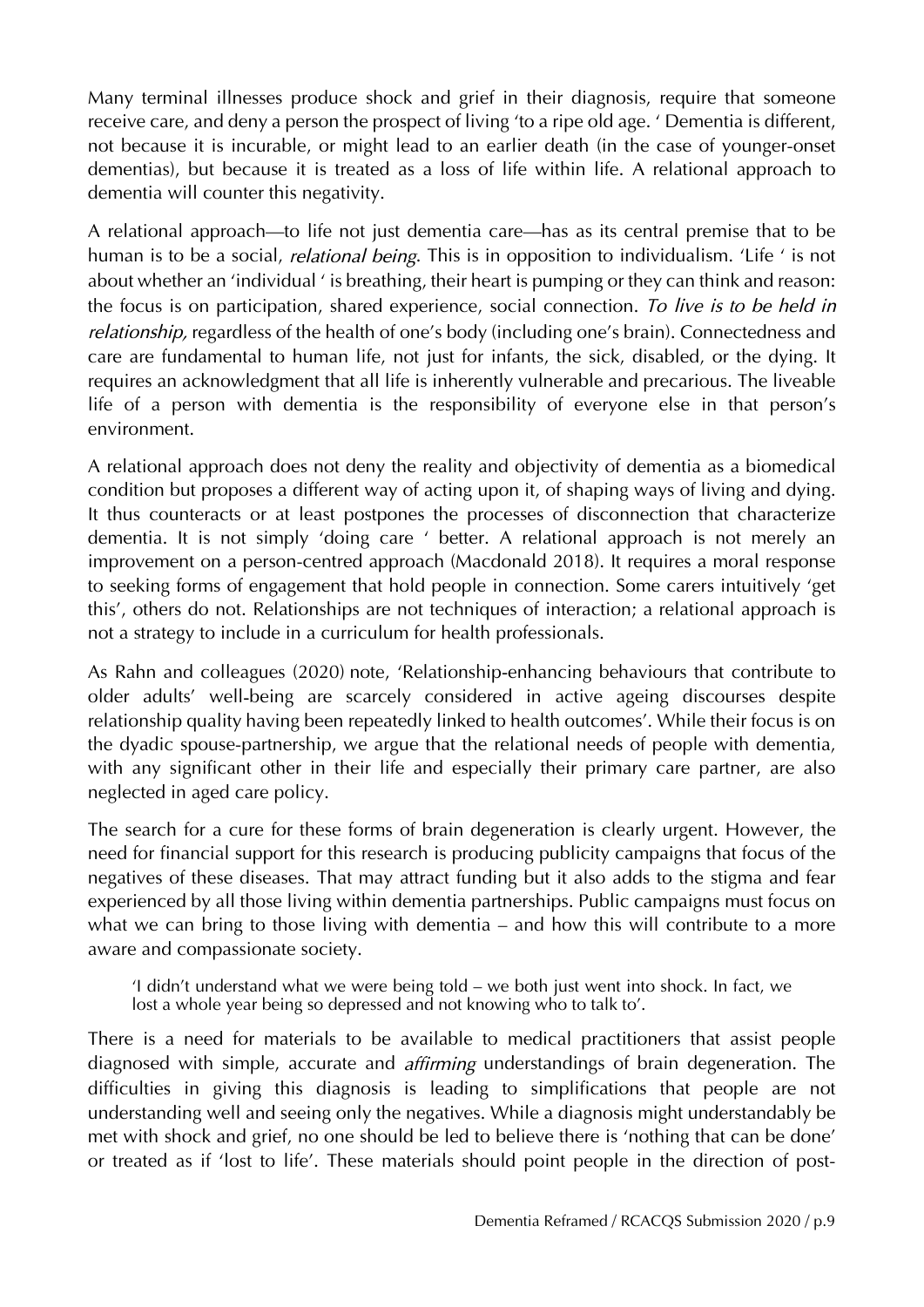Many terminal illnesses produce shock and grief in their diagnosis, require that someone receive care, and deny a person the prospect of living 'to a ripe old age. ' Dementia is different, not because it is incurable, or might lead to an earlier death (in the case of younger-onset dementias), but because it is treated as a loss of life within life. A relational approach to dementia will counter this negativity.

A relational approach—to life not just dementia care—has as its central premise that to be human is to be a social, *relational being*. This is in opposition to individualism. 'Life ' is not about whether an 'individual ' is breathing, their heart is pumping or they can think and reason: the focus is on participation, shared experience, social connection. *To live is to be held in relationship,* regardless of the health of one's body (including one's brain). Connectedness and care are fundamental to human life, not just for infants, the sick, disabled, or the dying. It requires an acknowledgment that all life is inherently vulnerable and precarious. The liveable life of a person with dementia is the responsibility of everyone else in that person's environment.

A relational approach does not deny the reality and objectivity of dementia as a biomedical condition but proposes a different way of acting upon it, of shaping ways of living and dying. It thus counteracts or at least postpones the processes of disconnection that characterize dementia. It is not simply 'doing care ' better. A relational approach is not merely an improvement on a person-centred approach (Macdonald 2018). It requires a moral response to seeking forms of engagement that hold people in connection. Some carers intuitively 'get this', others do not. Relationships are not techniques of interaction; a relational approach is not a strategy to include in a curriculum for health professionals.

As Rahn and colleagues (2020) note, 'Relationship‐enhancing behaviours that contribute to older adults' well‐being are scarcely considered in active ageing discourses despite relationship quality having been repeatedly linked to health outcomes'. While their focus is on the dyadic spouse-partnership, we argue that the relational needs of people with dementia, with any significant other in their life and especially their primary care partner, are also neglected in aged care policy.

The search for a cure for these forms of brain degeneration is clearly urgent. However, the need for financial support for this research is producing publicity campaigns that focus of the negatives of these diseases. That may attract funding but it also adds to the stigma and fear experienced by all those living within dementia partnerships. Public campaigns must focus on what we can bring to those living with dementia – and how this will contribute to a more aware and compassionate society.

'I didn't understand what we were being told – we both just went into shock. In fact, we lost a whole year being so depressed and not knowing who to talk to'.

There is a need for materials to be available to medical practitioners that assist people diagnosed with simple, accurate and *affirming* understandings of brain degeneration. The difficulties in giving this diagnosis is leading to simplifications that people are not understanding well and seeing only the negatives. While a diagnosis might understandably be met with shock and grief, no one should be led to believe there is 'nothing that can be done' or treated as if 'lost to life'. These materials should point people in the direction of post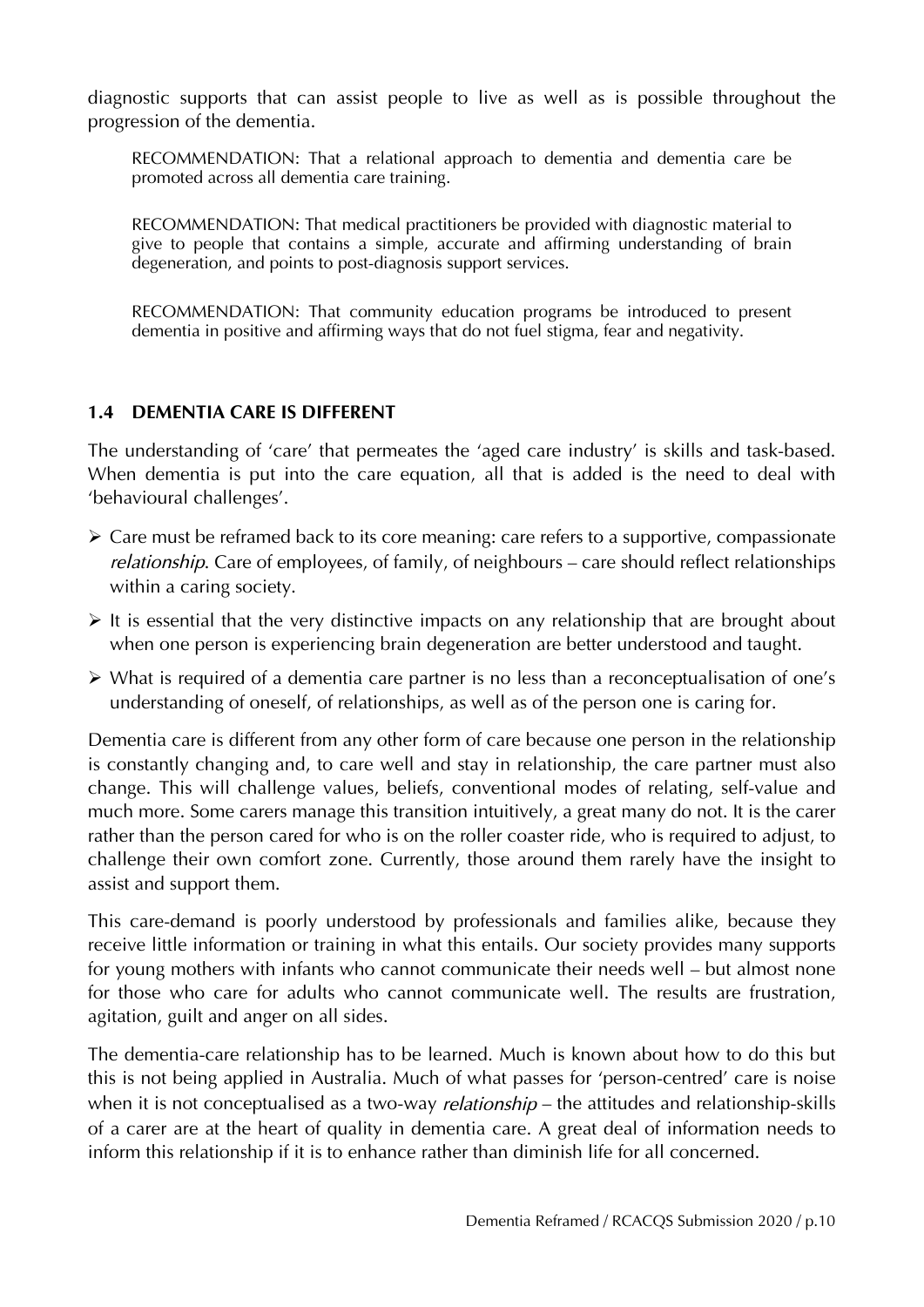diagnostic supports that can assist people to live as well as is possible throughout the progression of the dementia.

RECOMMENDATION: That a relational approach to dementia and dementia care be promoted across all dementia care training.

RECOMMENDATION: That medical practitioners be provided with diagnostic material to give to people that contains a simple, accurate and affirming understanding of brain degeneration, and points to post-diagnosis support services.

RECOMMENDATION: That community education programs be introduced to present dementia in positive and affirming ways that do not fuel stigma, fear and negativity.

#### **1.4 DEMENTIA CARE IS DIFFERENT**

The understanding of 'care' that permeates the 'aged care industry' is skills and task-based. When dementia is put into the care equation, all that is added is the need to deal with 'behavioural challenges'.

- $\triangleright$  Care must be reframed back to its core meaning: care refers to a supportive, compassionate *relationship*. Care of employees, of family, of neighbours – care should reflect relationships within a caring society.
- $\triangleright$  It is essential that the very distinctive impacts on any relationship that are brought about when one person is experiencing brain degeneration are better understood and taught.
- What is required of a dementia care partner is no less than a reconceptualisation of one's understanding of oneself, of relationships, as well as of the person one is caring for.

Dementia care is different from any other form of care because one person in the relationship is constantly changing and, to care well and stay in relationship, the care partner must also change. This will challenge values, beliefs, conventional modes of relating, self-value and much more. Some carers manage this transition intuitively, a great many do not. It is the carer rather than the person cared for who is on the roller coaster ride, who is required to adjust, to challenge their own comfort zone. Currently, those around them rarely have the insight to assist and support them.

This care-demand is poorly understood by professionals and families alike, because they receive little information or training in what this entails. Our society provides many supports for young mothers with infants who cannot communicate their needs well – but almost none for those who care for adults who cannot communicate well. The results are frustration, agitation, guilt and anger on all sides.

The dementia-care relationship has to be learned. Much is known about how to do this but this is not being applied in Australia. Much of what passes for 'person-centred' care is noise when it is not conceptualised as a two-way *relationship* – the attitudes and relationship-skills of a carer are at the heart of quality in dementia care. A great deal of information needs to inform this relationship if it is to enhance rather than diminish life for all concerned.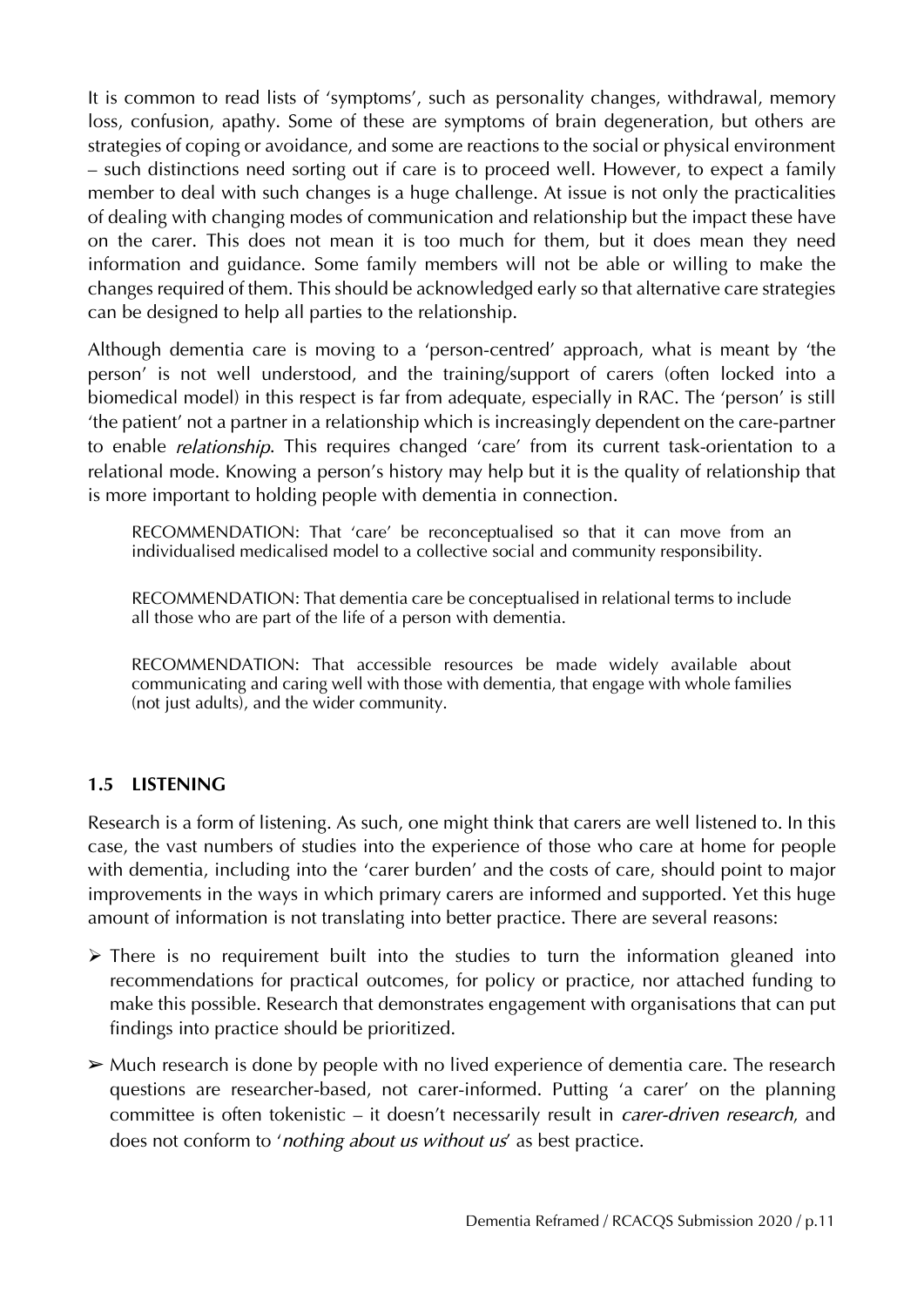It is common to read lists of 'symptoms', such as personality changes, withdrawal, memory loss, confusion, apathy. Some of these are symptoms of brain degeneration, but others are strategies of coping or avoidance, and some are reactions to the social or physical environment – such distinctions need sorting out if care is to proceed well. However, to expect a family member to deal with such changes is a huge challenge. At issue is not only the practicalities of dealing with changing modes of communication and relationship but the impact these have on the carer. This does not mean it is too much for them, but it does mean they need information and guidance. Some family members will not be able or willing to make the changes required of them. This should be acknowledged early so that alternative care strategies can be designed to help all parties to the relationship.

Although dementia care is moving to a 'person-centred' approach, what is meant by 'the person' is not well understood, and the training/support of carers (often locked into a biomedical model) in this respect is far from adequate, especially in RAC. The 'person' is still 'the patient' not a partner in a relationship which is increasingly dependent on the care-partner to enable *relationship*. This requires changed 'care' from its current task-orientation to a relational mode. Knowing a person's history may help but it is the quality of relationship that is more important to holding people with dementia in connection.

RECOMMENDATION: That 'care' be reconceptualised so that it can move from an individualised medicalised model to a collective social and community responsibility.

RECOMMENDATION: That dementia care be conceptualised in relational terms to include all those who are part of the life of a person with dementia.

RECOMMENDATION: That accessible resources be made widely available about communicating and caring well with those with dementia, that engage with whole families (not just adults), and the wider community.

#### **1.5 LISTENING**

Research is a form of listening. As such, one might think that carers are well listened to. In this case, the vast numbers of studies into the experience of those who care at home for people with dementia, including into the 'carer burden' and the costs of care, should point to major improvements in the ways in which primary carers are informed and supported. Yet this huge amount of information is not translating into better practice. There are several reasons:

- $\triangleright$  There is no requirement built into the studies to turn the information gleaned into recommendations for practical outcomes, for policy or practice, nor attached funding to make this possible. Research that demonstrates engagement with organisations that can put findings into practice should be prioritized.
- $\triangleright$  Much research is done by people with no lived experience of dementia care. The research questions are researcher-based, not carer-informed. Putting 'a carer' on the planning committee is often tokenistic – it doesn't necessarily result in *carer-driven research*, and does not conform to '*nothing about us without us*' as best practice.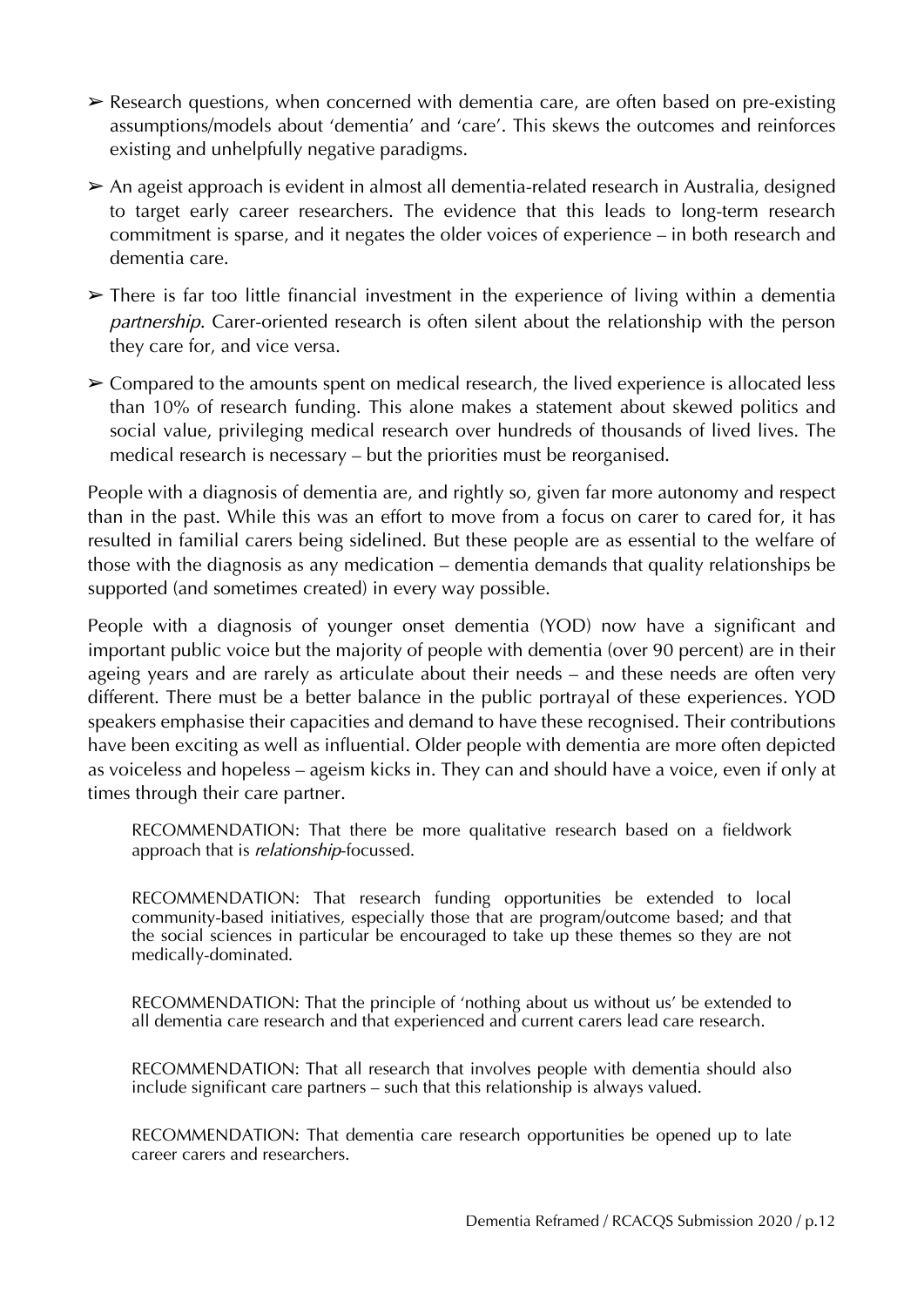- ➢ Research questions, when concerned with dementia care, are often based on pre-existing assumptions/models about 'dementia' and 'care'. This skews the outcomes and reinforces existing and unhelpfully negative paradigms.
- ➢ An ageist approach is evident in almost all dementia-related research in Australia, designed to target early career researchers. The evidence that this leads to long-term research commitment is sparse, and it negates the older voices of experience – in both research and dementia care.
- ➢ There is far too little financial investment in the experience of living within a dementia *partnership*. Carer-oriented research is often silent about the relationship with the person they care for, and vice versa.
- $\geq$  Compared to the amounts spent on medical research, the lived experience is allocated less than 10% of research funding. This alone makes a statement about skewed politics and social value, privileging medical research over hundreds of thousands of lived lives. The medical research is necessary – but the priorities must be reorganised.

People with a diagnosis of dementia are, and rightly so, given far more autonomy and respect than in the past. While this was an effort to move from a focus on carer to cared for, it has resulted in familial carers being sidelined. But these people are as essential to the welfare of those with the diagnosis as any medication – dementia demands that quality relationships be supported (and sometimes created) in every way possible.

People with a diagnosis of younger onset dementia (YOD) now have a significant and important public voice but the majority of people with dementia (over 90 percent) are in their ageing years and are rarely as articulate about their needs – and these needs are often very different. There must be a better balance in the public portrayal of these experiences. YOD speakers emphasise their capacities and demand to have these recognised. Their contributions have been exciting as well as influential. Older people with dementia are more often depicted as voiceless and hopeless – ageism kicks in. They can and should have a voice, even if only at times through their care partner.

RECOMMENDATION: That there be more qualitative research based on a fieldwork approach that is *relationship*-focussed.

RECOMMENDATION: That research funding opportunities be extended to local community-based initiatives, especially those that are program/outcome based; and that the social sciences in particular be encouraged to take up these themes so they are not medically-dominated.

RECOMMENDATION: That the principle of 'nothing about us without us' be extended to all dementia care research and that experienced and current carers lead care research.

RECOMMENDATION: That all research that involves people with dementia should also include significant care partners – such that this relationship is always valued.

RECOMMENDATION: That dementia care research opportunities be opened up to late career carers and researchers.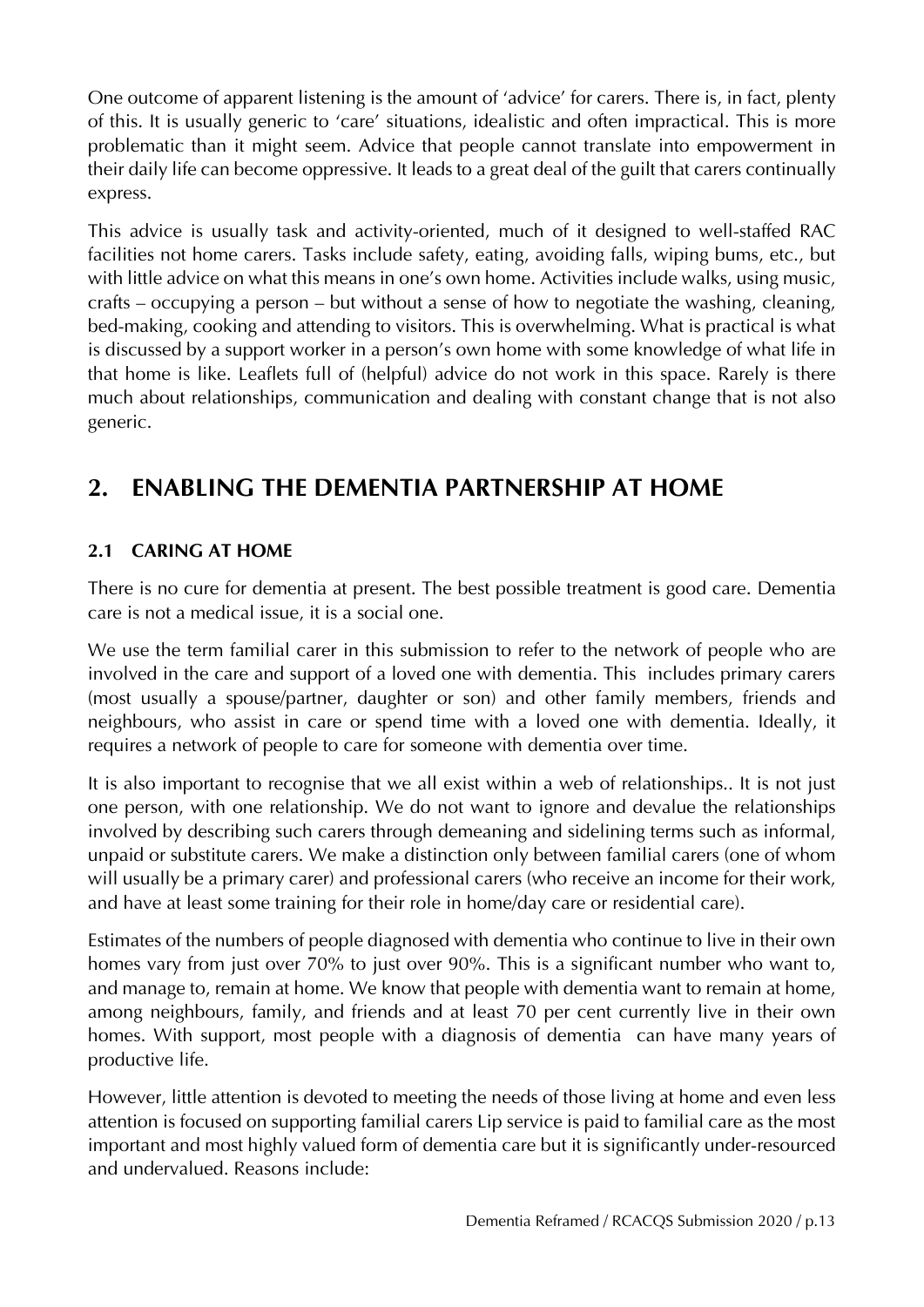One outcome of apparent listening is the amount of 'advice' for carers. There is, in fact, plenty of this. It is usually generic to 'care' situations, idealistic and often impractical. This is more problematic than it might seem. Advice that people cannot translate into empowerment in their daily life can become oppressive. It leads to a great deal of the guilt that carers continually express.

This advice is usually task and activity-oriented, much of it designed to well-staffed RAC facilities not home carers. Tasks include safety, eating, avoiding falls, wiping bums, etc., but with little advice on what this means in one's own home. Activities include walks, using music, crafts – occupying a person – but without a sense of how to negotiate the washing, cleaning, bed-making, cooking and attending to visitors. This is overwhelming. What is practical is what is discussed by a support worker in a person's own home with some knowledge of what life in that home is like. Leaflets full of (helpful) advice do not work in this space. Rarely is there much about relationships, communication and dealing with constant change that is not also generic.

## **2. ENABLING THE DEMENTIA PARTNERSHIP AT HOME**

#### **2.1 CARING AT HOME**

There is no cure for dementia at present. The best possible treatment is good care. Dementia care is not a medical issue, it is a social one.

We use the term familial carer in this submission to refer to the network of people who are involved in the care and support of a loved one with dementia. This includes primary carers (most usually a spouse/partner, daughter or son) and other family members, friends and neighbours, who assist in care or spend time with a loved one with dementia. Ideally, it requires a network of people to care for someone with dementia over time.

It is also important to recognise that we all exist within a web of relationships.. It is not just one person, with one relationship. We do not want to ignore and devalue the relationships involved by describing such carers through demeaning and sidelining terms such as informal, unpaid or substitute carers. We make a distinction only between familial carers (one of whom will usually be a primary carer) and professional carers (who receive an income for their work, and have at least some training for their role in home/day care or residential care).

Estimates of the numbers of people diagnosed with dementia who continue to live in their own homes vary from just over 70% to just over 90%. This is a significant number who want to, and manage to, remain at home. We know that people with dementia want to remain at home, among neighbours, family, and friends and at least 70 per cent currently live in their own homes. With support, most people with a diagnosis of dementia can have many years of productive life.

However, little attention is devoted to meeting the needs of those living at home and even less attention is focused on supporting familial carers Lip service is paid to familial care as the most important and most highly valued form of dementia care but it is significantly under-resourced and undervalued. Reasons include: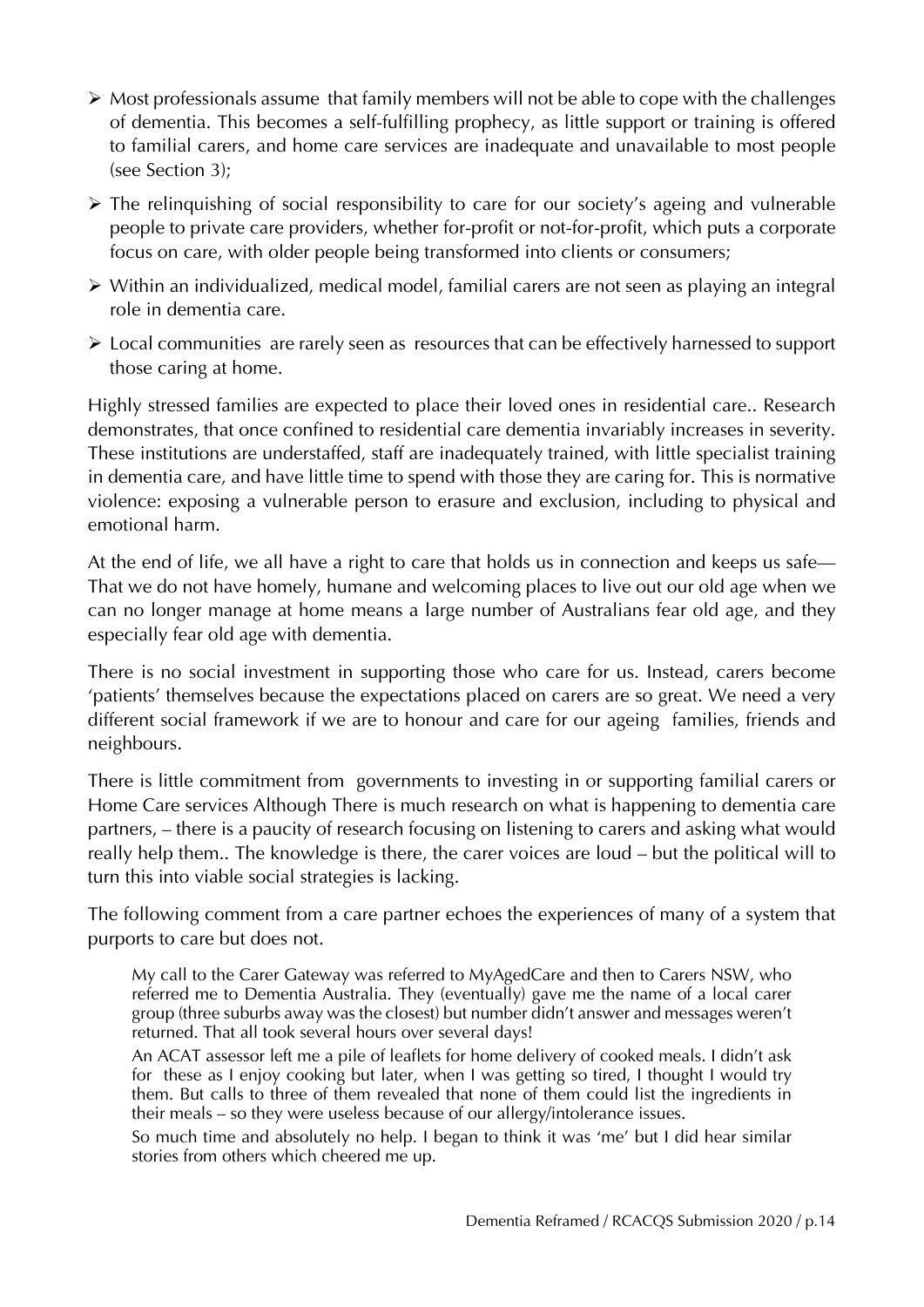- $\triangleright$  Most professionals assume that family members will not be able to cope with the challenges of dementia. This becomes a self-fulfilling prophecy, as little support or training is offered to familial carers, and home care services are inadequate and unavailable to most people (see Section 3);
- $\triangleright$  The relinguishing of social responsibility to care for our society's ageing and vulnerable people to private care providers, whether for-profit or not-for-profit, which puts a corporate focus on care, with older people being transformed into clients or consumers;
- Within an individualized, medical model, familial carers are not seen as playing an integral role in dementia care.
- Local communities are rarely seen as resources that can be effectively harnessed to support those caring at home.

Highly stressed families are expected to place their loved ones in residential care.. Research demonstrates, that once confined to residential care dementia invariably increases in severity. These institutions are understaffed, staff are inadequately trained, with little specialist training in dementia care, and have little time to spend with those they are caring for. This is normative violence: exposing a vulnerable person to erasure and exclusion, including to physical and emotional harm.

At the end of life, we all have a right to care that holds us in connection and keeps us safe— That we do not have homely, humane and welcoming places to live out our old age when we can no longer manage at home means a large number of Australians fear old age, and they especially fear old age with dementia.

There is no social investment in supporting those who care for us. Instead, carers become 'patients' themselves because the expectations placed on carers are so great. We need a very different social framework if we are to honour and care for our ageing families, friends and neighbours.

There is little commitment from governments to investing in or supporting familial carers or Home Care services Although There is much research on what is happening to dementia care partners, – there is a paucity of research focusing on listening to carers and asking what would really help them.. The knowledge is there, the carer voices are loud – but the political will to turn this into viable social strategies is lacking.

The following comment from a care partner echoes the experiences of many of a system that purports to care but does not.

My call to the Carer Gateway was referred to MyAgedCare and then to Carers NSW, who referred me to Dementia Australia. They (eventually) gave me the name of a local carer group (three suburbs away was the closest) but number didn't answer and messages weren't returned. That all took several hours over several days!

An ACAT assessor left me a pile of leaflets for home delivery of cooked meals. I didn't ask for these as I enjoy cooking but later, when I was getting so tired, I thought I would try them. But calls to three of them revealed that none of them could list the ingredients in their meals – so they were useless because of our allergy/intolerance issues.

So much time and absolutely no help. I began to think it was 'me' but I did hear similar stories from others which cheered me up.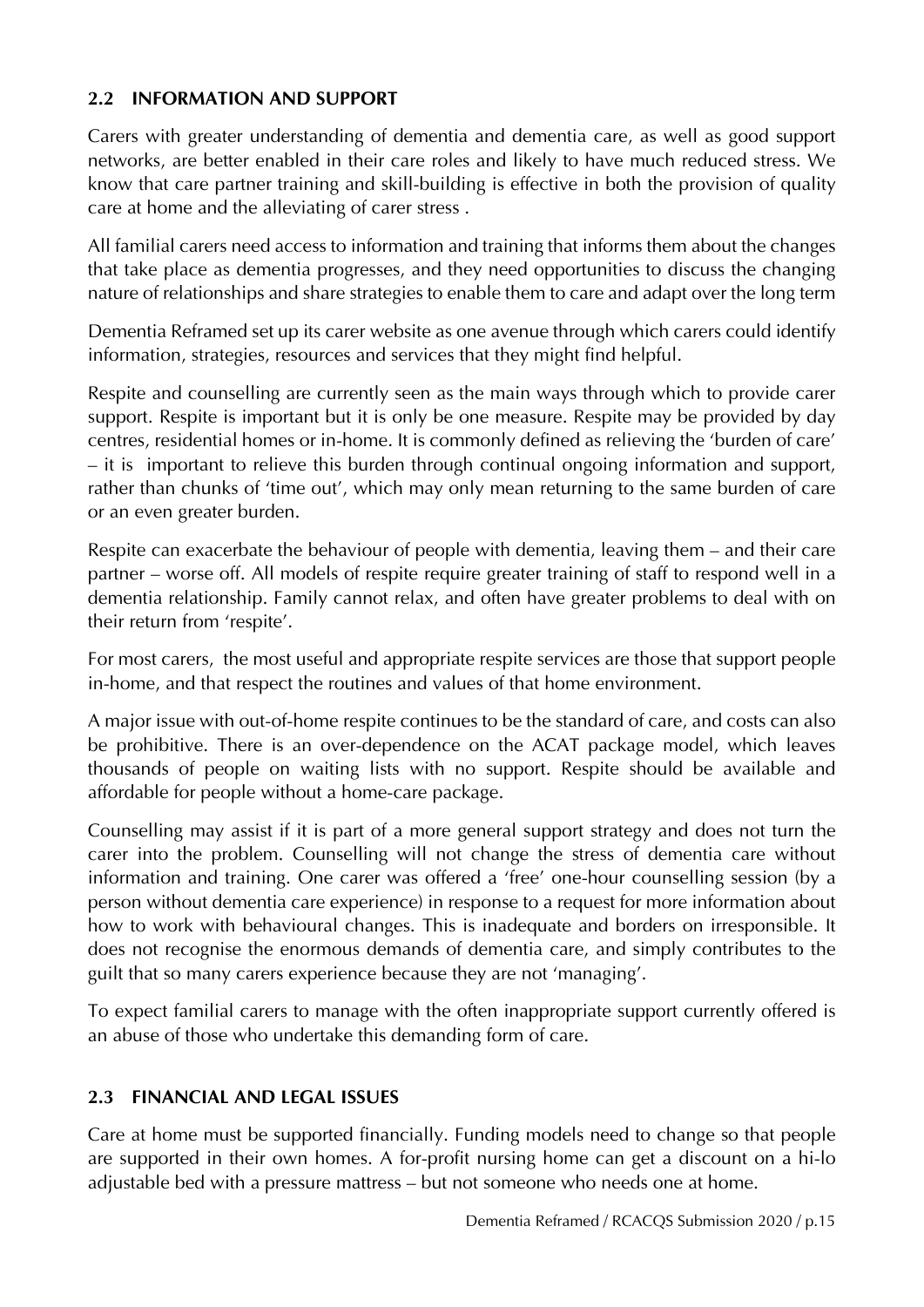#### **2.2 INFORMATION AND SUPPORT**

Carers with greater understanding of dementia and dementia care, as well as good support networks, are better enabled in their care roles and likely to have much reduced stress. We know that care partner training and skill-building is effective in both the provision of quality care at home and the alleviating of carer stress .

All familial carers need access to information and training that informs them about the changes that take place as dementia progresses, and they need opportunities to discuss the changing nature of relationships and share strategies to enable them to care and adapt over the long term

Dementia Reframed set up its carer website as one avenue through which carers could identify information, strategies, resources and services that they might find helpful.

Respite and counselling are currently seen as the main ways through which to provide carer support. Respite is important but it is only be one measure. Respite may be provided by day centres, residential homes or in-home. It is commonly defined as relieving the 'burden of care' – it is important to relieve this burden through continual ongoing information and support, rather than chunks of 'time out', which may only mean returning to the same burden of care or an even greater burden.

Respite can exacerbate the behaviour of people with dementia, leaving them – and their care partner – worse off. All models of respite require greater training of staff to respond well in a dementia relationship. Family cannot relax, and often have greater problems to deal with on their return from 'respite'.

For most carers, the most useful and appropriate respite services are those that support people in-home, and that respect the routines and values of that home environment.

A major issue with out-of-home respite continues to be the standard of care, and costs can also be prohibitive. There is an over-dependence on the ACAT package model, which leaves thousands of people on waiting lists with no support. Respite should be available and affordable for people without a home-care package.

Counselling may assist if it is part of a more general support strategy and does not turn the carer into the problem. Counselling will not change the stress of dementia care without information and training. One carer was offered a 'free' one-hour counselling session (by a person without dementia care experience) in response to a request for more information about how to work with behavioural changes. This is inadequate and borders on irresponsible. It does not recognise the enormous demands of dementia care, and simply contributes to the guilt that so many carers experience because they are not 'managing'.

To expect familial carers to manage with the often inappropriate support currently offered is an abuse of those who undertake this demanding form of care.

#### **2.3 FINANCIAL AND LEGAL ISSUES**

Care at home must be supported financially. Funding models need to change so that people are supported in their own homes. A for-profit nursing home can get a discount on a hi-lo adjustable bed with a pressure mattress – but not someone who needs one at home.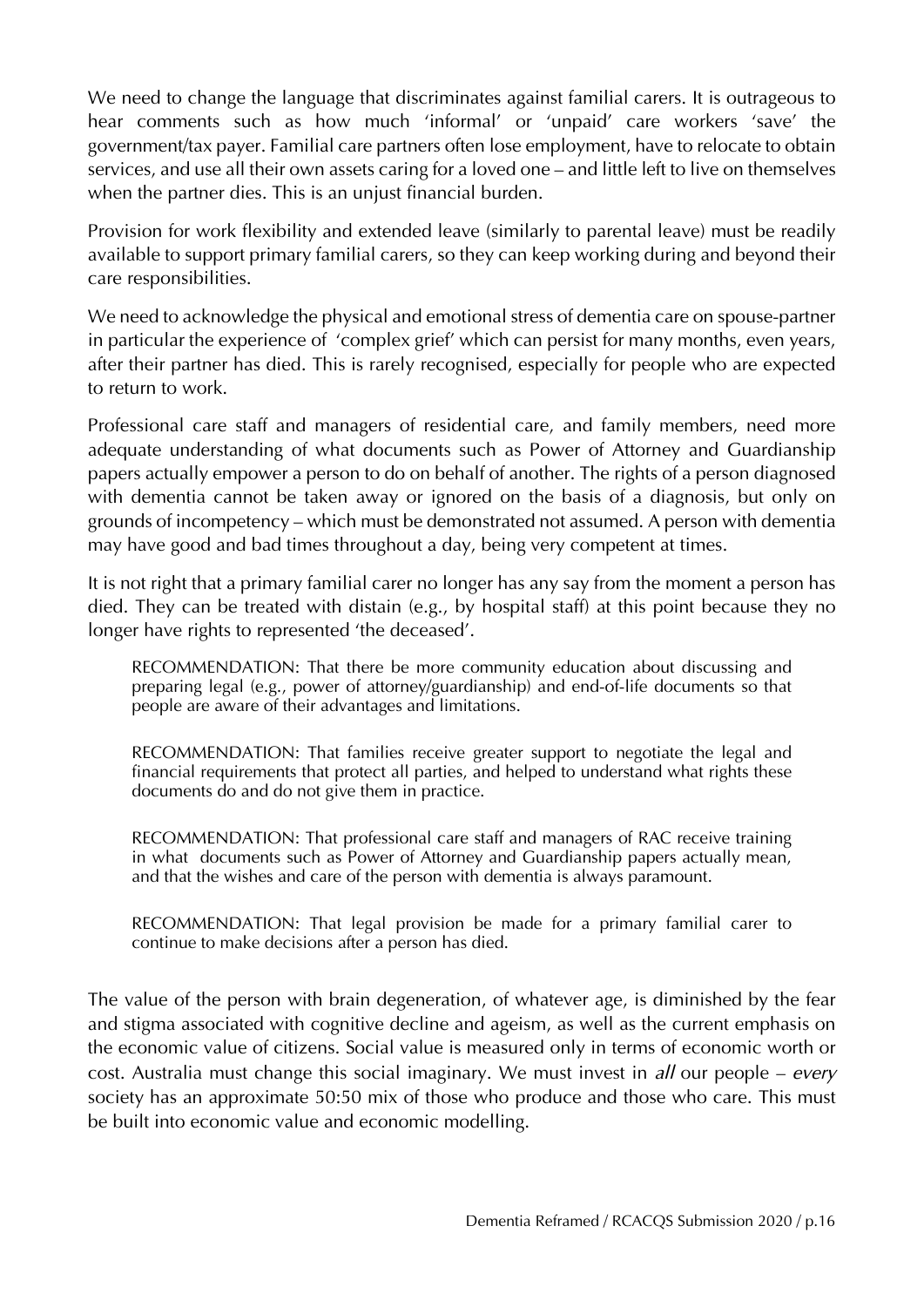We need to change the language that discriminates against familial carers. It is outrageous to hear comments such as how much 'informal' or 'unpaid' care workers 'save' the government/tax payer. Familial care partners often lose employment, have to relocate to obtain services, and use all their own assets caring for a loved one – and little left to live on themselves when the partner dies. This is an unjust financial burden.

Provision for work flexibility and extended leave (similarly to parental leave) must be readily available to support primary familial carers, so they can keep working during and beyond their care responsibilities.

We need to acknowledge the physical and emotional stress of dementia care on spouse-partner in particular the experience of 'complex grief' which can persist for many months, even years, after their partner has died. This is rarely recognised, especially for people who are expected to return to work.

Professional care staff and managers of residential care, and family members, need more adequate understanding of what documents such as Power of Attorney and Guardianship papers actually empower a person to do on behalf of another. The rights of a person diagnosed with dementia cannot be taken away or ignored on the basis of a diagnosis, but only on grounds of incompetency – which must be demonstrated not assumed. A person with dementia may have good and bad times throughout a day, being very competent at times.

It is not right that a primary familial carer no longer has any say from the moment a person has died. They can be treated with distain (e.g., by hospital staff) at this point because they no longer have rights to represented 'the deceased'.

RECOMMENDATION: That there be more community education about discussing and preparing legal (e.g., power of attorney/guardianship) and end-of-life documents so that people are aware of their advantages and limitations.

RECOMMENDATION: That families receive greater support to negotiate the legal and financial requirements that protect all parties, and helped to understand what rights these documents do and do not give them in practice.

RECOMMENDATION: That professional care staff and managers of RAC receive training in what documents such as Power of Attorney and Guardianship papers actually mean, and that the wishes and care of the person with dementia is always paramount.

RECOMMENDATION: That legal provision be made for a primary familial carer to continue to make decisions after a person has died.

The value of the person with brain degeneration, of whatever age, is diminished by the fear and stigma associated with cognitive decline and ageism, as well as the current emphasis on the economic value of citizens. Social value is measured only in terms of economic worth or cost. Australia must change this social imaginary. We must invest in *all* our people – *every* society has an approximate 50:50 mix of those who produce and those who care. This must be built into economic value and economic modelling.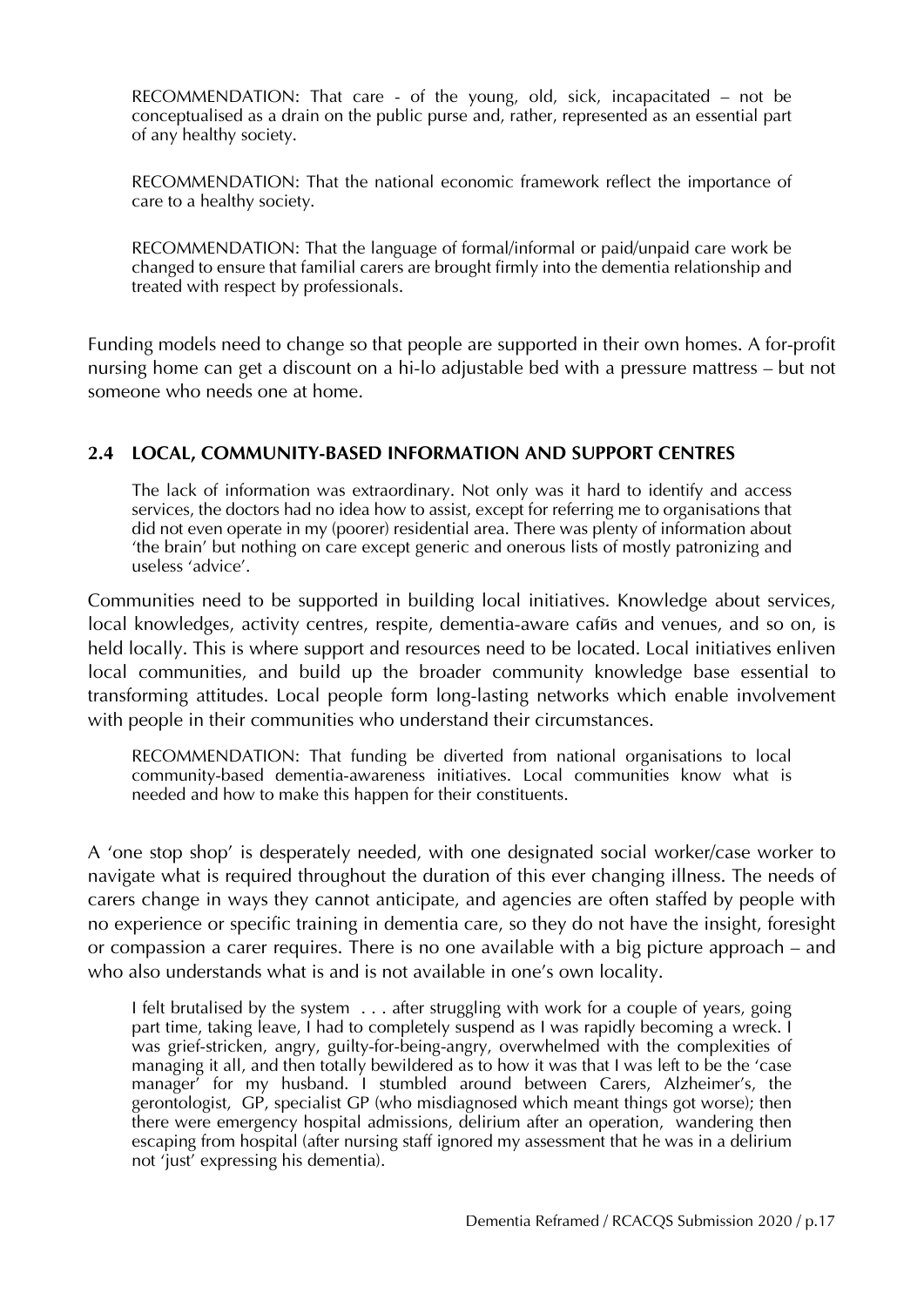RECOMMENDATION: That care - of the young, old, sick, incapacitated – not be conceptualised as a drain on the public purse and, rather, represented as an essential part of any healthy society.

RECOMMENDATION: That the national economic framework reflect the importance of care to a healthy society.

RECOMMENDATION: That the language of formal/informal or paid/unpaid care work be changed to ensure that familial carers are brought firmly into the dementia relationship and treated with respect by professionals.

Funding models need to change so that people are supported in their own homes. A for-profit nursing home can get a discount on a hi-lo adjustable bed with a pressure mattress – but not someone who needs one at home.

#### **2.4 LOCAL, COMMUNITY-BASED INFORMATION AND SUPPORT CENTRES**

The lack of information was extraordinary. Not only was it hard to identify and access services, the doctors had no idea how to assist, except for referring me to organisations that did not even operate in my (poorer) residential area. There was plenty of information about 'the brain' but nothing on care except generic and onerous lists of mostly patronizing and useless 'advice'.

Communities need to be supported in building local initiatives. Knowledge about services, local knowledges, activity centres, respite, dementia-aware cafus and venues, and so on, is held locally. This is where support and resources need to be located. Local initiatives enliven local communities, and build up the broader community knowledge base essential to transforming attitudes. Local people form long-lasting networks which enable involvement with people in their communities who understand their circumstances.

RECOMMENDATION: That funding be diverted from national organisations to local community-based dementia-awareness initiatives. Local communities know what is needed and how to make this happen for their constituents.

A 'one stop shop' is desperately needed, with one designated social worker/case worker to navigate what is required throughout the duration of this ever changing illness. The needs of carers change in ways they cannot anticipate, and agencies are often staffed by people with no experience or specific training in dementia care, so they do not have the insight, foresight or compassion a carer requires. There is no one available with a big picture approach – and who also understands what is and is not available in one's own locality.

I felt brutalised by the system . . . after struggling with work for a couple of years, going part time, taking leave, I had to completely suspend as I was rapidly becoming a wreck. I was grief-stricken, angry, guilty-for-being-angry, overwhelmed with the complexities of managing it all, and then totally bewildered as to how it was that I was left to be the 'case manager' for my husband. I stumbled around between Carers, Alzheimer's, the gerontologist,  $GP$ , specialist GP (who misdiagnosed which meant things got worse); then there were emergency hospital admissions, delirium after an operation, wandering then escaping from hospital (after nursing staff ignored my assessment that he was in a delirium not 'just' expressing his dementia).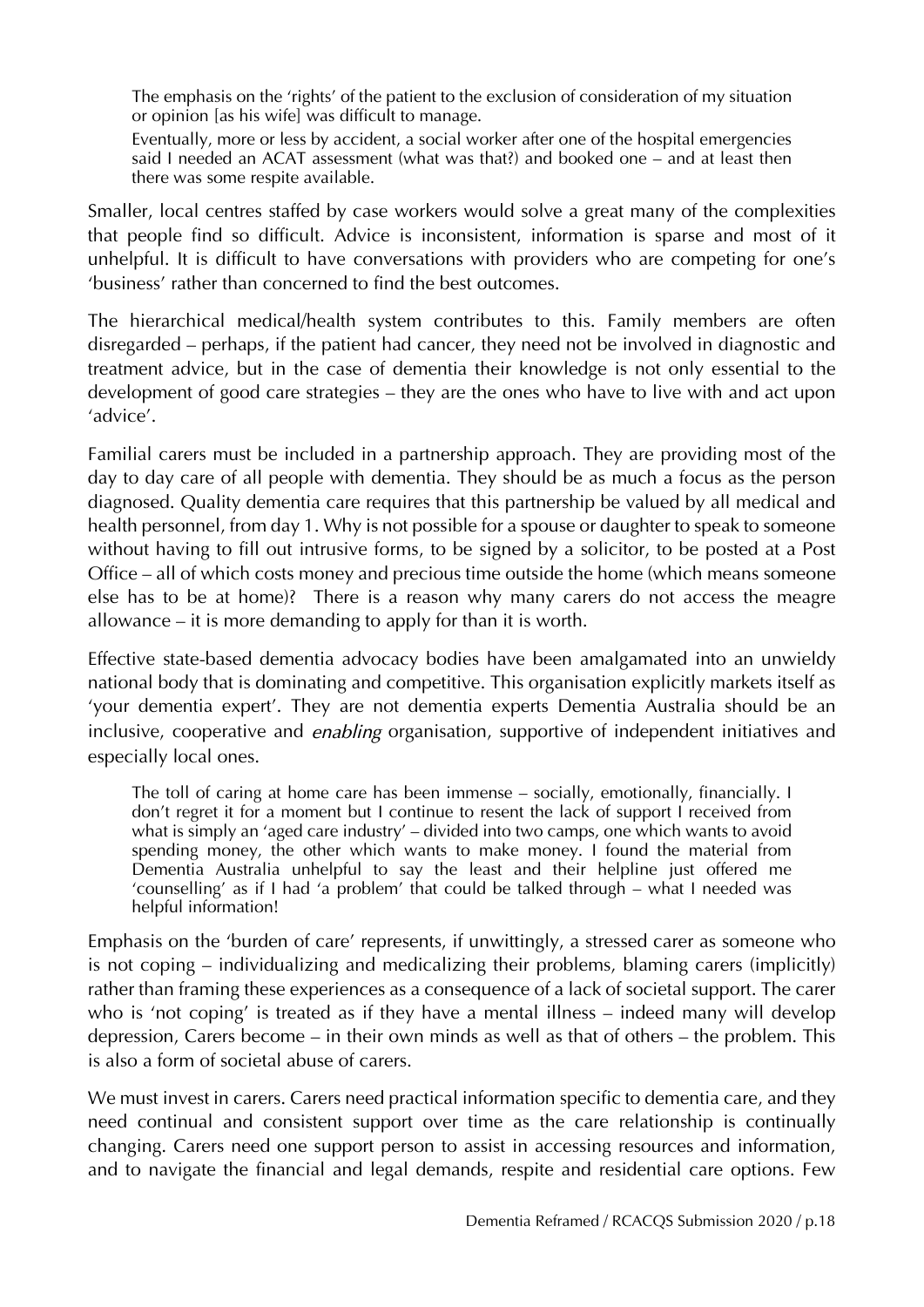The emphasis on the 'rights' of the patient to the exclusion of consideration of my situation or opinion [as his wife] was difficult to manage.

Eventually, more or less by accident, a social worker after one of the hospital emergencies said I needed an ACAT assessment (what was that?) and booked one – and at least then there was some respite available.

Smaller, local centres staffed by case workers would solve a great many of the complexities that people find so difficult. Advice is inconsistent, information is sparse and most of it unhelpful. It is difficult to have conversations with providers who are competing for one's 'business' rather than concerned to find the best outcomes.

The hierarchical medical/health system contributes to this. Family members are often disregarded – perhaps, if the patient had cancer, they need not be involved in diagnostic and treatment advice, but in the case of dementia their knowledge is not only essential to the development of good care strategies – they are the ones who have to live with and act upon 'advice'.

Familial carers must be included in a partnership approach. They are providing most of the day to day care of all people with dementia. They should be as much a focus as the person diagnosed. Quality dementia care requires that this partnership be valued by all medical and health personnel, from day 1. Why is not possible for a spouse or daughter to speak to someone without having to fill out intrusive forms, to be signed by a solicitor, to be posted at a Post Office – all of which costs money and precious time outside the home (which means someone else has to be at home)? There is a reason why many carers do not access the meagre allowance – it is more demanding to apply for than it is worth.

Effective state-based dementia advocacy bodies have been amalgamated into an unwieldy national body that is dominating and competitive. This organisation explicitly markets itself as 'your dementia expert'. They are not dementia experts Dementia Australia should be an inclusive, cooperative and *enabling* organisation, supportive of independent initiatives and especially local ones.

The toll of caring at home care has been immense – socially, emotionally, financially. I don't regret it for a moment but I continue to resent the lack of support I received from what is simply an 'aged care industry' – divided into two camps, one which wants to avoid spending money, the other which wants to make money. I found the material from Dementia Australia unhelpful to say the least and their helpline just offered me 'counselling' as if I had 'a problem' that could be talked through – what I needed was helpful information!

Emphasis on the 'burden of care' represents, if unwittingly, a stressed carer as someone who is not coping – individualizing and medicalizing their problems, blaming carers (implicitly) rather than framing these experiences as a consequence of a lack of societal support. The carer who is 'not coping' is treated as if they have a mental illness – indeed many will develop depression, Carers become – in their own minds as well as that of others – the problem. This is also a form of societal abuse of carers.

We must invest in carers. Carers need practical information specific to dementia care, and they need continual and consistent support over time as the care relationship is continually changing. Carers need one support person to assist in accessing resources and information, and to navigate the financial and legal demands, respite and residential care options. Few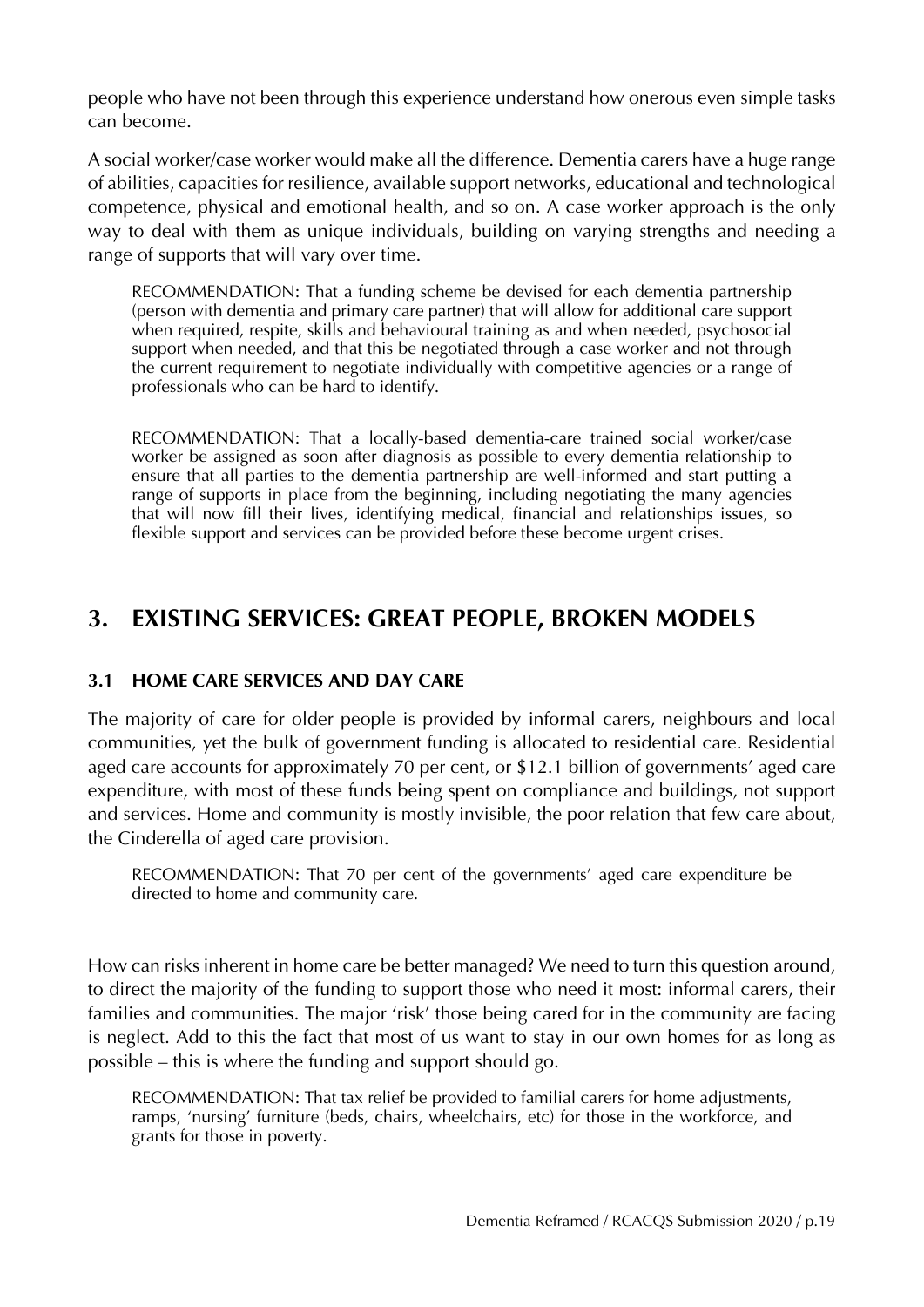people who have not been through this experience understand how onerous even simple tasks can become.

A social worker/case worker would make all the difference. Dementia carers have a huge range of abilities, capacities for resilience, available support networks, educational and technological competence, physical and emotional health, and so on. A case worker approach is the only way to deal with them as unique individuals, building on varying strengths and needing a range of supports that will vary over time.

RECOMMENDATION: That a funding scheme be devised for each dementia partnership (person with dementia and primary care partner) that will allow for additional care support when required, respite, skills and behavioural training as and when needed, psychosocial support when needed, and that this be negotiated through a case worker and not through the current requirement to negotiate individually with competitive agencies or a range of professionals who can be hard to identify.

RECOMMENDATION: That a locally-based dementia-care trained social worker/case worker be assigned as soon after diagnosis as possible to every dementia relationship to ensure that all parties to the dementia partnership are well-informed and start putting a range of supports in place from the beginning, including negotiating the many agencies that will now fill their lives, identifying medical, financial and relationships issues, so flexible support and services can be provided before these become urgent crises.

### **3. EXISTING SERVICES: GREAT PEOPLE, BROKEN MODELS**

#### **3.1 HOME CARE SERVICES AND DAY CARE**

The majority of care for older people is provided by informal carers, neighbours and local communities, yet the bulk of government funding is allocated to residential care. Residential aged care accounts for approximately 70 per cent, or \$12.1 billion of governments' aged care expenditure, with most of these funds being spent on compliance and buildings, not support and services. Home and community is mostly invisible, the poor relation that few care about, the Cinderella of aged care provision.

RECOMMENDATION: That 70 per cent of the governments' aged care expenditure be directed to home and community care.

How can risks inherent in home care be better managed? We need to turn this question around, to direct the majority of the funding to support those who need it most: informal carers, their families and communities. The major 'risk' those being cared for in the community are facing is neglect. Add to this the fact that most of us want to stay in our own homes for as long as possible – this is where the funding and support should go.

RECOMMENDATION: That tax relief be provided to familial carers for home adjustments, ramps, 'nursing' furniture (beds, chairs, wheelchairs, etc) for those in the workforce, and grants for those in poverty.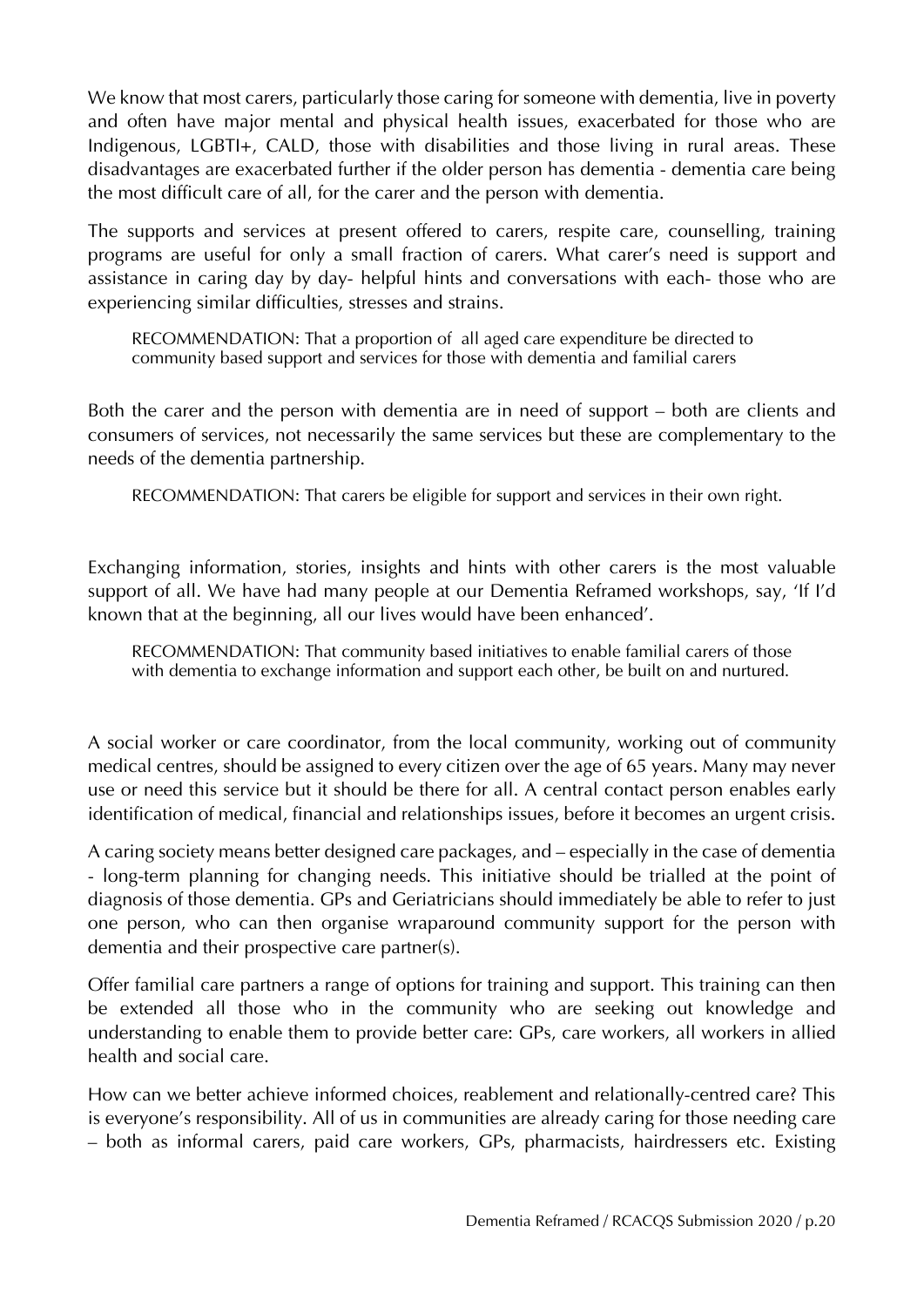We know that most carers, particularly those caring for someone with dementia, live in poverty and often have major mental and physical health issues, exacerbated for those who are Indigenous, LGBTI+, CALD, those with disabilities and those living in rural areas. These disadvantages are exacerbated further if the older person has dementia - dementia care being the most difficult care of all, for the carer and the person with dementia.

The supports and services at present offered to carers, respite care, counselling, training programs are useful for only a small fraction of carers. What carer's need is support and assistance in caring day by day- helpful hints and conversations with each- those who are experiencing similar difficulties, stresses and strains.

RECOMMENDATION: That a proportion of all aged care expenditure be directed to community based support and services for those with dementia and familial carers

Both the carer and the person with dementia are in need of support – both are clients and consumers of services, not necessarily the same services but these are complementary to the needs of the dementia partnership.

RECOMMENDATION: That carers be eligible for support and services in their own right.

Exchanging information, stories, insights and hints with other carers is the most valuable support of all. We have had many people at our Dementia Reframed workshops, say, 'If I'd known that at the beginning, all our lives would have been enhanced'.

RECOMMENDATION: That community based initiatives to enable familial carers of those with dementia to exchange information and support each other, be built on and nurtured.

A social worker or care coordinator, from the local community, working out of community medical centres, should be assigned to every citizen over the age of 65 years. Many may never use or need this service but it should be there for all. A central contact person enables early identification of medical, financial and relationships issues, before it becomes an urgent crisis.

A caring society means better designed care packages, and – especially in the case of dementia - long-term planning for changing needs. This initiative should be trialled at the point of diagnosis of those dementia. GPs and Geriatricians should immediately be able to refer to just one person, who can then organise wraparound community support for the person with dementia and their prospective care partner(s).

Offer familial care partners a range of options for training and support. This training can then be extended all those who in the community who are seeking out knowledge and understanding to enable them to provide better care: GPs, care workers, all workers in allied health and social care.

How can we better achieve informed choices, reablement and relationally-centred care? This is everyone's responsibility. All of us in communities are already caring for those needing care – both as informal carers, paid care workers, GPs, pharmacists, hairdressers etc. Existing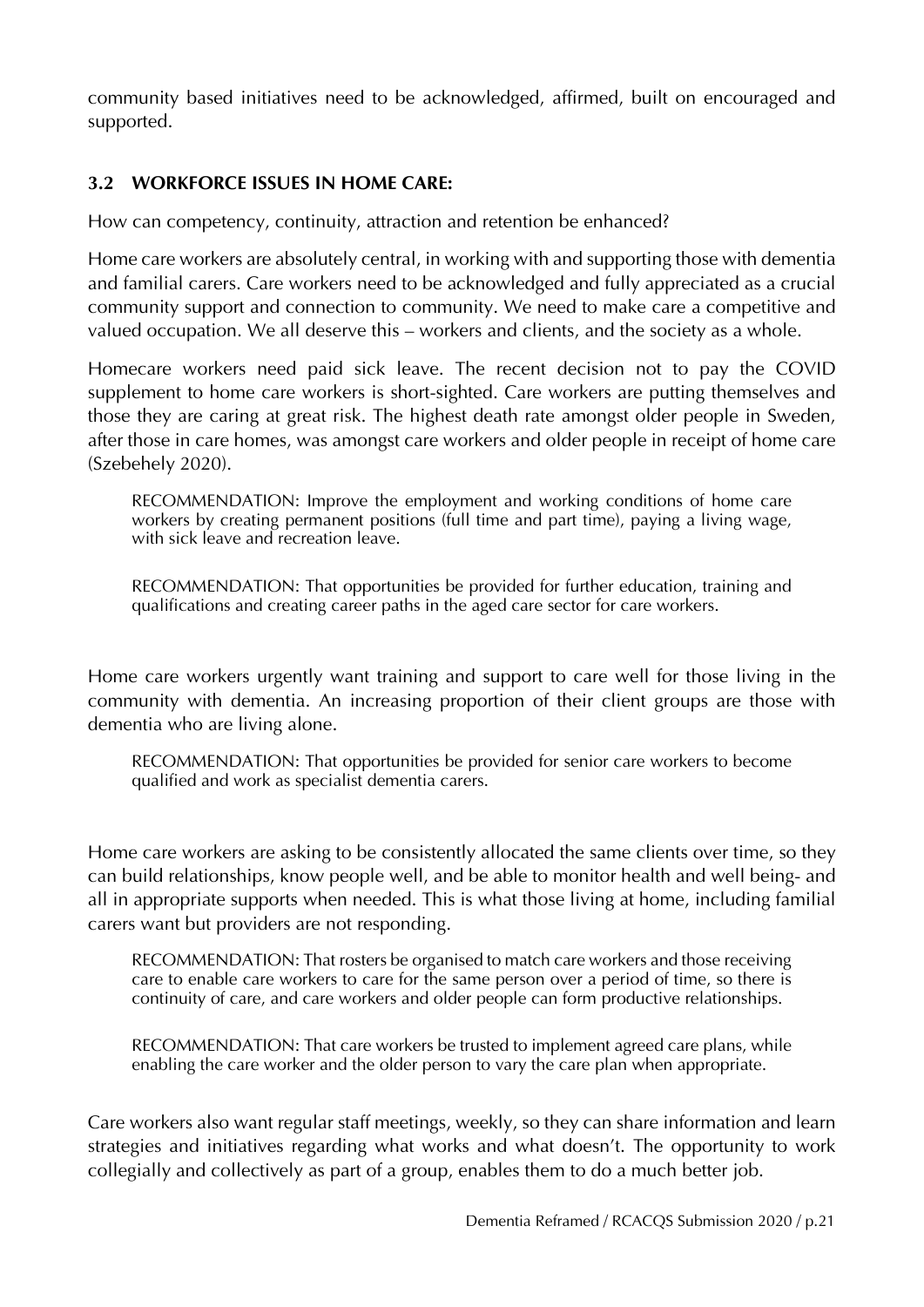community based initiatives need to be acknowledged, affirmed, built on encouraged and supported.

#### **3.2 WORKFORCE ISSUES IN HOME CARE:**

How can competency, continuity, attraction and retention be enhanced?

Home care workers are absolutely central, in working with and supporting those with dementia and familial carers. Care workers need to be acknowledged and fully appreciated as a crucial community support and connection to community. We need to make care a competitive and valued occupation. We all deserve this – workers and clients, and the society as a whole.

Homecare workers need paid sick leave. The recent decision not to pay the COVID supplement to home care workers is short-sighted. Care workers are putting themselves and those they are caring at great risk. The highest death rate amongst older people in Sweden, after those in care homes, was amongst care workers and older people in receipt of home care (Szebehely 2020).

RECOMMENDATION: Improve the employment and working conditions of home care workers by creating permanent positions (full time and part time), paying a living wage, with sick leave and recreation leave.

RECOMMENDATION: That opportunities be provided for further education, training and qualifications and creating career paths in the aged care sector for care workers.

Home care workers urgently want training and support to care well for those living in the community with dementia. An increasing proportion of their client groups are those with dementia who are living alone.

RECOMMENDATION: That opportunities be provided for senior care workers to become qualified and work as specialist dementia carers.

Home care workers are asking to be consistently allocated the same clients over time, so they can build relationships, know people well, and be able to monitor health and well being- and all in appropriate supports when needed. This is what those living at home, including familial carers want but providers are not responding.

RECOMMENDATION: That rosters be organised to match care workers and those receiving care to enable care workers to care for the same person over a period of time, so there is continuity of care, and care workers and older people can form productive relationships.

RECOMMENDATION: That care workers be trusted to implement agreed care plans, while enabling the care worker and the older person to vary the care plan when appropriate.

Care workers also want regular staff meetings, weekly, so they can share information and learn strategies and initiatives regarding what works and what doesn't. The opportunity to work collegially and collectively as part of a group, enables them to do a much better job.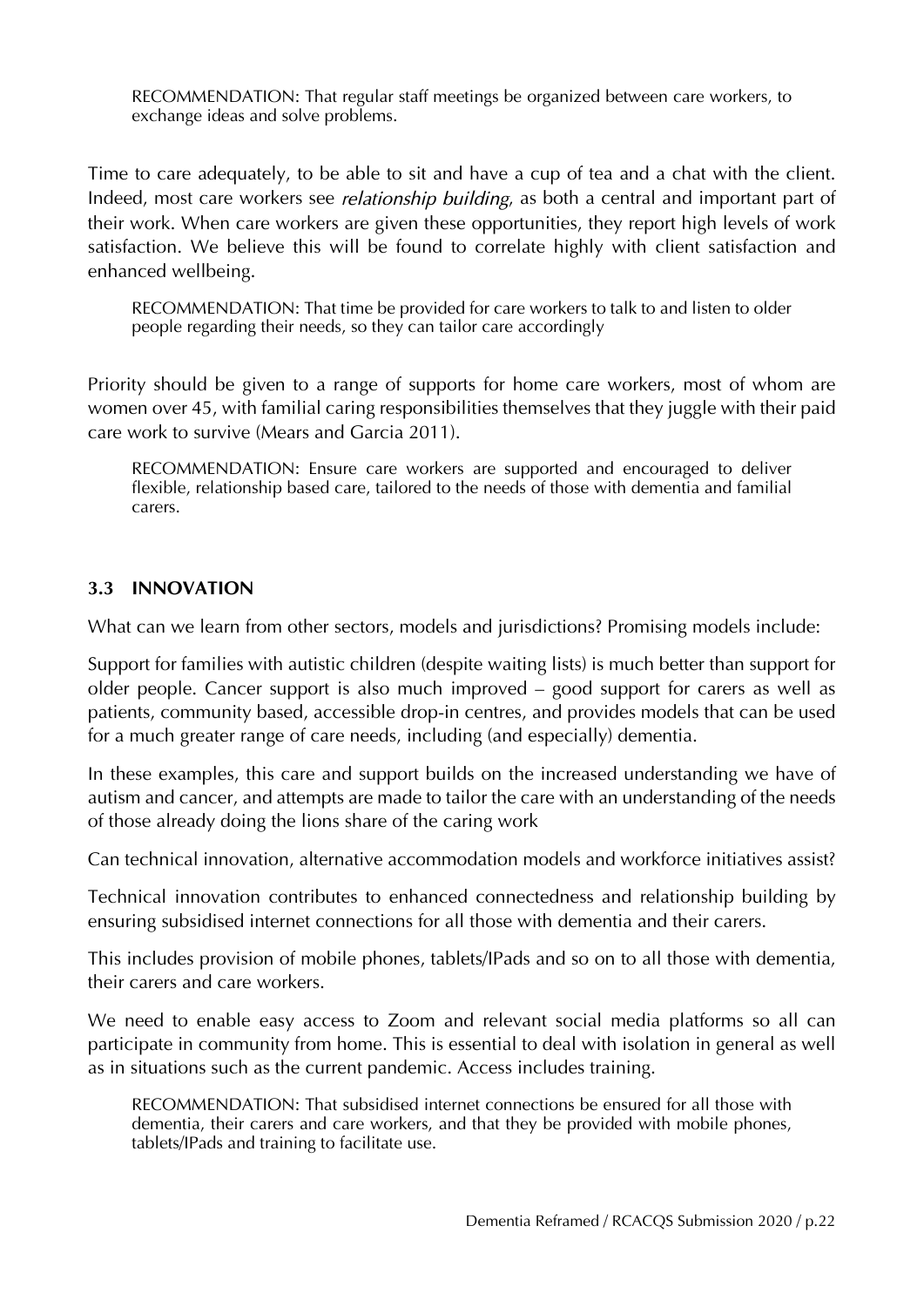RECOMMENDATION: That regular staff meetings be organized between care workers, to exchange ideas and solve problems.

Time to care adequately, to be able to sit and have a cup of tea and a chat with the client. Indeed, most care workers see *relationship building*, as both a central and important part of their work. When care workers are given these opportunities, they report high levels of work satisfaction. We believe this will be found to correlate highly with client satisfaction and enhanced wellbeing.

RECOMMENDATION: That time be provided for care workers to talk to and listen to older people regarding their needs, so they can tailor care accordingly

Priority should be given to a range of supports for home care workers, most of whom are women over 45, with familial caring responsibilities themselves that they juggle with their paid care work to survive (Mears and Garcia 2011).

RECOMMENDATION: Ensure care workers are supported and encouraged to deliver flexible, relationship based care, tailored to the needs of those with dementia and familial carers.

#### **3.3 INNOVATION**

What can we learn from other sectors, models and jurisdictions? Promising models include:

Support for families with autistic children (despite waiting lists) is much better than support for older people. Cancer support is also much improved – good support for carers as well as patients, community based, accessible drop-in centres, and provides models that can be used for a much greater range of care needs, including (and especially) dementia.

In these examples, this care and support builds on the increased understanding we have of autism and cancer, and attempts are made to tailor the care with an understanding of the needs of those already doing the lions share of the caring work

Can technical innovation, alternative accommodation models and workforce initiatives assist?

Technical innovation contributes to enhanced connectedness and relationship building by ensuring subsidised internet connections for all those with dementia and their carers.

This includes provision of mobile phones, tablets/IPads and so on to all those with dementia, their carers and care workers.

We need to enable easy access to Zoom and relevant social media platforms so all can participate in community from home. This is essential to deal with isolation in general as well as in situations such as the current pandemic. Access includes training.

RECOMMENDATION: That subsidised internet connections be ensured for all those with dementia, their carers and care workers, and that they be provided with mobile phones, tablets/IPads and training to facilitate use.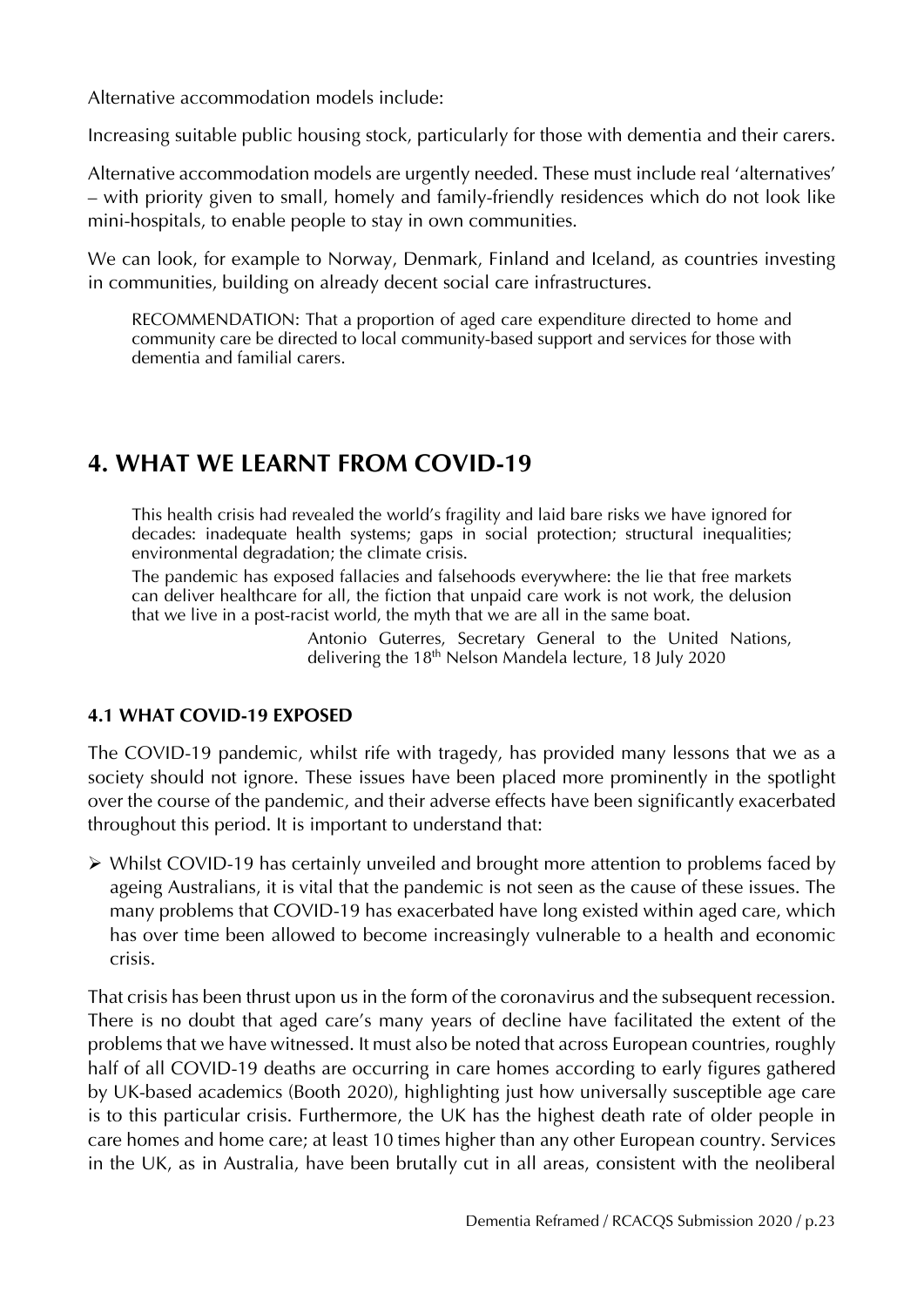Alternative accommodation models include:

Increasing suitable public housing stock, particularly for those with dementia and their carers.

Alternative accommodation models are urgently needed. These must include real 'alternatives' – with priority given to small, homely and family-friendly residences which do not look like mini-hospitals, to enable people to stay in own communities.

We can look, for example to Norway, Denmark, Finland and Iceland, as countries investing in communities, building on already decent social care infrastructures.

RECOMMENDATION: That a proportion of aged care expenditure directed to home and community care be directed to local community-based support and services for those with dementia and familial carers.

### **4. WHAT WE LEARNT FROM COVID-19**

This health crisis had revealed the world's fragility and laid bare risks we have ignored for decades: inadequate health systems; gaps in social protection; structural inequalities; environmental degradation; the climate crisis.

The pandemic has exposed fallacies and falsehoods everywhere: the lie that free markets can deliver healthcare for all, the fiction that unpaid care work is not work, the delusion that we live in a post-racist world, the myth that we are all in the same boat.

> Antonio Guterres, Secretary General to the United Nations, delivering the 18<sup>th</sup> Nelson Mandela lecture, 18 July 2020

#### **4.1 WHAT COVID-19 EXPOSED**

The COVID-19 pandemic, whilst rife with tragedy, has provided many lessons that we as a society should not ignore. These issues have been placed more prominently in the spotlight over the course of the pandemic, and their adverse effects have been significantly exacerbated throughout this period. It is important to understand that:

 $\triangleright$  Whilst COVID-19 has certainly unveiled and brought more attention to problems faced by ageing Australians, it is vital that the pandemic is not seen as the cause of these issues. The many problems that COVID-19 has exacerbated have long existed within aged care, which has over time been allowed to become increasingly vulnerable to a health and economic crisis.

That crisis has been thrust upon us in the form of the coronavirus and the subsequent recession. There is no doubt that aged care's many years of decline have facilitated the extent of the problems that we have witnessed. It must also be noted that across European countries, roughly half of all COVID-19 deaths are occurring in care homes according to early figures gathered by UK-based academics (Booth 2020), highlighting just how universally susceptible age care is to this particular crisis. Furthermore, the UK has the highest death rate of older people in care homes and home care; at least 10 times higher than any other European country. Services in the UK, as in Australia, have been brutally cut in all areas, consistent with the neoliberal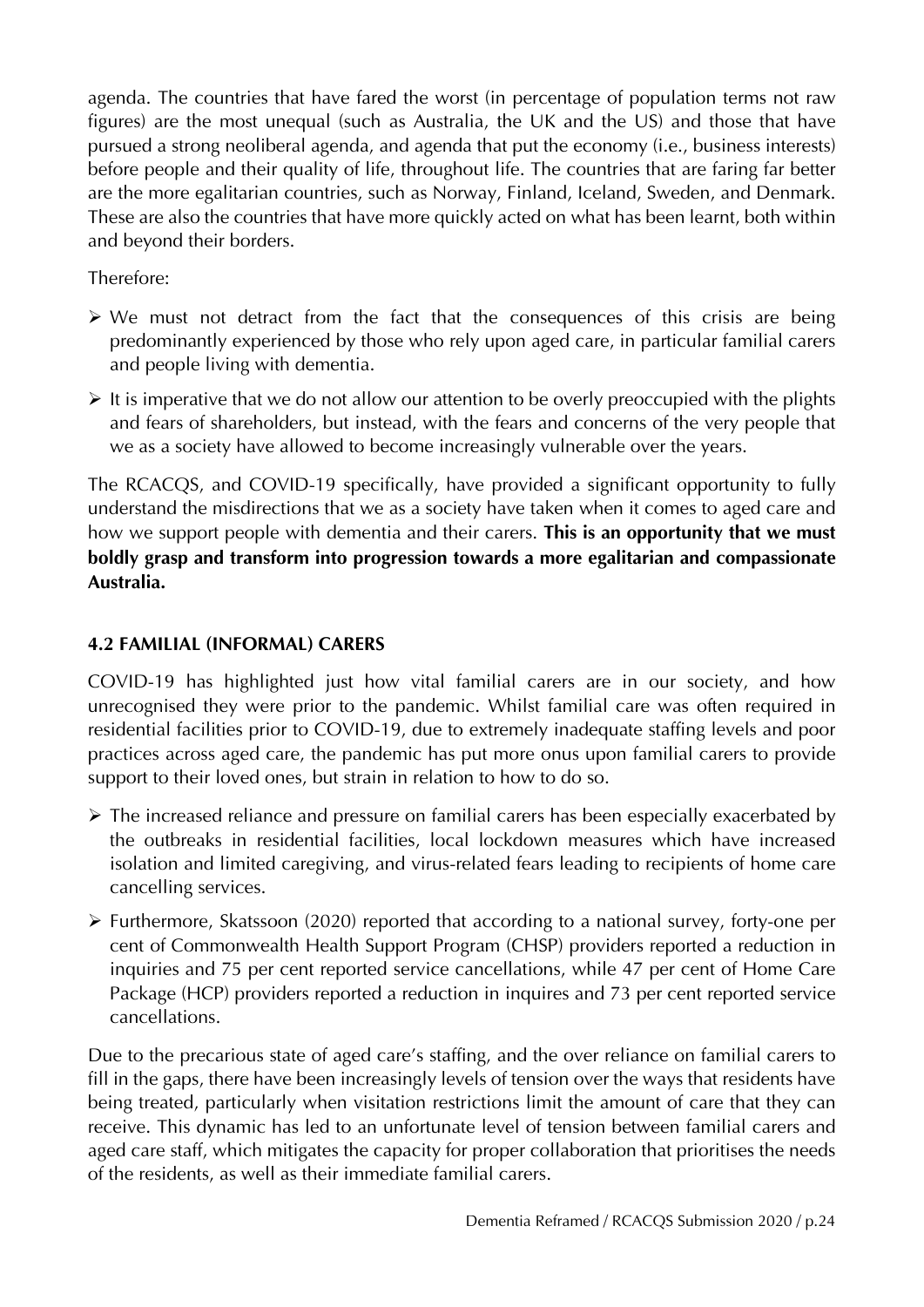agenda. The countries that have fared the worst (in percentage of population terms not raw figures) are the most unequal (such as Australia, the UK and the US) and those that have pursued a strong neoliberal agenda, and agenda that put the economy (i.e., business interests) before people and their quality of life, throughout life. The countries that are faring far better are the more egalitarian countries, such as Norway, Finland, Iceland, Sweden, and Denmark. These are also the countries that have more quickly acted on what has been learnt, both within and beyond their borders.

Therefore:

- $\triangleright$  We must not detract from the fact that the consequences of this crisis are being predominantly experienced by those who rely upon aged care, in particular familial carers and people living with dementia.
- $\triangleright$  It is imperative that we do not allow our attention to be overly preoccupied with the plights and fears of shareholders, but instead, with the fears and concerns of the very people that we as a society have allowed to become increasingly vulnerable over the years.

The RCACQS, and COVID-19 specifically, have provided a significant opportunity to fully understand the misdirections that we as a society have taken when it comes to aged care and how we support people with dementia and their carers. **This is an opportunity that we must boldly grasp and transform into progression towards a more egalitarian and compassionate Australia.**

#### **4.2 FAMILIAL (INFORMAL) CARERS**

COVID-19 has highlighted just how vital familial carers are in our society, and how unrecognised they were prior to the pandemic. Whilst familial care was often required in residential facilities prior to COVID-19, due to extremely inadequate staffing levels and poor practices across aged care, the pandemic has put more onus upon familial carers to provide support to their loved ones, but strain in relation to how to do so.

- The increased reliance and pressure on familial carers has been especially exacerbated by the outbreaks in residential facilities, local lockdown measures which have increased isolation and limited caregiving, and virus-related fears leading to recipients of home care cancelling services.
- Furthermore, Skatssoon (2020) reported that according to a national survey, forty-one per cent of Commonwealth Health Support Program (CHSP) providers reported a reduction in inquiries and 75 per cent reported service cancellations, while 47 per cent of Home Care Package (HCP) providers reported a reduction in inquires and 73 per cent reported service cancellations.

Due to the precarious state of aged care's staffing, and the over reliance on familial carers to fill in the gaps, there have been increasingly levels of tension over the ways that residents have being treated, particularly when visitation restrictions limit the amount of care that they can receive. This dynamic has led to an unfortunate level of tension between familial carers and aged care staff, which mitigates the capacity for proper collaboration that prioritises the needs of the residents, as well as their immediate familial carers.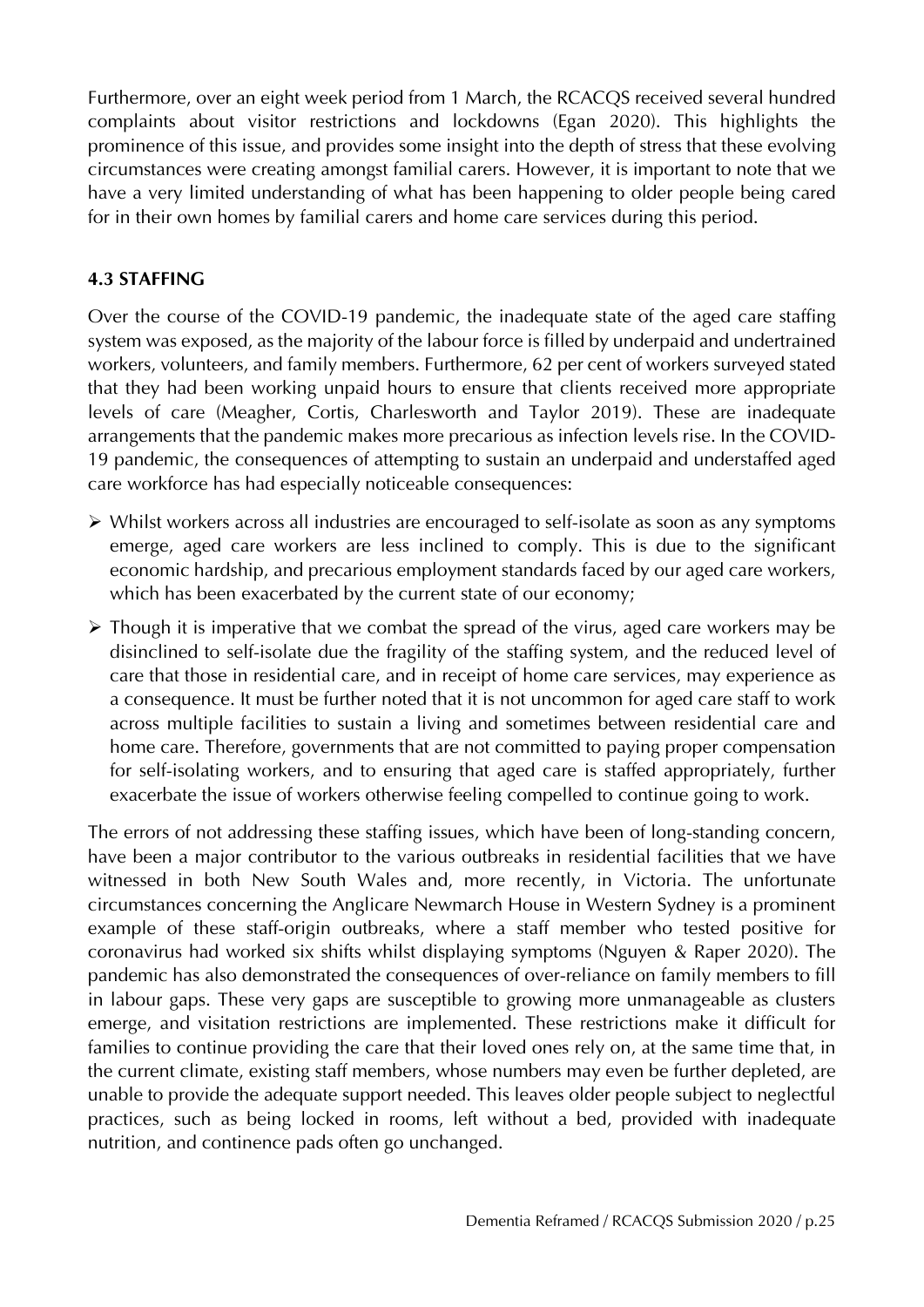Furthermore, over an eight week period from 1 March, the RCACQS received several hundred complaints about visitor restrictions and lockdowns (Egan 2020). This highlights the prominence of this issue, and provides some insight into the depth of stress that these evolving circumstances were creating amongst familial carers. However, it is important to note that we have a very limited understanding of what has been happening to older people being cared for in their own homes by familial carers and home care services during this period.

#### **4.3 STAFFING**

Over the course of the COVID-19 pandemic, the inadequate state of the aged care staffing system was exposed, as the majority of the labour force is filled by underpaid and undertrained workers, volunteers, and family members. Furthermore, 62 per cent of workers surveyed stated that they had been working unpaid hours to ensure that clients received more appropriate levels of care (Meagher, Cortis, Charlesworth and Taylor 2019). These are inadequate arrangements that the pandemic makes more precarious as infection levels rise. In the COVID-19 pandemic, the consequences of attempting to sustain an underpaid and understaffed aged care workforce has had especially noticeable consequences:

- Whilst workers across all industries are encouraged to self-isolate as soon as any symptoms emerge, aged care workers are less inclined to comply. This is due to the significant economic hardship, and precarious employment standards faced by our aged care workers, which has been exacerbated by the current state of our economy;
- $\triangleright$  Though it is imperative that we combat the spread of the virus, aged care workers may be disinclined to self-isolate due the fragility of the staffing system, and the reduced level of care that those in residential care, and in receipt of home care services, may experience as a consequence. It must be further noted that it is not uncommon for aged care staff to work across multiple facilities to sustain a living and sometimes between residential care and home care. Therefore, governments that are not committed to paying proper compensation for self-isolating workers, and to ensuring that aged care is staffed appropriately, further exacerbate the issue of workers otherwise feeling compelled to continue going to work.

The errors of not addressing these staffing issues, which have been of long-standing concern, have been a major contributor to the various outbreaks in residential facilities that we have witnessed in both New South Wales and, more recently, in Victoria. The unfortunate circumstances concerning the Anglicare Newmarch House in Western Sydney is a prominent example of these staff-origin outbreaks, where a staff member who tested positive for coronavirus had worked six shifts whilst displaying symptoms (Nguyen & Raper 2020). The pandemic has also demonstrated the consequences of over-reliance on family members to fill in labour gaps. These very gaps are susceptible to growing more unmanageable as clusters emerge, and visitation restrictions are implemented. These restrictions make it difficult for families to continue providing the care that their loved ones rely on, at the same time that, in the current climate, existing staff members, whose numbers may even be further depleted, are unable to provide the adequate support needed. This leaves older people subject to neglectful practices, such as being locked in rooms, left without a bed, provided with inadequate nutrition, and continence pads often go unchanged.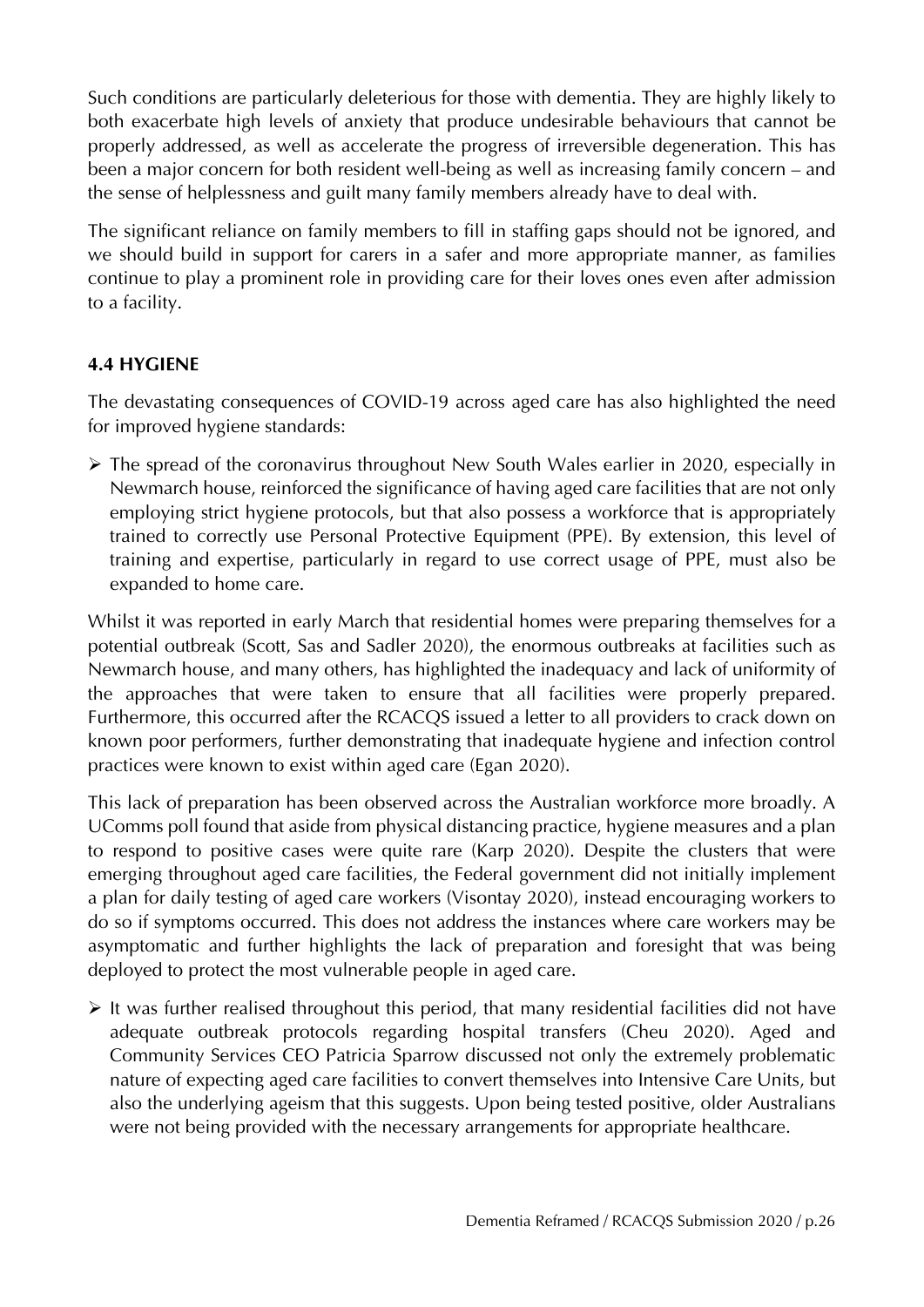Such conditions are particularly deleterious for those with dementia. They are highly likely to both exacerbate high levels of anxiety that produce undesirable behaviours that cannot be properly addressed, as well as accelerate the progress of irreversible degeneration. This has been a major concern for both resident well-being as well as increasing family concern – and the sense of helplessness and guilt many family members already have to deal with.

The significant reliance on family members to fill in staffing gaps should not be ignored, and we should build in support for carers in a safer and more appropriate manner, as families continue to play a prominent role in providing care for their loves ones even after admission to a facility.

#### **4.4 HYGIENE**

The devastating consequences of COVID-19 across aged care has also highlighted the need for improved hygiene standards:

 The spread of the coronavirus throughout New South Wales earlier in 2020, especially in Newmarch house, reinforced the significance of having aged care facilities that are not only employing strict hygiene protocols, but that also possess a workforce that is appropriately trained to correctly use Personal Protective Equipment (PPE). By extension, this level of training and expertise, particularly in regard to use correct usage of PPE, must also be expanded to home care.

Whilst it was reported in early March that residential homes were preparing themselves for a potential outbreak (Scott, Sas and Sadler 2020), the enormous outbreaks at facilities such as Newmarch house, and many others, has highlighted the inadequacy and lack of uniformity of the approaches that were taken to ensure that all facilities were properly prepared. Furthermore, this occurred after the RCACQS issued a letter to all providers to crack down on known poor performers, further demonstrating that inadequate hygiene and infection control practices were known to exist within aged care (Egan 2020).

This lack of preparation has been observed across the Australian workforce more broadly. A UComms poll found that aside from physical distancing practice, hygiene measures and a plan to respond to positive cases were quite rare (Karp 2020). Despite the clusters that were emerging throughout aged care facilities, the Federal government did not initially implement a plan for daily testing of aged care workers (Visontay 2020), instead encouraging workers to do so if symptoms occurred. This does not address the instances where care workers may be asymptomatic and further highlights the lack of preparation and foresight that was being deployed to protect the most vulnerable people in aged care.

 $\triangleright$  It was further realised throughout this period, that many residential facilities did not have adequate outbreak protocols regarding hospital transfers (Cheu 2020). Aged and Community Services CEO Patricia Sparrow discussed not only the extremely problematic nature of expecting aged care facilities to convert themselves into Intensive Care Units, but also the underlying ageism that this suggests. Upon being tested positive, older Australians were not being provided with the necessary arrangements for appropriate healthcare.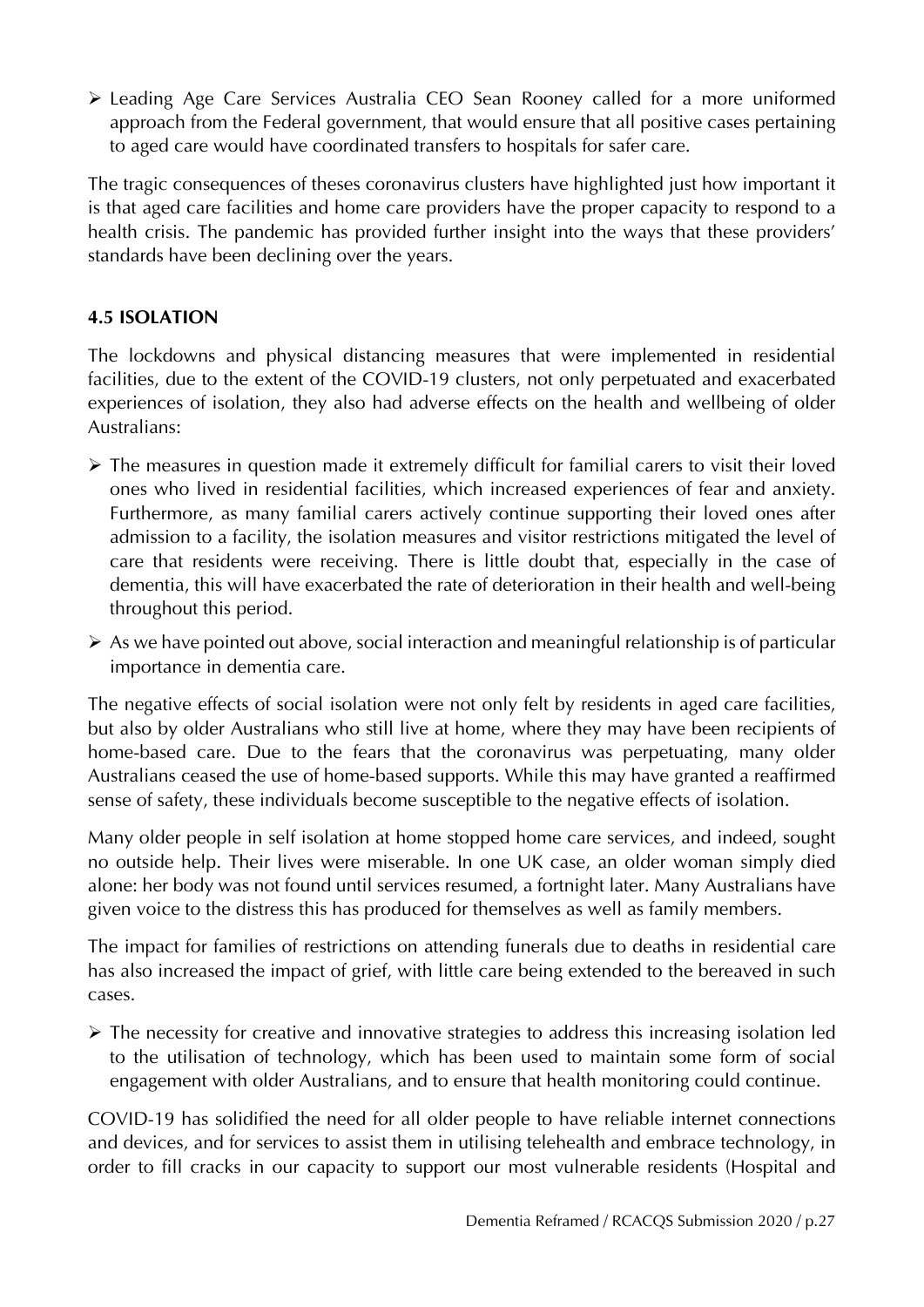Leading Age Care Services Australia CEO Sean Rooney called for a more uniformed approach from the Federal government, that would ensure that all positive cases pertaining to aged care would have coordinated transfers to hospitals for safer care.

The tragic consequences of theses coronavirus clusters have highlighted just how important it is that aged care facilities and home care providers have the proper capacity to respond to a health crisis. The pandemic has provided further insight into the ways that these providers' standards have been declining over the years.

#### **4.5 ISOLATION**

The lockdowns and physical distancing measures that were implemented in residential facilities, due to the extent of the COVID-19 clusters, not only perpetuated and exacerbated experiences of isolation, they also had adverse effects on the health and wellbeing of older Australians:

- The measures in question made it extremely difficult for familial carers to visit their loved ones who lived in residential facilities, which increased experiences of fear and anxiety. Furthermore, as many familial carers actively continue supporting their loved ones after admission to a facility, the isolation measures and visitor restrictions mitigated the level of care that residents were receiving. There is little doubt that, especially in the case of dementia, this will have exacerbated the rate of deterioration in their health and well-being throughout this period.
- $\triangleright$  As we have pointed out above, social interaction and meaningful relationship is of particular importance in dementia care.

The negative effects of social isolation were not only felt by residents in aged care facilities, but also by older Australians who still live at home, where they may have been recipients of home-based care. Due to the fears that the coronavirus was perpetuating, many older Australians ceased the use of home-based supports. While this may have granted a reaffirmed sense of safety, these individuals become susceptible to the negative effects of isolation.

Many older people in self isolation at home stopped home care services, and indeed, sought no outside help. Their lives were miserable. In one UK case, an older woman simply died alone: her body was not found until services resumed, a fortnight later. Many Australians have given voice to the distress this has produced for themselves as well as family members.

The impact for families of restrictions on attending funerals due to deaths in residential care has also increased the impact of grief, with little care being extended to the bereaved in such cases.

 The necessity for creative and innovative strategies to address this increasing isolation led to the utilisation of technology, which has been used to maintain some form of social engagement with older Australians, and to ensure that health monitoring could continue.

COVID-19 has solidified the need for all older people to have reliable internet connections and devices, and for services to assist them in utilising telehealth and embrace technology, in order to fill cracks in our capacity to support our most vulnerable residents (Hospital and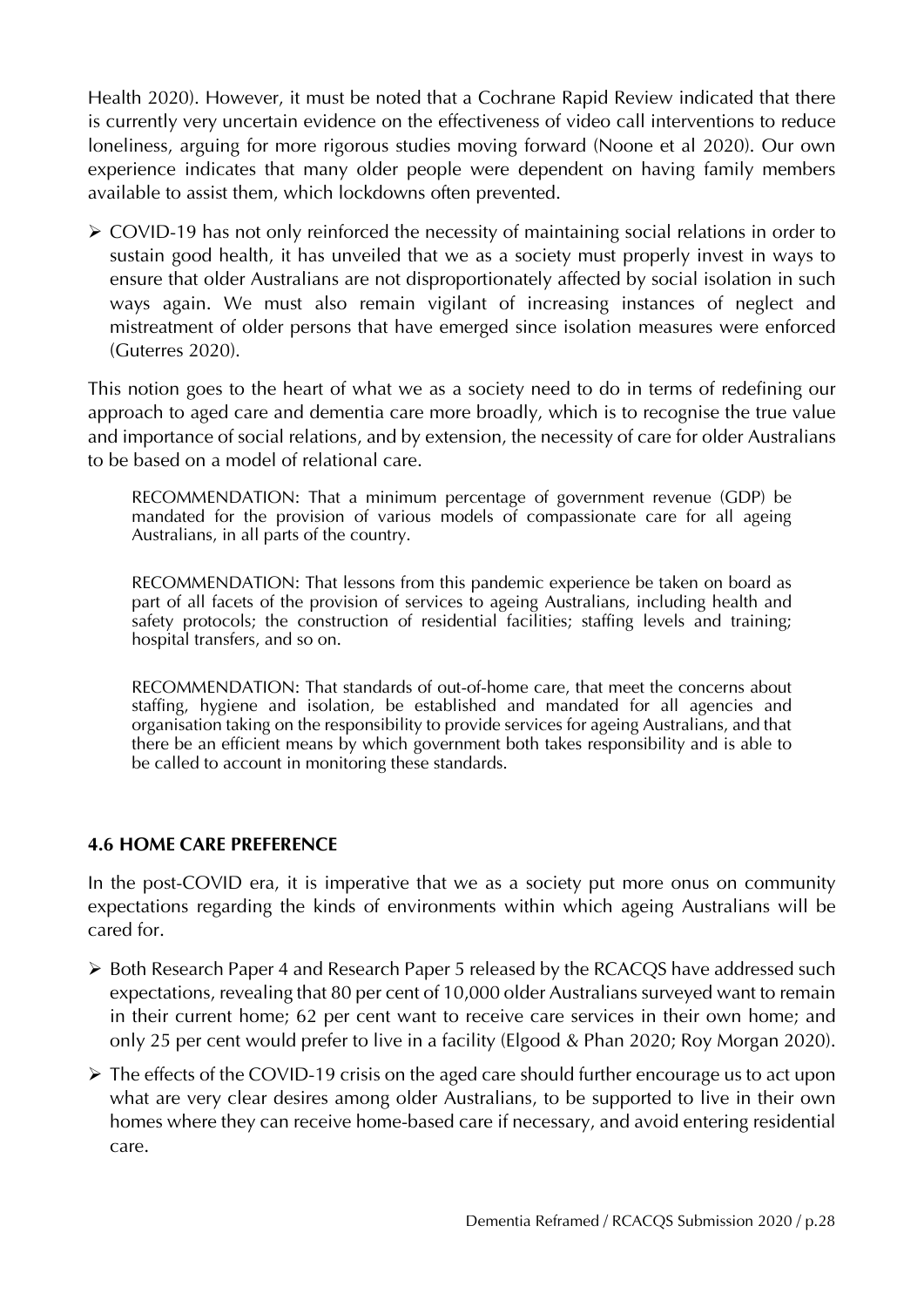Health 2020). However, it must be noted that a Cochrane Rapid Review indicated that there is currently very uncertain evidence on the effectiveness of video call interventions to reduce loneliness, arguing for more rigorous studies moving forward (Noone et al 2020). Our own experience indicates that many older people were dependent on having family members available to assist them, which lockdowns often prevented.

 COVID-19 has not only reinforced the necessity of maintaining social relations in order to sustain good health, it has unveiled that we as a society must properly invest in ways to ensure that older Australians are not disproportionately affected by social isolation in such ways again. We must also remain vigilant of increasing instances of neglect and mistreatment of older persons that have emerged since isolation measures were enforced (Guterres 2020).

This notion goes to the heart of what we as a society need to do in terms of redefining our approach to aged care and dementia care more broadly, which is to recognise the true value and importance of social relations, and by extension, the necessity of care for older Australians to be based on a model of relational care.

RECOMMENDATION: That a minimum percentage of government revenue (GDP) be mandated for the provision of various models of compassionate care for all ageing Australians, in all parts of the country.

RECOMMENDATION: That lessons from this pandemic experience be taken on board as part of all facets of the provision of services to ageing Australians, including health and safety protocols; the construction of residential facilities; staffing levels and training; hospital transfers, and so on.

RECOMMENDATION: That standards of out-of-home care, that meet the concerns about staffing, hygiene and isolation, be established and mandated for all agencies and organisation taking on the responsibility to provide services for ageing Australians, and that there be an efficient means by which government both takes responsibility and is able to be called to account in monitoring these standards.

#### **4.6 HOME CARE PREFERENCE**

In the post-COVID era, it is imperative that we as a society put more onus on community expectations regarding the kinds of environments within which ageing Australians will be cared for.

- ▶ Both Research Paper 4 and Research Paper 5 released by the RCACQS have addressed such expectations, revealing that 80 per cent of 10,000 older Australians surveyed want to remain in their current home; 62 per cent want to receive care services in their own home; and only 25 per cent would prefer to live in a facility (Elgood & Phan 2020; Roy Morgan 2020).
- The effects of the COVID-19 crisis on the aged care should further encourage us to act upon what are very clear desires among older Australians, to be supported to live in their own homes where they can receive home-based care if necessary, and avoid entering residential care.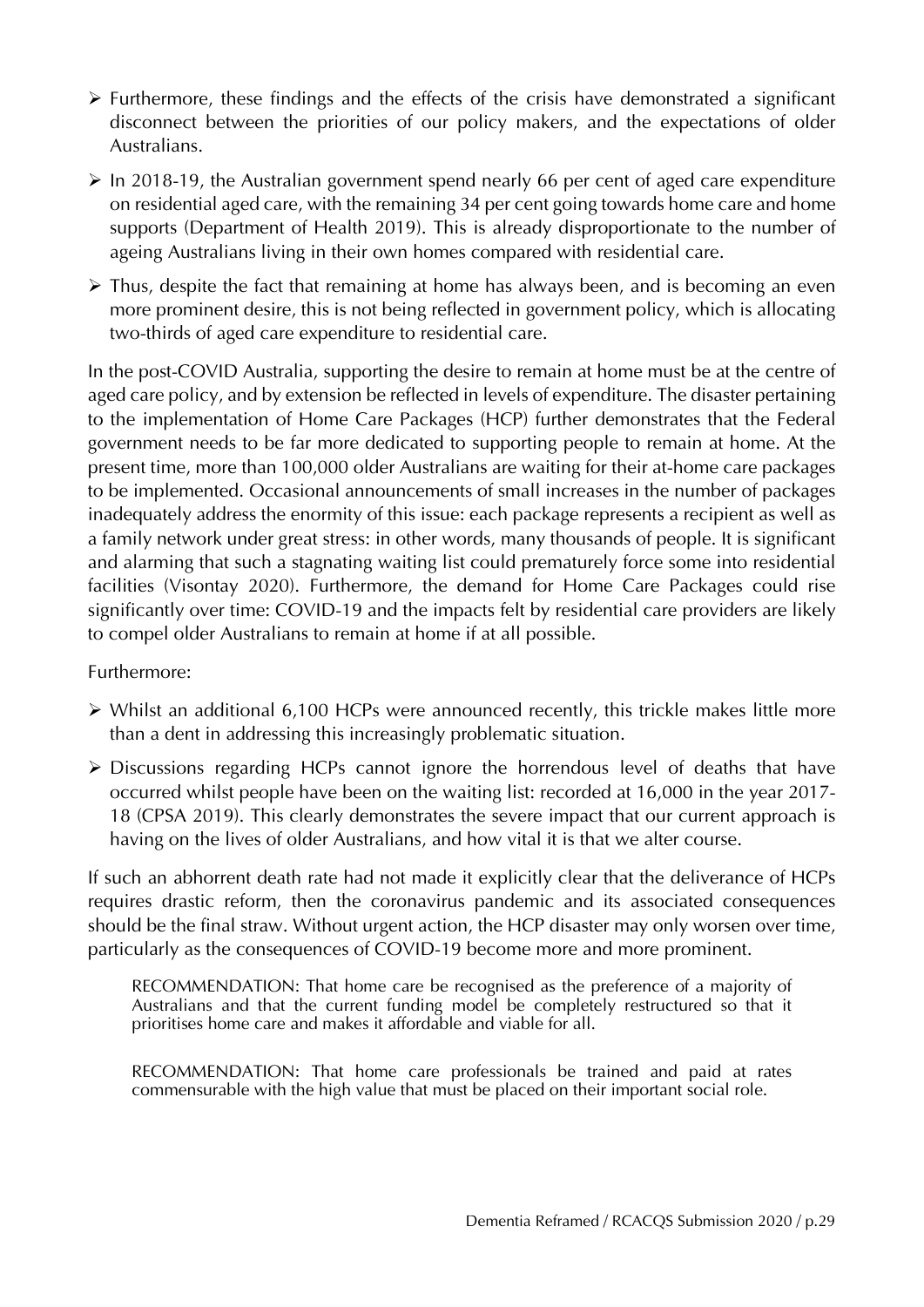- $\triangleright$  Furthermore, these findings and the effects of the crisis have demonstrated a significant disconnect between the priorities of our policy makers, and the expectations of older Australians.
- $\triangleright$  In 2018-19, the Australian government spend nearly 66 per cent of aged care expenditure on residential aged care, with the remaining 34 per cent going towards home care and home supports (Department of Health 2019). This is already disproportionate to the number of ageing Australians living in their own homes compared with residential care.
- $\triangleright$  Thus, despite the fact that remaining at home has always been, and is becoming an even more prominent desire, this is not being reflected in government policy, which is allocating two-thirds of aged care expenditure to residential care.

In the post-COVID Australia, supporting the desire to remain at home must be at the centre of aged care policy, and by extension be reflected in levels of expenditure. The disaster pertaining to the implementation of Home Care Packages (HCP) further demonstrates that the Federal government needs to be far more dedicated to supporting people to remain at home. At the present time, more than 100,000 older Australians are waiting for their at-home care packages to be implemented. Occasional announcements of small increases in the number of packages inadequately address the enormity of this issue: each package represents a recipient as well as a family network under great stress: in other words, many thousands of people. It is significant and alarming that such a stagnating waiting list could prematurely force some into residential facilities (Visontay 2020). Furthermore, the demand for Home Care Packages could rise significantly over time: COVID-19 and the impacts felt by residential care providers are likely to compel older Australians to remain at home if at all possible.

#### Furthermore:

- Whilst an additional 6,100 HCPs were announced recently, this trickle makes little more than a dent in addressing this increasingly problematic situation.
- Discussions regarding HCPs cannot ignore the horrendous level of deaths that have occurred whilst people have been on the waiting list: recorded at 16,000 in the year 2017- 18 (CPSA 2019). This clearly demonstrates the severe impact that our current approach is having on the lives of older Australians, and how vital it is that we alter course.

If such an abhorrent death rate had not made it explicitly clear that the deliverance of HCPs requires drastic reform, then the coronavirus pandemic and its associated consequences should be the final straw. Without urgent action, the HCP disaster may only worsen over time, particularly as the consequences of COVID-19 become more and more prominent.

RECOMMENDATION: That home care be recognised as the preference of a majority of Australians and that the current funding model be completely restructured so that it prioritises home care and makes it affordable and viable for all.

RECOMMENDATION: That home care professionals be trained and paid at rates commensurable with the high value that must be placed on their important social role.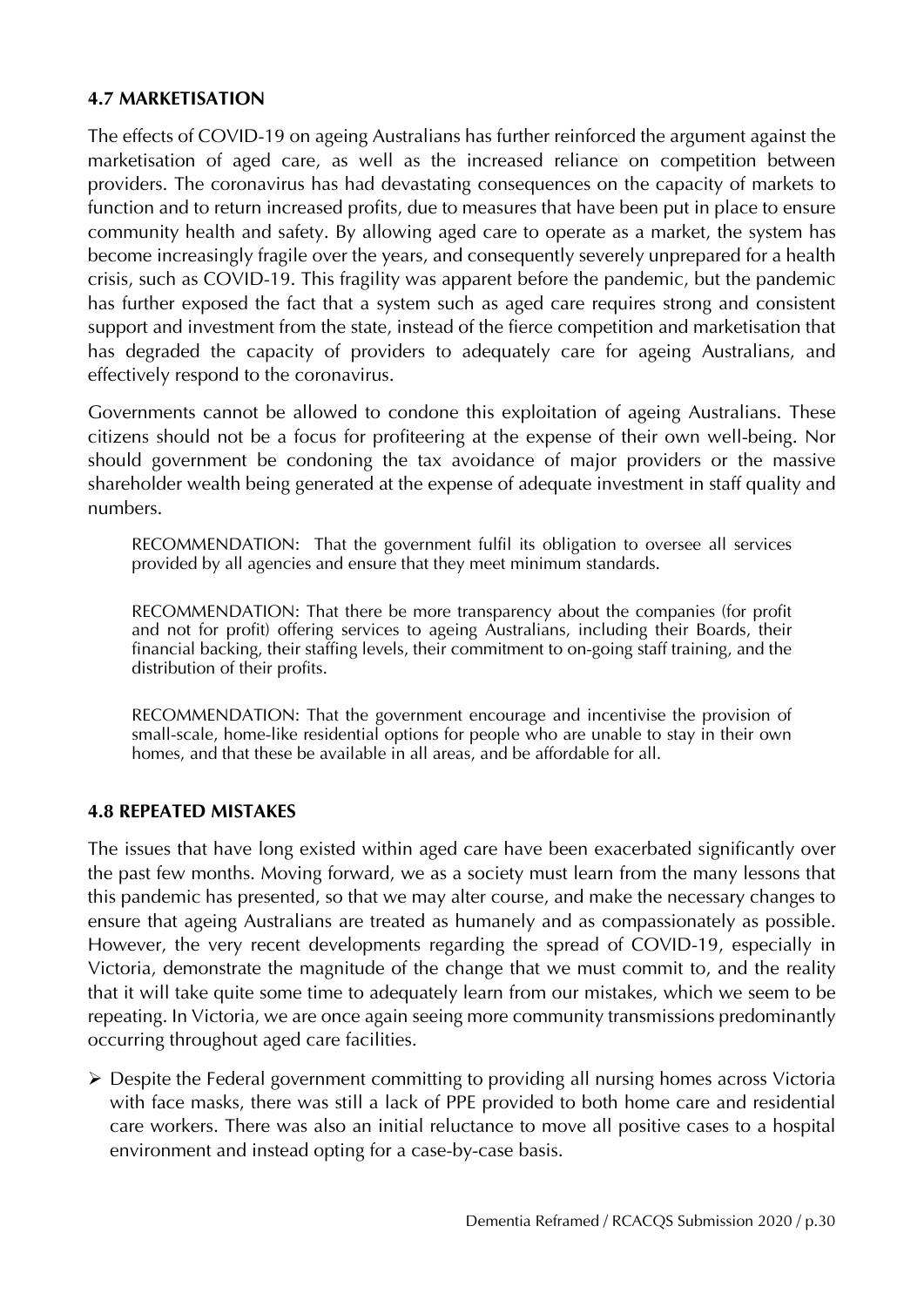#### **4.7 MARKETISATION**

The effects of COVID-19 on ageing Australians has further reinforced the argument against the marketisation of aged care, as well as the increased reliance on competition between providers. The coronavirus has had devastating consequences on the capacity of markets to function and to return increased profits, due to measures that have been put in place to ensure community health and safety. By allowing aged care to operate as a market, the system has become increasingly fragile over the years, and consequently severely unprepared for a health crisis, such as COVID-19. This fragility was apparent before the pandemic, but the pandemic has further exposed the fact that a system such as aged care requires strong and consistent support and investment from the state, instead of the fierce competition and marketisation that has degraded the capacity of providers to adequately care for ageing Australians, and effectively respond to the coronavirus.

Governments cannot be allowed to condone this exploitation of ageing Australians. These citizens should not be a focus for profiteering at the expense of their own well-being. Nor should government be condoning the tax avoidance of major providers or the massive shareholder wealth being generated at the expense of adequate investment in staff quality and numbers.

RECOMMENDATION: That the government fulfil its obligation to oversee all services provided by all agencies and ensure that they meet minimum standards.

RECOMMENDATION: That there be more transparency about the companies (for profit and not for profit) offering services to ageing Australians, including their Boards, their financial backing, their staffing levels, their commitment to on-going staff training, and the distribution of their profits.

RECOMMENDATION: That the government encourage and incentivise the provision of small-scale, home-like residential options for people who are unable to stay in their own homes, and that these be available in all areas, and be affordable for all.

#### **4.8 REPEATED MISTAKES**

The issues that have long existed within aged care have been exacerbated significantly over the past few months. Moving forward, we as a society must learn from the many lessons that this pandemic has presented, so that we may alter course, and make the necessary changes to ensure that ageing Australians are treated as humanely and as compassionately as possible. However, the very recent developments regarding the spread of COVID-19, especially in Victoria, demonstrate the magnitude of the change that we must commit to, and the reality that it will take quite some time to adequately learn from our mistakes, which we seem to be repeating. In Victoria, we are once again seeing more community transmissions predominantly occurring throughout aged care facilities.

 Despite the Federal government committing to providing all nursing homes across Victoria with face masks, there was still a lack of PPE provided to both home care and residential care workers. There was also an initial reluctance to move all positive cases to a hospital environment and instead opting for a case-by-case basis.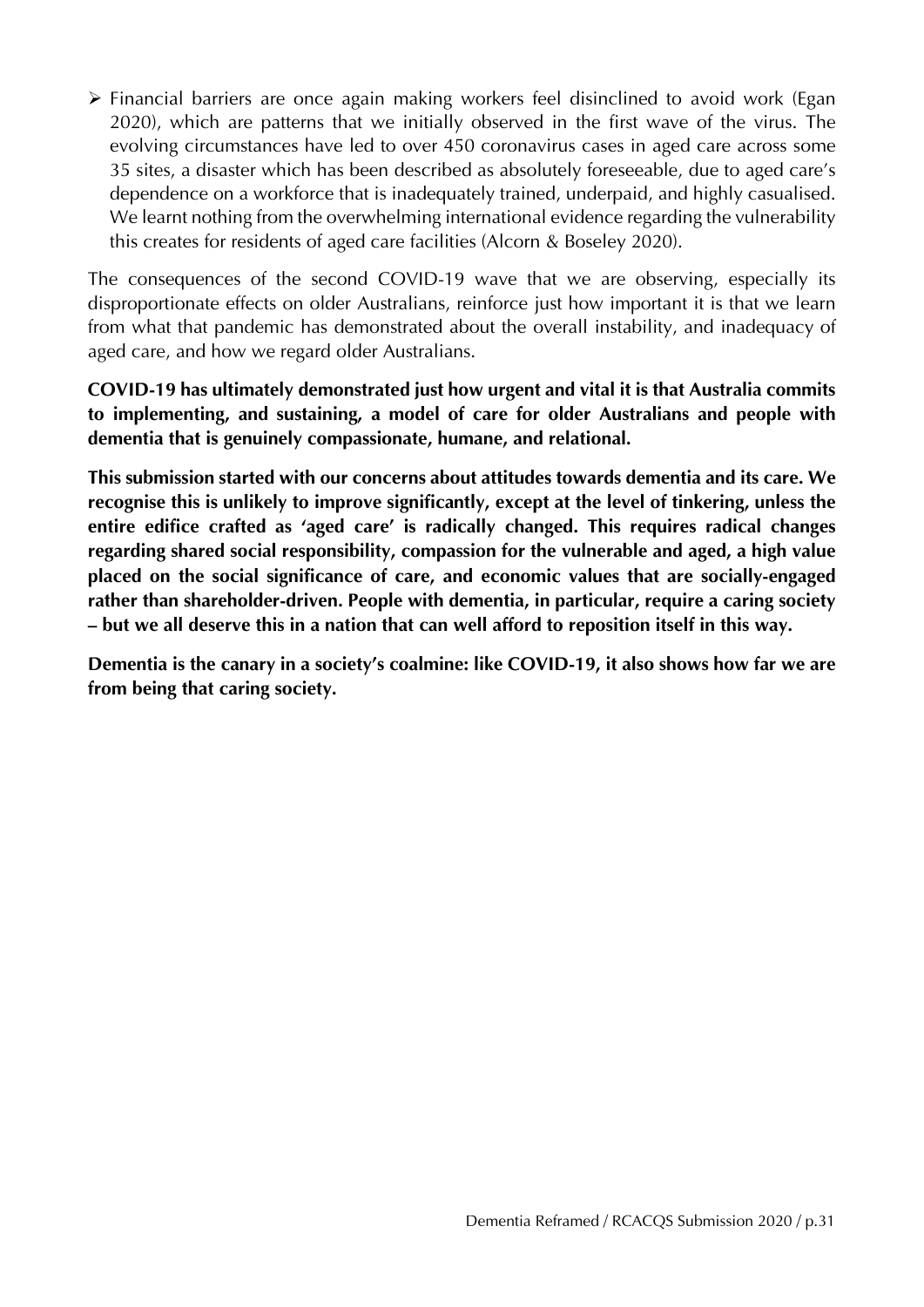Financial barriers are once again making workers feel disinclined to avoid work (Egan 2020), which are patterns that we initially observed in the first wave of the virus. The evolving circumstances have led to over 450 coronavirus cases in aged care across some 35 sites, a disaster which has been described as absolutely foreseeable, due to aged care's dependence on a workforce that is inadequately trained, underpaid, and highly casualised. We learnt nothing from the overwhelming international evidence regarding the vulnerability this creates for residents of aged care facilities (Alcorn & Boseley 2020).

The consequences of the second COVID-19 wave that we are observing, especially its disproportionate effects on older Australians, reinforce just how important it is that we learn from what that pandemic has demonstrated about the overall instability, and inadequacy of aged care, and how we regard older Australians.

**COVID-19 has ultimately demonstrated just how urgent and vital it is that Australia commits to implementing, and sustaining, a model of care for older Australians and people with dementia that is genuinely compassionate, humane, and relational.**

**This submission started with our concerns about attitudes towards dementia and its care. We recognise this is unlikely to improve significantly, except at the level of tinkering, unless the entire edifice crafted as 'aged care' is radically changed. This requires radical changes regarding shared social responsibility, compassion for the vulnerable and aged, a high value placed on the social significance of care, and economic values that are socially-engaged rather than shareholder-driven. People with dementia, in particular, require a caring society – but we all deserve this in a nation that can well afford to reposition itself in this way.** 

**Dementia is the canary in a society's coalmine: like COVID-19, it also shows how far we are from being that caring society.**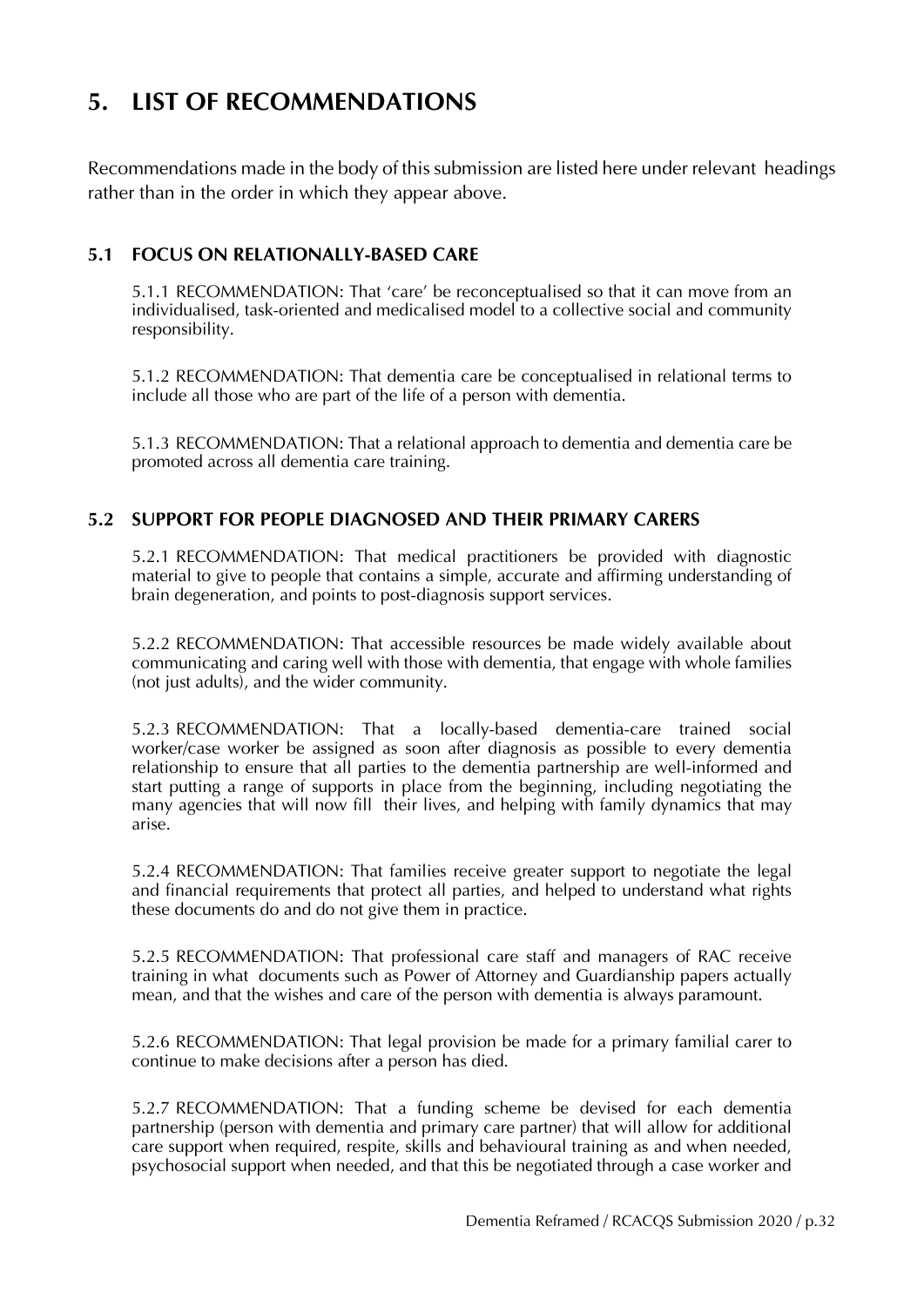## **5. LIST OF RECOMMENDATIONS**

Recommendations made in the body of this submission are listed here under relevant headings rather than in the order in which they appear above.

#### **5.1 FOCUS ON RELATIONALLY-BASED CARE**

5.1.1 RECOMMENDATION: That 'care' be reconceptualised so that it can move from an individualised, task-oriented and medicalised model to a collective social and community responsibility.

5.1.2 RECOMMENDATION: That dementia care be conceptualised in relational terms to include all those who are part of the life of a person with dementia.

5.1.3 RECOMMENDATION: That a relational approach to dementia and dementia care be promoted across all dementia care training.

#### **5.2 SUPPORT FOR PEOPLE DIAGNOSED AND THEIR PRIMARY CARERS**

5.2.1 RECOMMENDATION: That medical practitioners be provided with diagnostic material to give to people that contains a simple, accurate and affirming understanding of brain degeneration, and points to post-diagnosis support services.

5.2.2 RECOMMENDATION: That accessible resources be made widely available about communicating and caring well with those with dementia, that engage with whole families (not just adults), and the wider community.

5.2.3 RECOMMENDATION: That a locally-based dementia-care trained social worker/case worker be assigned as soon after diagnosis as possible to every dementia relationship to ensure that all parties to the dementia partnership are well-informed and start putting a range of supports in place from the beginning, including negotiating the many agencies that will now fill their lives, and helping with family dynamics that may arise.

5.2.4 RECOMMENDATION: That families receive greater support to negotiate the legal and financial requirements that protect all parties, and helped to understand what rights these documents do and do not give them in practice.

5.2.5 RECOMMENDATION: That professional care staff and managers of RAC receive training in what documents such as Power of Attorney and Guardianship papers actually mean, and that the wishes and care of the person with dementia is always paramount.

5.2.6 RECOMMENDATION: That legal provision be made for a primary familial carer to continue to make decisions after a person has died.

5.2.7 RECOMMENDATION: That a funding scheme be devised for each dementia partnership (person with dementia and primary care partner) that will allow for additional care support when required, respite, skills and behavioural training as and when needed, psychosocial support when needed, and that this be negotiated through a case worker and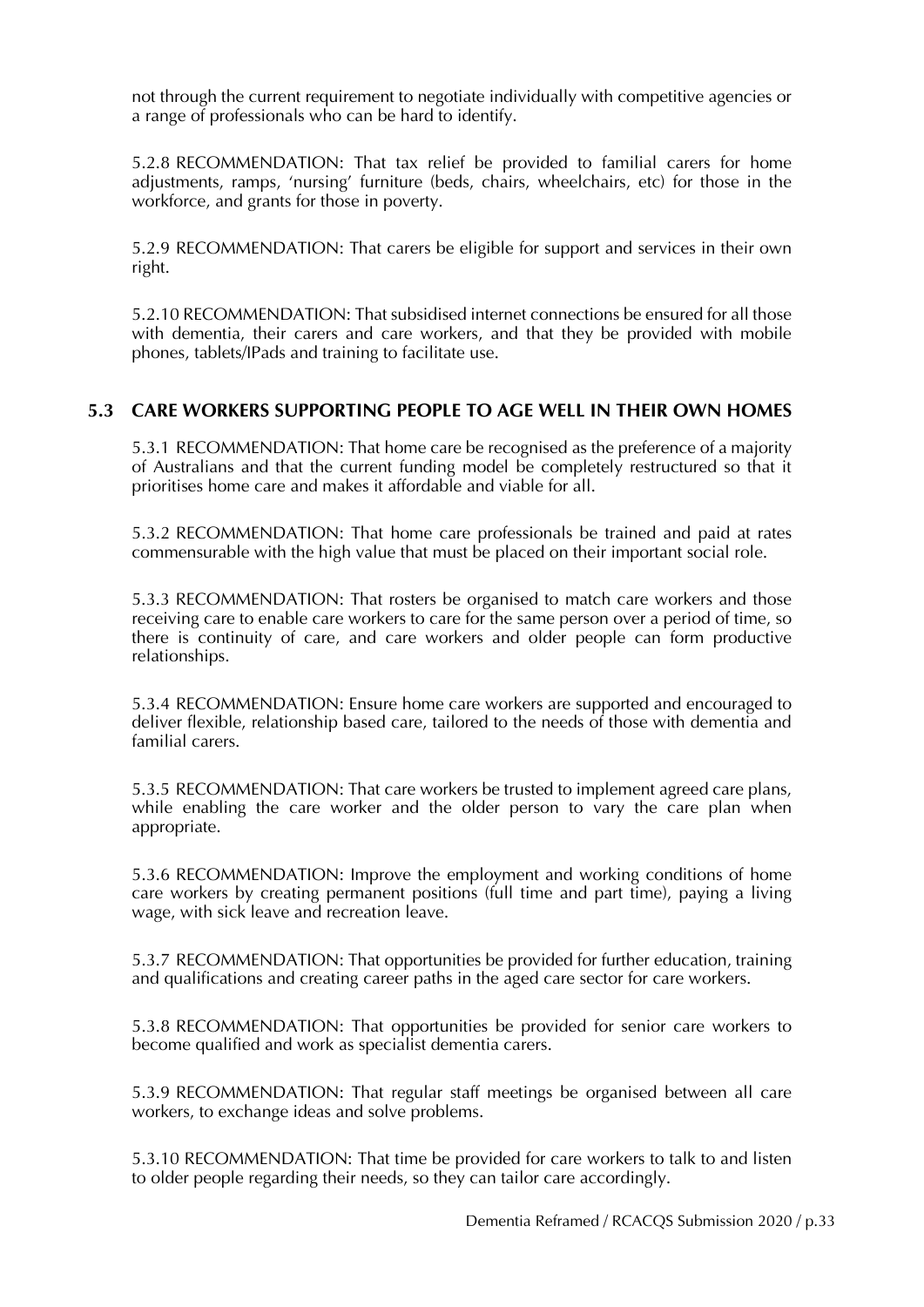not through the current requirement to negotiate individually with competitive agencies or a range of professionals who can be hard to identify.

5.2.8 RECOMMENDATION: That tax relief be provided to familial carers for home adjustments, ramps, 'nursing' furniture (beds, chairs, wheelchairs, etc) for those in the workforce, and grants for those in poverty.

5.2.9 RECOMMENDATION: That carers be eligible for support and services in their own right.

5.2.10 RECOMMENDATION: That subsidised internet connections be ensured for all those with dementia, their carers and care workers, and that they be provided with mobile phones, tablets/IPads and training to facilitate use.

#### **5.3 CARE WORKERS SUPPORTING PEOPLE TO AGE WELL IN THEIR OWN HOMES**

5.3.1 RECOMMENDATION: That home care be recognised as the preference of a majority of Australians and that the current funding model be completely restructured so that it prioritises home care and makes it affordable and viable for all.

5.3.2 RECOMMENDATION: That home care professionals be trained and paid at rates commensurable with the high value that must be placed on their important social role.

5.3.3 RECOMMENDATION: That rosters be organised to match care workers and those receiving care to enable care workers to care for the same person over a period of time, so there is continuity of care, and care workers and older people can form productive relationships.

5.3.4 RECOMMENDATION: Ensure home care workers are supported and encouraged to deliver flexible, relationship based care, tailored to the needs of those with dementia and familial carers.

5.3.5 RECOMMENDATION: That care workers be trusted to implement agreed care plans, while enabling the care worker and the older person to vary the care plan when appropriate.

5.3.6 RECOMMENDATION: Improve the employment and working conditions of home care workers by creating permanent positions (full time and part time), paying a living wage, with sick leave and recreation leave.

5.3.7 RECOMMENDATION: That opportunities be provided for further education, training and qualifications and creating career paths in the aged care sector for care workers.

5.3.8 RECOMMENDATION: That opportunities be provided for senior care workers to become qualified and work as specialist dementia carers.

5.3.9 RECOMMENDATION: That regular staff meetings be organised between all care workers, to exchange ideas and solve problems.

5.3.10 RECOMMENDATION: That time be provided for care workers to talk to and listen to older people regarding their needs, so they can tailor care accordingly.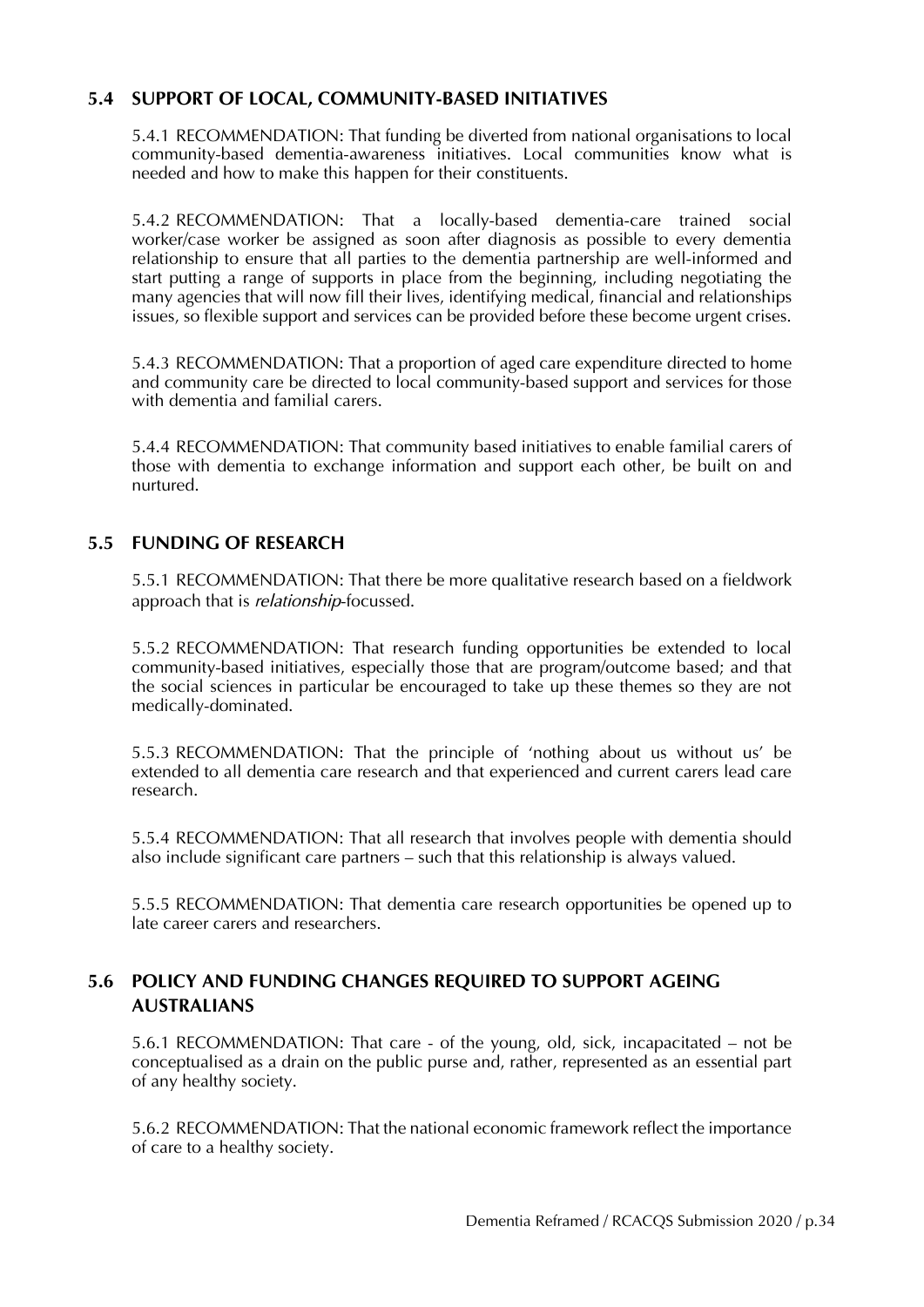#### **5.4 SUPPORT OF LOCAL, COMMUNITY-BASED INITIATIVES**

5.4.1 RECOMMENDATION: That funding be diverted from national organisations to local community-based dementia-awareness initiatives. Local communities know what is needed and how to make this happen for their constituents.

5.4.2 RECOMMENDATION: That a locally-based dementia-care trained social worker/case worker be assigned as soon after diagnosis as possible to every dementia relationship to ensure that all parties to the dementia partnership are well-informed and start putting a range of supports in place from the beginning, including negotiating the many agencies that will now fill their lives, identifying medical, financial and relationships issues, so flexible support and services can be provided before these become urgent crises.

5.4.3 RECOMMENDATION: That a proportion of aged care expenditure directed to home and community care be directed to local community-based support and services for those with dementia and familial carers.

5.4.4 RECOMMENDATION: That community based initiatives to enable familial carers of those with dementia to exchange information and support each other, be built on and nurtured.

#### **5.5 FUNDING OF RESEARCH**

5.5.1 RECOMMENDATION: That there be more qualitative research based on a fieldwork approach that is *relationship*-focussed.

5.5.2 RECOMMENDATION: That research funding opportunities be extended to local community-based initiatives, especially those that are program/outcome based; and that the social sciences in particular be encouraged to take up these themes so they are not medically-dominated.

5.5.3 RECOMMENDATION: That the principle of 'nothing about us without us' be extended to all dementia care research and that experienced and current carers lead care research.

5.5.4 RECOMMENDATION: That all research that involves people with dementia should also include significant care partners – such that this relationship is always valued.

5.5.5 RECOMMENDATION: That dementia care research opportunities be opened up to late career carers and researchers.

#### **5.6 POLICY AND FUNDING CHANGES REQUIRED TO SUPPORT AGEING AUSTRALIANS**

5.6.1 RECOMMENDATION: That care - of the young, old, sick, incapacitated – not be conceptualised as a drain on the public purse and, rather, represented as an essential part of any healthy society.

5.6.2 RECOMMENDATION: That the national economic framework reflect the importance of care to a healthy society.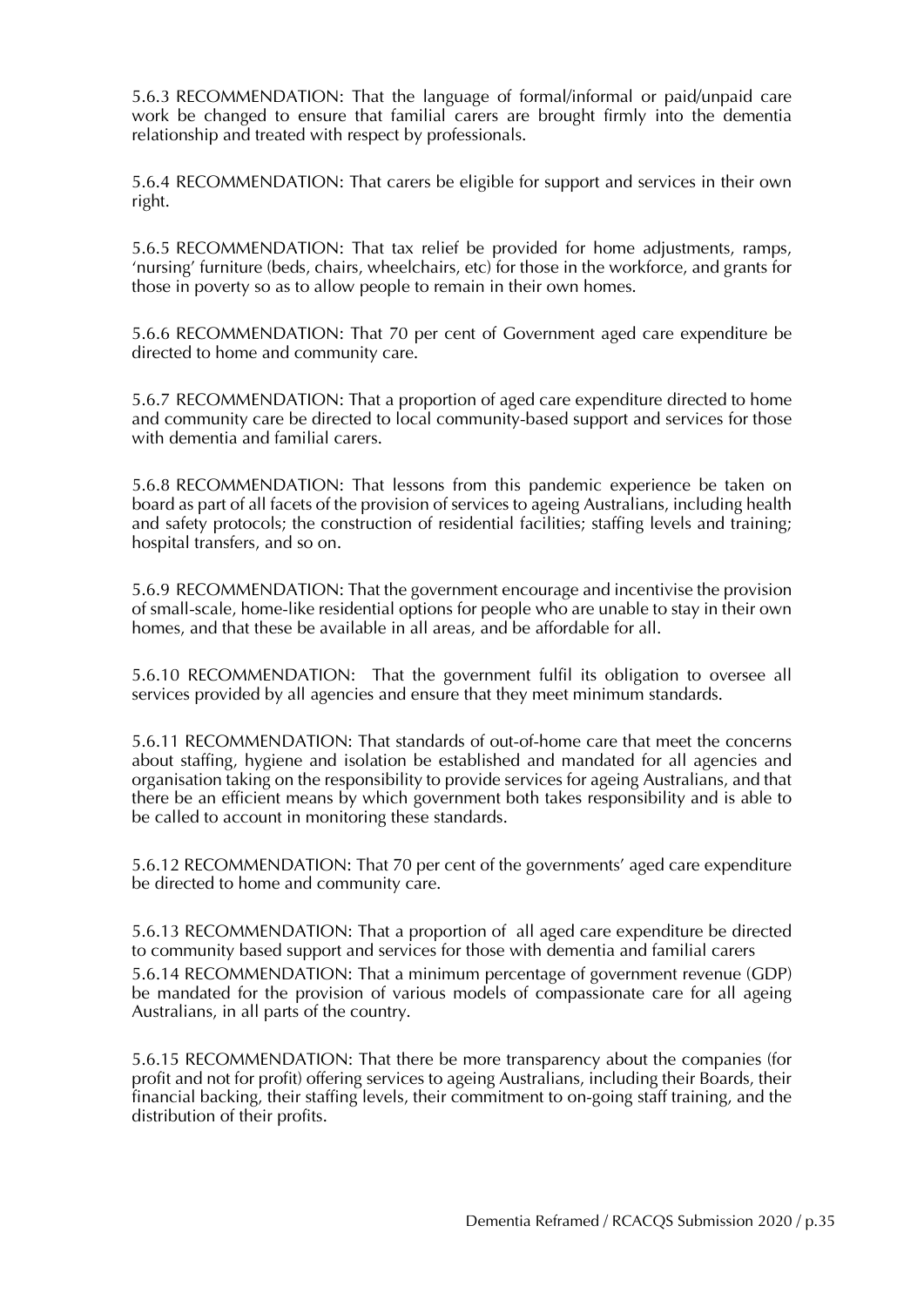5.6.3 RECOMMENDATION: That the language of formal/informal or paid/unpaid care work be changed to ensure that familial carers are brought firmly into the dementia relationship and treated with respect by professionals.

5.6.4 RECOMMENDATION: That carers be eligible for support and services in their own right.

5.6.5 RECOMMENDATION: That tax relief be provided for home adjustments, ramps, 'nursing' furniture (beds, chairs, wheelchairs, etc) for those in the workforce, and grants for those in poverty so as to allow people to remain in their own homes.

5.6.6 RECOMMENDATION: That 70 per cent of Government aged care expenditure be directed to home and community care.

5.6.7 RECOMMENDATION: That a proportion of aged care expenditure directed to home and community care be directed to local community-based support and services for those with dementia and familial carers.

5.6.8 RECOMMENDATION: That lessons from this pandemic experience be taken on board as part of all facets of the provision of services to ageing Australians, including health and safety protocols; the construction of residential facilities; staffing levels and training; hospital transfers, and so on.

5.6.9 RECOMMENDATION: That the government encourage and incentivise the provision of small-scale, home-like residential options for people who are unable to stay in their own homes, and that these be available in all areas, and be affordable for all.

5.6.10 RECOMMENDATION: That the government fulfil its obligation to oversee all services provided by all agencies and ensure that they meet minimum standards.

5.6.11 RECOMMENDATION: That standards of out-of-home care that meet the concerns about staffing, hygiene and isolation be established and mandated for all agencies and organisation taking on the responsibility to provide services for ageing Australians, and that there be an efficient means by which government both takes responsibility and is able to be called to account in monitoring these standards.

5.6.12 RECOMMENDATION: That 70 per cent of the governments' aged care expenditure be directed to home and community care.

5.6.13 RECOMMENDATION: That a proportion of all aged care expenditure be directed to community based support and services for those with dementia and familial carers

5.6.14 RECOMMENDATION: That a minimum percentage of government revenue (GDP) be mandated for the provision of various models of compassionate care for all ageing Australians, in all parts of the country.

5.6.15 RECOMMENDATION: That there be more transparency about the companies (for profit and not for profit) offering services to ageing Australians, including their Boards, their financial backing, their staffing levels, their commitment to on-going staff training, and the distribution of their profits.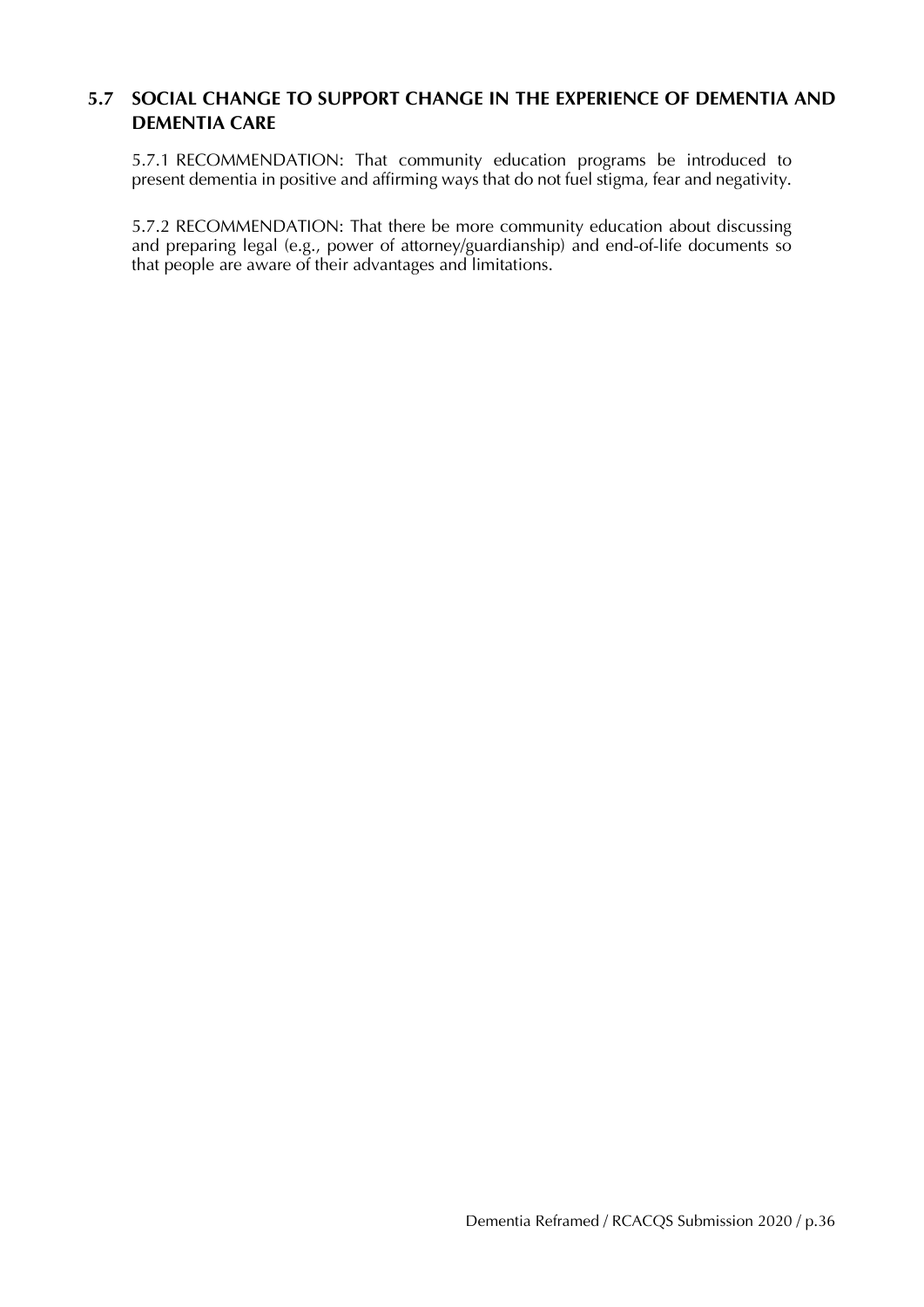#### **5.7 SOCIAL CHANGE TO SUPPORT CHANGE IN THE EXPERIENCE OF DEMENTIA AND DEMENTIA CARE**

5.7.1 RECOMMENDATION: That community education programs be introduced to present dementia in positive and affirming ways that do not fuel stigma, fear and negativity.

5.7.2 RECOMMENDATION: That there be more community education about discussing and preparing legal (e.g., power of attorney/guardianship) and end-of-life documents so that people are aware of their advantages and limitations.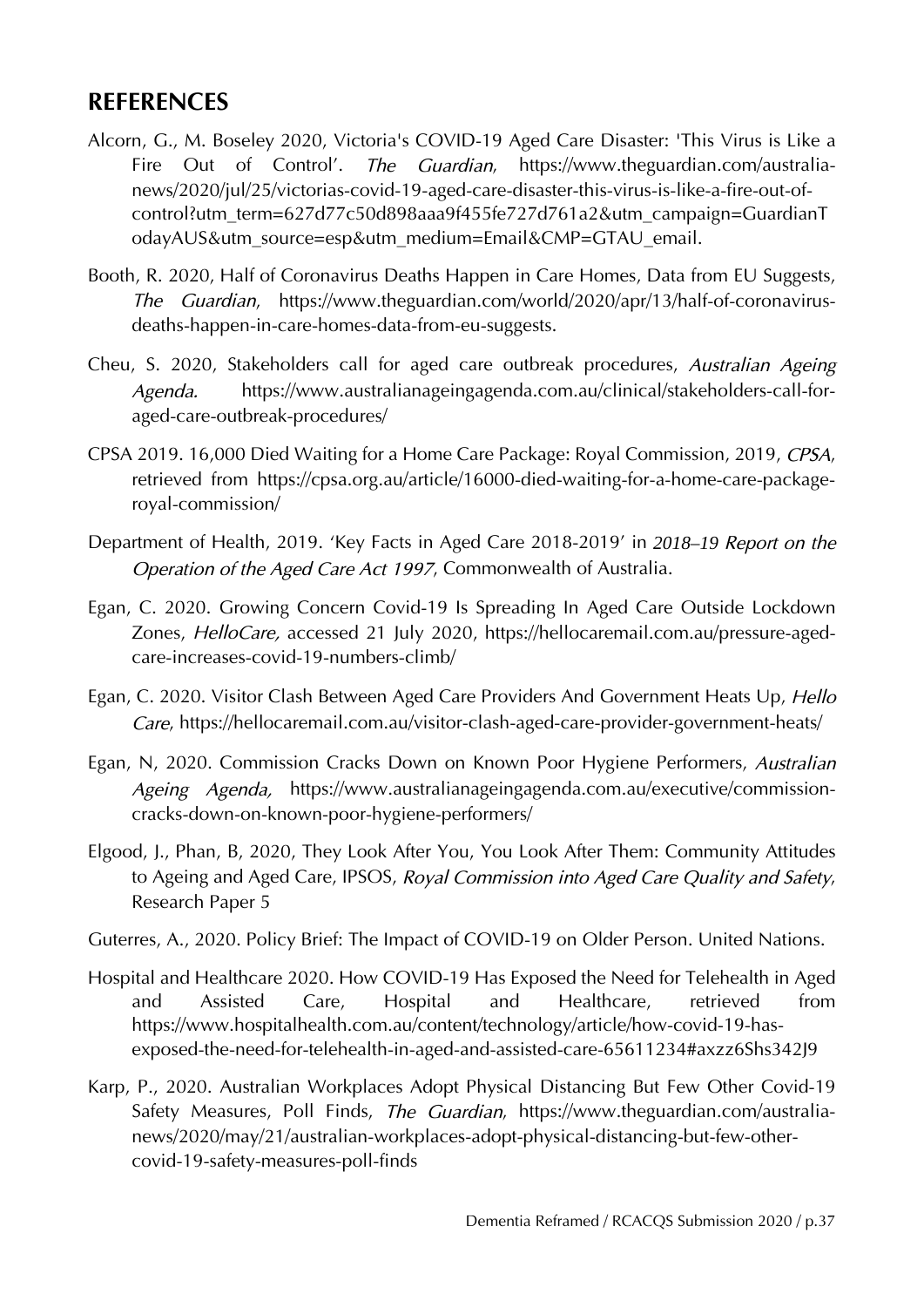### **REFERENCES**

- Alcorn, G., M. Boseley 2020, Victoria's COVID-19 Aged Care Disaster: 'This Virus is Like a Fire Out of Control'. *The Guardian*, [https://www.theguardian.com/australia](https://www.theguardian.com/australia-news/2020/jul/25/victorias-covid-19-aged-care-disaster-this-virus-is-like-a-fire-out-of-control?utm_term=627d77c50d898aaa9f455fe727d761a2&utm_campaign=GuardianTodayAUS&utm_source=esp&utm_medium=Email&CMP=GTAU_email)[news/2020/jul/25/victorias-covid-19-aged-care-disaster-this-virus-is-like-a-fire-out-of](https://www.theguardian.com/australia-news/2020/jul/25/victorias-covid-19-aged-care-disaster-this-virus-is-like-a-fire-out-of-control?utm_term=627d77c50d898aaa9f455fe727d761a2&utm_campaign=GuardianTodayAUS&utm_source=esp&utm_medium=Email&CMP=GTAU_email)[control?utm\\_term=627d77c50d898aaa9f455fe727d761a2&utm\\_campaign=GuardianT](https://www.theguardian.com/australia-news/2020/jul/25/victorias-covid-19-aged-care-disaster-this-virus-is-like-a-fire-out-of-control?utm_term=627d77c50d898aaa9f455fe727d761a2&utm_campaign=GuardianTodayAUS&utm_source=esp&utm_medium=Email&CMP=GTAU_email) [odayAUS&utm\\_source=esp&utm\\_medium=Email&CMP=GTAU\\_email.](https://www.theguardian.com/australia-news/2020/jul/25/victorias-covid-19-aged-care-disaster-this-virus-is-like-a-fire-out-of-control?utm_term=627d77c50d898aaa9f455fe727d761a2&utm_campaign=GuardianTodayAUS&utm_source=esp&utm_medium=Email&CMP=GTAU_email)
- Booth, R. 2020, Half of Coronavirus Deaths Happen in Care Homes, Data from EU Suggests, *The Guardian*, [https://www.theguardian.com/world/2020/apr/13/half-of-coronavirus](https://www.theguardian.com/world/2020/apr/13/half-of-coronavirus-deaths-happen-in-care-homes-data-from-eu-suggests)[deaths-happen-in-care-homes-data-from-eu-suggests.](https://www.theguardian.com/world/2020/apr/13/half-of-coronavirus-deaths-happen-in-care-homes-data-from-eu-suggests)
- Cheu, S. 2020, Stakeholders call for aged care outbreak procedures, *Australian Ageing Agenda.* [https://www.australianageingagenda.com.au/clinical/stakeholders-call-for](https://www.australianageingagenda.com.au/clinical/stakeholders-call-for-aged-care-outbreak-procedures/)[aged-care-outbreak-procedures/](https://www.australianageingagenda.com.au/clinical/stakeholders-call-for-aged-care-outbreak-procedures/)
- CPSA 2019. 16,000 Died Waiting for a Home Care Package: Royal Commission, 2019, *CPSA*, retrieved from [https://cpsa.org.au/article/16000-died-waiting-for-a-home-care-package](https://cpsa.org.au/article/16000-died-waiting-for-a-home-care-package-royal-commission/)[royal-commission/](https://cpsa.org.au/article/16000-died-waiting-for-a-home-care-package-royal-commission/)
- Department of Health, 2019. 'Key Facts in Aged Care 2018-2019' in *2018–19 Report on the Operation of the Aged Care Act 1997*, Commonwealth of Australia.
- Egan, C. 2020. Growing Concern Covid-19 Is Spreading In Aged Care Outside Lockdown Zones, *HelloCare,* accessed 21 July 2020, [https://hellocaremail.com.au/pressure-aged](https://hellocaremail.com.au/pressure-aged-care-increases-covid-19-numbers-climb/)[care-increases-covid-19-numbers-climb/](https://hellocaremail.com.au/pressure-aged-care-increases-covid-19-numbers-climb/)
- Egan, C. 2020. Visitor Clash Between Aged Care Providers And Government Heats Up, *Hello Care*,<https://hellocaremail.com.au/visitor-clash-aged-care-provider-government-heats/>
- Egan, N, 2020. Commission Cracks Down on Known Poor Hygiene Performers, *Australian Ageing Agenda,* [https://www.australianageingagenda.com.au/executive/commission](https://www.australianageingagenda.com.au/executive/commission-cracks-down-on-known-poor-hygiene-performers/)[cracks-down-on-known-poor-hygiene-performers/](https://www.australianageingagenda.com.au/executive/commission-cracks-down-on-known-poor-hygiene-performers/)
- Elgood, J., Phan, B, 2020, They Look After You, You Look After Them: Community Attitudes to Ageing and Aged Care, IPSOS, *Royal Commission into Aged Care Quality and Safety*, Research Paper 5
- Guterres, A., 2020. Policy Brief: The Impact of COVID-19 on Older Person. United Nations.
- Hospital and Healthcare 2020. How COVID-19 Has Exposed the Need for Telehealth in Aged and Assisted Care, Hospital and Healthcare, retrieved from [https://www.hospitalhealth.com.au/content/technology/article/how-covid-19-has](https://www.hospitalhealth.com.au/content/technology/article/how-covid-19-has-exposed-the-need-for-telehealth-in-aged-and-assisted-care-65611234%23axzz6Shs342J9)[exposed-the-need-for-telehealth-in-aged-and-assisted-care-65611234#axzz6Shs342J9](https://www.hospitalhealth.com.au/content/technology/article/how-covid-19-has-exposed-the-need-for-telehealth-in-aged-and-assisted-care-65611234%23axzz6Shs342J9)
- Karp, P., 2020. Australian Workplaces Adopt Physical Distancing But Few Other Covid-19 Safety Measures, Poll Finds, *The Guardian*, [https://www.theguardian.com/australia](https://www.theguardian.com/australia-news/2020/may/21/australian-workplaces-adopt-physical-distancing-but-few-other-covid-19-safety-measures-poll-finds)[news/2020/may/21/australian-workplaces-adopt-physical-distancing-but-few-other](https://www.theguardian.com/australia-news/2020/may/21/australian-workplaces-adopt-physical-distancing-but-few-other-covid-19-safety-measures-poll-finds)[covid-19-safety-measures-poll-finds](https://www.theguardian.com/australia-news/2020/may/21/australian-workplaces-adopt-physical-distancing-but-few-other-covid-19-safety-measures-poll-finds)